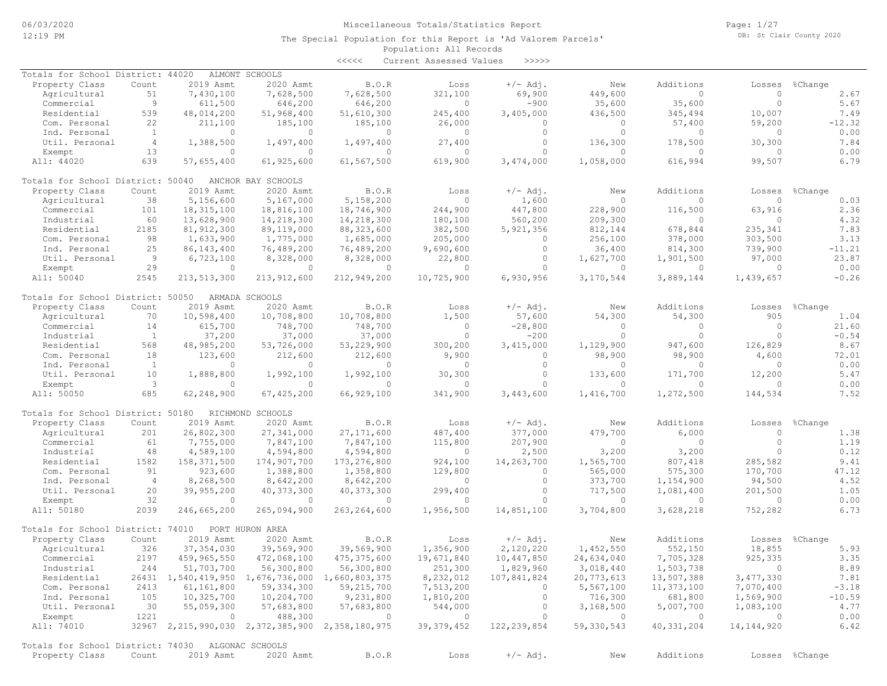Page: 1/27 DB: St Clair County 2020

#### Population: All Records The Special Population for this Report is 'Ad Valorem Parcels'

|                                                   |                |                                                          |                    | $\begin{array}{c} < \,<< \,<< \end{array}$ | Current Assessed Values | >>>>>         |              |              |                |          |
|---------------------------------------------------|----------------|----------------------------------------------------------|--------------------|--------------------------------------------|-------------------------|---------------|--------------|--------------|----------------|----------|
| Totals for School District: 44020                 |                |                                                          | ALMONT SCHOOLS     |                                            |                         |               |              |              |                |          |
| Property Class                                    | Count          | 2019 Asmt                                                | 2020 Asmt          | <b>B.O.R</b>                               | Loss                    | $+/-$ Adj.    | New          | Additions    | Losses         | %Change  |
| Agricultural                                      | 51             | 7,430,100                                                | 7,628,500          | 7,628,500                                  | 321,100                 | 69,900        | 449,600      | $\Omega$     | $\Omega$       | 2.67     |
| Commercial                                        | 9              | 611,500                                                  | 646,200            | 646,200                                    | $\circ$                 | $-900$        | 35,600       | 35,600       | $\circ$        | 5.67     |
| Residential                                       | 539            | 48,014,200                                               | 51,968,400         | 51,610,300                                 | 245,400                 | 3,405,000     | 436,500      | 345,494      | 10,007         | 7.49     |
| Com. Personal                                     | 22             | 211,100                                                  | 185,100            | 185,100                                    | 26,000                  | 0             | $\Omega$     | 57,400       | 59,200         | $-12.32$ |
| Ind. Personal                                     | $\mathbf{1}$   | $\circ$                                                  | 0                  | $\overline{0}$                             | $\circ$                 | $\circ$       | $\circ$      | $\circ$      | $\mathbf{0}$   | 0.00     |
| Util. Personal                                    | $\overline{4}$ | 1,388,500                                                | 1,497,400          | 1,497,400                                  | 27,400                  | $\circ$       | 136,300      | 178,500      | 30,300         | 7.84     |
| Exempt                                            | 13             | $\circ$                                                  | $\Omega$           | $\Omega$                                   | $\circ$                 | $\Omega$      | $\bigcap$    | $\Omega$     | $\Omega$       | 0.00     |
| All: 44020                                        | 639            | 57,655,400                                               | 61,925,600         | 61,567,500                                 | 619,900                 | 3,474,000     | 1,058,000    | 616,994      | 99,507         | 6.79     |
| Totals for School District: 50040                 |                |                                                          | ANCHOR BAY SCHOOLS |                                            |                         |               |              |              |                |          |
| Property Class                                    | Count          | 2019 Asmt                                                | 2020 Asmt          | B.O.R                                      | Loss                    | $+/-$ Adj.    | New          | Additions    | Losses         | %Change  |
| Agricultural                                      | 38             | 5,156,600                                                | 5,167,000          | 5,158,200                                  | $\Omega$                | 1,600         | $\Omega$     | $\bigcap$    | $\Omega$       | 0.03     |
| Commercial                                        | 101            | 18, 315, 100                                             | 18,816,100         | 18,746,900                                 | 244,900                 | 447,800       | 228,900      | 116,500      | 63,916         | 2.36     |
| Industrial                                        | 60             | 13,628,900                                               | 14,218,300         | 14,218,300                                 | 180,100                 | 560,200       | 209,300      | 0            | $\Omega$       | 4.32     |
| Residential                                       | 2185           | 81, 912, 300                                             | 89,119,000         | 88, 323, 600                               | 382,500                 | 5,921,356     | 812,144      | 678,844      | 235,341        | 7.83     |
| Com. Personal                                     | 98             | 1,633,900                                                | 1,775,000          | 1,685,000                                  | 205,000                 | 0             | 256,100      | 378,000      | 303,500        | 3.13     |
| Ind. Personal                                     | 25             | 86, 143, 400                                             | 76,489,200         | 76,489,200                                 | 9,690,600               | $\circ$       | 36,400       | 814,300      | 739,900        | $-11.21$ |
| Util. Personal                                    | 9              | 6,723,100                                                | 8,328,000          | 8,328,000                                  | 22,800                  | $\circ$       | 1,627,700    | 1,901,500    | 97,000         | 23.87    |
| Exempt                                            | 29             | $\circ$                                                  | $\mathbf{0}$       | $\circ$                                    | $\circ$                 | $\Omega$      | $\bigcap$    | $\bigcap$    | $\Omega$       | 0.00     |
| All: 50040                                        | 2545           | 213, 513, 300                                            | 213,912,600        | 212,949,200                                | 10,725,900              | 6,930,956     | 3,170,544    | 3,889,144    | 1,439,657      | $-0.26$  |
| Totals for School District: 50050                 |                |                                                          | ARMADA SCHOOLS     |                                            |                         |               |              |              |                |          |
| Property Class                                    | Count          | 2019 Asmt                                                | 2020 Asmt          | B.O.R                                      | Loss                    | $+/-$ Adj.    | New          | Additions    | Losses         | %Change  |
| Agricultural                                      | 70             | 10,598,400                                               | 10,708,800         | 10,708,800                                 | 1,500                   | 57,600        | 54,300       | 54,300       | 905            | 1.04     |
| Commercial                                        | 14             | 615,700                                                  | 748,700            | 748,700                                    | $\circ$                 | $-28,800$     | $\Omega$     | $\bigcap$    | $\Omega$       | 21.60    |
| Industrial                                        | $\mathbf{1}$   | 37,200                                                   | 37,000             | 37,000                                     | $\circ$                 | $-200$        | $\Omega$     | $\Omega$     | $\Omega$       | $-0.54$  |
|                                                   |                |                                                          |                    |                                            |                         |               |              |              |                |          |
| Residential                                       | 568            | 48,985,200                                               | 53,726,000         | 53,229,900                                 | 300,200                 | 3,415,000     | 1,129,900    | 947,600      | 126,829        | 8.67     |
| Com. Personal                                     | 18             | 123,600                                                  | 212,600            | 212,600                                    | 9,900                   | 0             | 98,900       | 98,900       | 4,600          | 72.01    |
| Ind. Personal                                     | <sup>1</sup>   | $\Omega$                                                 | $\Omega$           | $\Omega$                                   | $\mathbf{0}$            | $\circ$       | $\bigcap$    | $\bigcap$    | $\bigcap$      | 0.00     |
| Util. Personal                                    | 10             | 1,888,800                                                | 1,992,100          | 1,992,100                                  | 30,300                  | $\mathbf{0}$  | 133,600      | 171,700      | 12,200         | 5.47     |
| Exempt                                            | 3              | $\circ$                                                  | 0                  | $\Omega$                                   | $\circ$                 | $\Omega$      | $\Omega$     | $\bigcap$    | $\Omega$       | 0.00     |
| All: 50050                                        | 685            | 62,248,900                                               | 67,425,200         | 66,929,100                                 | 341,900                 | 3,443,600     | 1,416,700    | 1,272,500    | 144,534        | 7.52     |
| Totals for School District: 50180                 |                |                                                          | RICHMOND SCHOOLS   |                                            |                         |               |              |              |                |          |
| Property Class                                    | Count          | 2019 Asmt                                                | 2020 Asmt          | <b>B.O.R</b>                               | Loss                    | $+/-$ Adj.    | New          | Additions    | Losses         | %Change  |
| Agricultural                                      | 201            | 26,802,300                                               | 27,341,000         | 27, 171, 600                               | 487,400                 | 377,000       | 479,700      | 6,000        | $\circ$        | 1.38     |
| Commercial                                        | 61             | 7,755,000                                                | 7,847,100          | 7,847,100                                  | 115,800                 | 207,900       | $\Omega$     | $\Omega$     | $\Omega$       | 1.19     |
| Industrial                                        | 48             | 4,589,100                                                | 4,594,800          | 4,594,800                                  | $\circ$                 | 2,500         | 3,200        | 3,200        | $\Omega$       | 0.12     |
| Residential                                       | 1582           | 158, 371, 500                                            | 174,907,700        | 173, 276, 800                              | 924,100                 | 14,263,700    | 1,565,700    | 807,418      | 285,582        | 9.41     |
| Com. Personal                                     | 91             | 923,600                                                  | 1,388,800          | 1,358,800                                  | 129,800                 | 0             | 565,000      | 575,300      | 170,700        | 47.12    |
| Ind. Personal                                     | $\overline{4}$ | 8,268,500                                                | 8,642,200          | 8,642,200                                  | $\circ$                 | $\circ$       | 373,700      | 1,154,900    | 94,500         | 4.52     |
| Util. Personal                                    | 20             | 39,955,200                                               | 40, 373, 300       | 40, 373, 300                               | 299,400                 | $\Omega$      | 717,500      | 1,081,400    | 201,500        | 1.05     |
| Exempt                                            | 32             | $\circ$                                                  | $\Omega$           | $\circ$                                    | $\circ$                 | $\circ$       | $\circ$      | $\circ$      | $\circ$        | 0.00     |
| All: 50180                                        | 2039           | 246,665,200                                              | 265,094,900        | 263, 264, 600                              | 1,956,500               | 14,851,100    | 3,704,800    | 3,628,218    | 752,282        | 6.73     |
| Totals for School District: 74010                 |                |                                                          | PORT HURON AREA    |                                            |                         |               |              |              |                |          |
| Property Class                                    | Count          | 2019 Asmt                                                | 2020 Asmt          | B.O.R                                      | Loss                    | $+/-$ Adj.    | New          | Additions    | Losses         | %Change  |
| Agricultural                                      | 326            | 37, 354, 030                                             | 39,569,900         | 39,569,900                                 | 1,356,900               | 2,120,220     | 1,452,550    | 552,150      | 18,855         | 5.93     |
| Commercial                                        | 2197           | 459,965,550                                              | 472,068,100        | 475, 375, 600                              | 19,671,840              | 10,447,850    | 24,634,040   | 7,705,328    | 925,335        | 3.35     |
| Industrial                                        | 244            | 51,703,700                                               | 56,300,800         | 56,300,800                                 | 251,300                 | 1,829,960     | 3,018,440    | 1,503,738    | 0              | 8.89     |
| Residential                                       |                | 26431 1,540,419,950 1,676,736,000 1,660,803,375          |                    |                                            | 8,232,012               | 107,841,824   | 20,773,613   | 13,507,388   | 3,477,330      | 7.81     |
| Com. Personal                                     | 2413           | 61,161,800                                               | 59, 334, 300       | 59,215,700                                 | 7,513,200               | 0             | 5,567,100    | 11,373,100   | 7,070,400      | $-3.18$  |
| Ind. Personal                                     | 105            | 10,325,700                                               | 10,204,700         | 9,231,800                                  | 1,810,200               | $\circ$       | 716,300      | 681,800      | 1,569,900      | $-10.59$ |
|                                                   |                |                                                          |                    |                                            |                         |               |              |              |                | 4.77     |
| Util. Personal                                    | 30             | 55,059,300                                               | 57,683,800         | 57,683,800                                 | 544,000                 | $\circ$       | 3,168,500    | 5,007,700    | 1,083,100      |          |
| Exempt                                            | 1221           | $\circ$                                                  | 488,300            | $\circ$                                    | $\overline{0}$          | $\circ$       | $\circ$      | $\circ$      | $\overline{0}$ | 0.00     |
| All: 74010                                        |                | 32967 2, 215, 990, 030 2, 372, 385, 900 2, 358, 180, 975 |                    |                                            | 39, 379, 452            | 122, 239, 854 | 59, 330, 543 | 40, 331, 204 | 14, 144, 920   | 6.42     |
| Totals for School District: 74030 ALGONAC SCHOOLS |                |                                                          |                    |                                            |                         |               |              |              |                |          |

Property Class Count 2019 Asmt 2020 Asmt B.O.R Loss +/-Adj. New Additions Losses %Change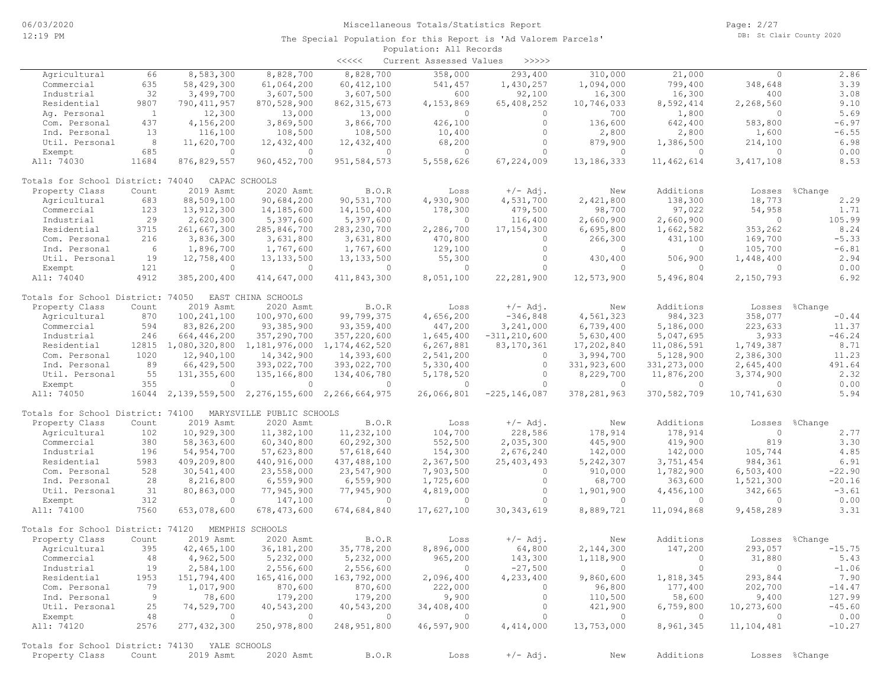|                                                |              |                |                                   | $\prec\prec\prec\prec\prec$ | Current Assessed Values | >>>>>            |                          |                |                |                |
|------------------------------------------------|--------------|----------------|-----------------------------------|-----------------------------|-------------------------|------------------|--------------------------|----------------|----------------|----------------|
| Agricultural                                   | 66           | 8,583,300      | 8,828,700                         | 8,828,700                   | 358,000                 | 293,400          | 310,000                  | 21,000         | $\circ$        | 2.86           |
| Commercial                                     | 635          | 58,429,300     | 61,064,200                        | 60, 412, 100                | 541,457                 | 1,430,257        | 1,094,000                | 799,400        | 348,648        | 3.39           |
| Industrial                                     | 32           | 3,499,700      | 3,607,500                         | 3,607,500                   | 600                     | 92,100           | 16,300                   | 16,300         | 400            | 3.08           |
| Residential                                    | 9807         | 790, 411, 957  | 870,528,900                       | 862, 315, 673               | 4,153,869               | 65,408,252       | 10,746,033               | 8,592,414      | 2,268,560      | 9.10           |
| Aq. Personal                                   | $\mathbf{1}$ | 12,300         | 13,000                            | 13,000                      | $\circ$                 | $\circ$          | 700                      | 1,800          | $\circ$        | 5.69           |
| Com. Personal                                  | 437          | 4,156,200      | 3,869,500                         | 3,866,700                   | 426,100                 | $\circ$          | 136,600                  | 642,400        | 583,800        | $-6.97$        |
| Ind. Personal                                  | 13           | 116,100        | 108,500                           | 108,500                     | 10,400                  | $\circ$          | 2,800                    | 2,800          | 1,600          | $-6.55$        |
| Util. Personal                                 | 8            | 11,620,700     | 12,432,400                        | 12,432,400                  | 68,200                  | $\circ$          | 879,900                  | 1,386,500      | 214,100        | 6.98           |
| Exempt                                         | 685          | $\circ$        | $\Omega$                          | $\circ$                     | $\circ$                 | 0                | $\circ$                  | $\circ$        | $\Omega$       | 0.00           |
| All: 74030                                     | 11684        | 876,829,557    | 960, 452, 700                     | 951, 584, 573               | 5,558,626               | 67,224,009       | 13, 186, 333             | 11, 462, 614   | 3, 417, 108    | 8.53           |
|                                                |              |                |                                   |                             |                         |                  |                          |                |                |                |
| Totals for School District: 74040              |              |                | CAPAC SCHOOLS                     |                             |                         |                  |                          |                |                |                |
| Property Class                                 | Count        | 2019 Asmt      | 2020 Asmt                         | B.O.R                       | Loss                    | $+/-$ Adj.       | New                      | Additions      | Losses         | %Change        |
| Agricultural                                   | 683          | 88,509,100     | 90,684,200                        | 90,531,700                  | 4,930,900               | 4,531,700        | 2,421,800                | 138,300        | 18,773         | 2.29           |
| Commercial                                     | 123          | 13,912,300     | 14,185,600                        | 14,150,400                  | 178,300                 | 479,500          | 98,700                   | 97,022         | 54,958         | 1.71           |
| Industrial                                     | 29           | 2,620,300      | 5,397,600                         | 5,397,600                   | 0                       | 116,400          | 2,660,900                | 2,660,900      | $\circ$        | 105.99         |
| Residential                                    | 3715         | 261,667,300    | 285,846,700                       | 283, 230, 700               | 2,286,700               | 17, 154, 300     | 6,695,800                | 1,662,582      | 353,262        | 8.24           |
| Com. Personal                                  | 216          | 3,836,300      | 3,631,800                         | 3,631,800                   | 470,800                 | $\circ$          | 266,300                  | 431,100        | 169,700        | $-5.33$        |
| Ind. Personal                                  | - 6          | 1,896,700      | 1,767,600                         | 1,767,600                   | 129,100                 | $\circ$          | $\circ$                  | 0              | 105,700        | $-6.81$        |
| Util. Personal                                 | 19           | 12,758,400     | 13, 133, 500                      | 13, 133, 500                | 55,300                  | $\circ$          | 430,400                  | 506,900        | 1,448,400      | 2.94           |
| Exempt                                         | 121          | $\circ$        | $\circ$                           | $\circ$                     | $\circ$                 | $\circ$          | $\mathbf{0}$             | $\mathbf{0}$   | $\mathbf{0}$   | 0.00           |
|                                                | 4912         | 385,200,400    | 414,647,000                       |                             | 8,051,100               |                  |                          | 5,496,804      |                |                |
| All: 74040                                     |              |                |                                   | 411,843,300                 |                         | 22, 281, 900     | 12,573,900               |                | 2,150,793      | 6.92           |
| Totals for School District: 74050              |              |                | EAST CHINA SCHOOLS                |                             |                         |                  |                          |                |                |                |
| Property Class                                 | Count        | 2019 Asmt      | 2020 Asmt                         | B.O.R                       | Loss                    | $+/-$ Adj.       | New                      | Additions      | Losses         | %Change        |
| Agricultural                                   | 870          | 100, 241, 100  | 100,970,600                       | 99,799,375                  | 4,656,200               | $-346,848$       | 4,561,323                | 984,323        | 358,077        | $-0.44$        |
| Commercial                                     | 594          | 83,826,200     | 93, 385, 900                      | 93, 359, 400                | 447,200                 | 3,241,000        | 6,739,400                | 5,186,000      | 223,633        | 11.37          |
| Industrial                                     | 246          | 664,446,200    | 357,290,700                       | 357,220,600                 | 1,645,400               | $-311, 210, 600$ | 5,630,400                | 5,047,695      | 3,933          | $-46.24$       |
| Residential                                    | 12815        | 1,080,320,800  | 1,181,976,000                     | 1, 174, 462, 520            | 6,267,881               | 83, 170, 361     | 17,202,840               | 11,086,591     | 1,749,387      | 8.71           |
| Com. Personal                                  | 1020         | 12,940,100     | 14,342,900                        | 14,393,600                  | 2,541,200               | $\circ$          | 3,994,700                | 5,128,900      | 2,386,300      | 11.23          |
| Ind. Personal                                  | 89           | 66,429,500     | 393,022,700                       | 393,022,700                 | 5,330,400               | $\circ$          | 331,923,600              | 331, 273, 000  | 2,645,400      | 491.64         |
| Util. Personal                                 | 55           | 131, 355, 600  |                                   |                             |                         | $\circ$          |                          | 11,876,200     | 3,374,900      | 2.32           |
|                                                | 355          | $\circ$        | 135,166,800<br>$\mathbf{0}$       | 134,406,780<br>$\circ$      | 5,178,520               | $\circ$          | 8,229,700                | $\circ$        | $\mathbf{0}$   |                |
| Exempt<br>All: 74050                           | 16044        |                | 2, 139, 559, 500 2, 276, 155, 600 | 2,266,664,975               | 0<br>26,066,801         | $-225, 146, 087$ | $\circ$<br>378,281,963   | 370,582,709    | 10,741,630     | 0.00<br>5.94   |
|                                                |              |                |                                   |                             |                         |                  |                          |                |                |                |
| Totals for School District: 74100              |              |                | MARYSVILLE PUBLIC SCHOOLS         |                             |                         |                  |                          |                |                |                |
| Property Class                                 | Count        | 2019 Asmt      | 2020 Asmt                         | B.O.R                       | Loss                    | $+/-$ Adj.       | New                      | Additions      | Losses         | %Change        |
| Agricultural                                   | 102          | 10,929,300     | 11,382,100                        | 11,232,100                  | 104,700                 | 228,586          | 178,914                  | 178,914        | $\circ$        | 2.77           |
| Commercial                                     | 380          | 58,363,600     | 60,340,800                        | 60,292,300                  | 552,500                 | 2,035,300        | 445,900                  | 419,900        | 819            | 3.30           |
| Industrial                                     | 196          | 54,954,700     | 57,623,800                        | 57,618,640                  | 154,300                 | 2,676,240        | 142,000                  | 142,000        | 105,744        | 4.85           |
| Residential                                    | 5983         | 409,209,800    | 440,916,000                       | 437,488,100                 | 2,367,500               | 25, 403, 493     | 5,242,307                | 3,751,454      | 984,361        | 6.91           |
| Com. Personal                                  | 528          | 30,541,400     | 23,558,000                        | 23,547,900                  | 7,903,500               | $\circ$          | 910,000                  | 1,782,900      | 6,503,400      | $-22.90$       |
| Ind. Personal                                  | 28           | 8,216,800      | 6,559,900                         | 6,559,900                   | 1,725,600               | $\circ$          | 68,700                   | 363,600        | 1,521,300      | $-20.16$       |
| Util. Personal                                 | 31           | 80,863,000     | 77,945,900                        | 77,945,900                  | 4,819,000               | $\circ$          | 1,901,900                | 4,456,100      | 342,665        | $-3.61$        |
| Exempt                                         | 312          | $\circ$        | 147,100                           | $\mathbf{0}$                | $\mathbf{0}$            | $\circ$          | $\mathbf{0}$             | $\circ$        | $\Omega$       | 0.00           |
| All: 74100                                     | 7560         | 653,078,600    | 678, 473, 600                     | 674,684,840                 | 17,627,100              | 30, 343, 619     | 8,889,721                | 11,094,868     | 9,458,289      | 3.31           |
|                                                |              |                |                                   |                             |                         |                  |                          |                |                |                |
| Totals for School District: 74120              |              |                | MEMPHIS SCHOOLS                   |                             |                         |                  |                          |                |                |                |
| Property Class                                 | Count        | 2019 Asmt      | 2020 Asmt                         | B.O.R                       | Loss                    | $+/-$ Adj.       | New                      | Additions      | Losses         | %Change        |
| Agricultural                                   | 395          | 42, 465, 100   | 36,181,200                        | 35,778,200                  | 8,896,000               | 64,800           | 2,144,300                | 147,200        | 293,057        | $-15.75$       |
| Commercial                                     | 48           | 4,962,500      | 5,232,000                         | 5,232,000                   | 965,200                 | 143,300          | 1,118,900                | $\overline{0}$ | 31,880         | 5.43           |
| Industrial                                     | 19           | 2,584,100      | 2,556,600                         | 2,556,600                   | $\overline{0}$          | $-27,500$        | $\sim$ 0                 | $\circ$        | $\overline{0}$ | $-1.06$        |
| Residential                                    | 1953         | 151,794,400    | 165,416,000                       | 163,792,000                 | 2,096,400               | 4,233,400        | 9,860,600                | 1,818,345      | 293,844        | 7.90           |
| Com. Personal                                  | 79           | 1,017,900      | 870,600                           | 870,600                     | 222,000                 | $\circ$          | 96,800                   | 177,400        | 202,700        | $-14.47$       |
| Ind. Personal                                  | - 9          | 78,600         | 179,200                           | 179,200                     | 9,900                   | $\circ$          | 110,500                  | 58,600         | 9,400          | 127.99         |
| Util. Personal                                 | 25           | 74,529,700     | 40,543,200                        | 40,543,200                  | 34,408,400              | $\circ$          | 421,900                  | 6,759,800      | 10,273,600     | $-45.60$       |
| Exempt                                         | 48           | $\overline{0}$ | $\overline{0}$                    | $\sim$ 0                    | $\overline{0}$          | $\circ$          | $\overline{\phantom{0}}$ | $\overline{0}$ | $\overline{0}$ | 0.00           |
| All: 74120                                     | 2576         | 277, 432, 300  | 250,978,800                       | 248,951,800                 | 46,597,900              | 4,414,000        | 13,753,000               | 8,961,345      | 11,104,481     | $-10.27$       |
|                                                |              |                |                                   |                             |                         |                  |                          |                |                |                |
| Totals for School District: 74130 YALE SCHOOLS |              |                |                                   |                             |                         |                  |                          |                |                |                |
| Property Class                                 | Count        | 2019 Asmt      | 2020 Asmt                         | B.O.R                       | Loss                    | $+/-$ Adj.       | New                      | Additions      |                | Losses %Change |
|                                                |              |                |                                   |                             |                         |                  |                          |                |                |                |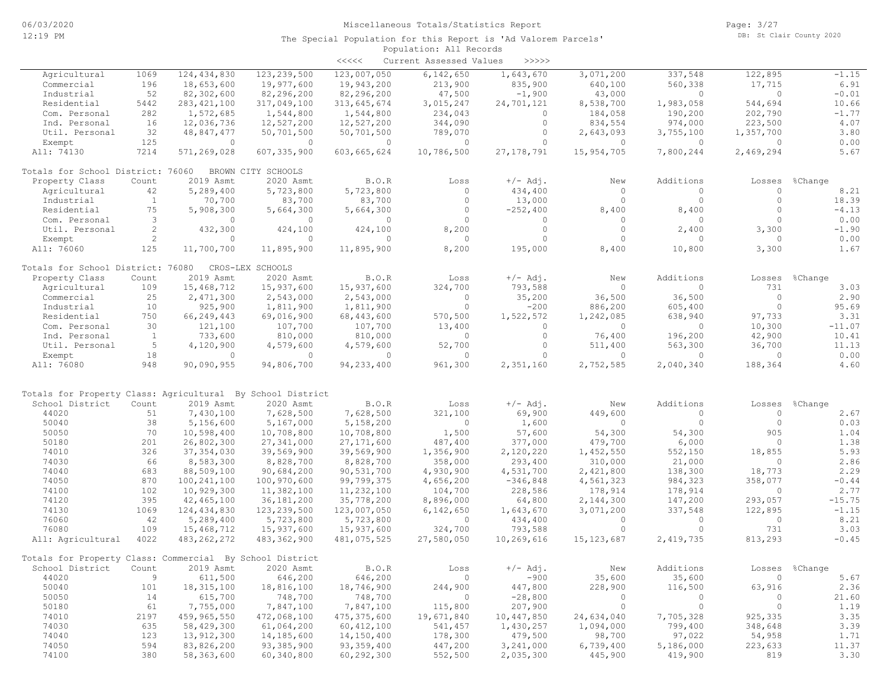|                                                            |                       |               |                    | $\prec\prec\prec\prec\prec$ | Current Assessed Values | $>>>>>$      |                |                |                          |                |
|------------------------------------------------------------|-----------------------|---------------|--------------------|-----------------------------|-------------------------|--------------|----------------|----------------|--------------------------|----------------|
| Agricultural                                               | 1069                  | 124,434,830   | 123, 239, 500      | 123,007,050                 | 6,142,650               | 1,643,670    | 3,071,200      | 337,548        | 122,895                  | $-1.15$        |
| Commercial                                                 | 196                   | 18,653,600    | 19,977,600         | 19,943,200                  | 213,900                 | 835,900      | 640,100        | 560,338        | 17,715                   | 6.91           |
| Industrial                                                 | 52                    | 82,302,600    | 82,296,200         | 82,296,200                  | 47,500                  | $-1,900$     | 43,000         | $\overline{0}$ | $\Omega$                 | $-0.01$        |
| Residential                                                | 5442                  | 283, 421, 100 | 317,049,100        | 313,645,674                 | 3,015,247               | 24,701,121   | 8,538,700      | 1,983,058      | 544,694                  | 10.66          |
| Com. Personal                                              | 282                   | 1,572,685     | 1,544,800          | 1,544,800                   | 234,043                 | $\circ$      | 184,058        | 190,200        | 202,790                  | $-1.77$        |
| Ind. Personal                                              | 16                    | 12,036,736    | 12,527,200         | 12,527,200                  | 344,090                 | $\circ$      | 834,554        | 974,000        | 223,500                  | 4.07           |
| Util. Personal                                             | 32                    | 48,847,477    | 50,701,500         | 50,701,500                  | 789,070                 | $\circ$      | 2,643,093      | 3,755,100      | 1,357,700                | 3.80           |
| Exempt                                                     | 125                   | $\circ$       | $\overline{0}$     | $\circ$                     | $\overline{0}$          | $\circ$      | $\circ$        | $\circ$        | $\Omega$                 | 0.00           |
| All: 74130                                                 | 7214                  | 571,269,028   | 607, 335, 900      | 603,665,624                 | 10,786,500              | 27, 178, 791 | 15,954,705     | 7,800,244      | 2,469,294                | 5.67           |
| Totals for School District: 76060                          |                       |               | BROWN CITY SCHOOLS |                             |                         |              |                |                |                          |                |
| Property Class                                             | Count                 | 2019 Asmt     | 2020 Asmt          | B.O.R                       | Loss                    | $+/-$ Adj.   | New            | Additions      | Losses                   | %Change        |
| Agricultural                                               | 42                    | 5,289,400     | 5,723,800          | 5,723,800                   | $\Omega$                | 434,400      | $\circ$        | $\Omega$       | $\circ$                  | 8.21           |
| Industrial                                                 | $\overline{1}$        | 70,700        | 83,700             | 83,700                      | $\Omega$                | 13,000       | $\circ$        | $\Omega$       | $\Omega$                 | 18.39          |
| Residential                                                | 75                    | 5,908,300     | 5,664,300          | 5,664,300                   | $\circ$                 | $-252,400$   | 8,400          | 8,400          | $\Omega$                 | $-4.13$        |
| Com. Personal                                              | 3                     | $\circ$       | $\circ$            | $\circ$                     | $\Omega$                | $\circ$      | $\circ$        | $\circ$        | $\Omega$                 | 0.00           |
| Util. Personal                                             | 2                     | 432,300       | 424,100            | 424,100                     | 8,200                   | $\circ$      | $\circ$        | 2,400          | 3,300                    | $-1.90$        |
| Exempt                                                     | $\mathbf{2}^{\prime}$ | $\circ$       | $\circ$            | $\Omega$                    | $\overline{0}$          | $\circ$      | $\circ$        | $\circ$        | $\Omega$                 | 0.00           |
| All: 76060                                                 | 125                   | 11,700,700    | 11,895,900         | 11,895,900                  | 8,200                   | 195,000      | 8,400          | 10,800         | 3,300                    | 1.67           |
| Totals for School District: 76080                          |                       |               | CROS-LEX SCHOOLS   |                             |                         |              |                |                |                          |                |
| Property Class                                             | Count                 | 2019 Asmt     | 2020 Asmt          | B.O.R                       | Loss                    | $+/-$ Adj.   | New            | Additions      | Losses                   | %Change        |
| Agricultural                                               | 109                   | 15,468,712    | 15,937,600         | 15,937,600                  | 324,700                 | 793,588      | $\circ$        | $\circ$        | 731                      | 3.03           |
| Commercial                                                 | 25                    | 2,471,300     | 2,543,000          | 2,543,000                   | $\overline{0}$          | 35,200       | 36,500         | 36,500         | $\circ$                  | 2.90           |
| Industrial                                                 | 10                    | 925,900       | 1,811,900          | 1,811,900                   | $\circ$                 | $-200$       | 886,200        | 605,400        | $\Omega$                 | 95.69          |
| Residential                                                | 750                   | 66,249,443    | 69,016,900         | 68,443,600                  | 570,500                 | 1,522,572    | 1,242,085      | 638,940        | 97,733                   | 3.31           |
| Com. Personal                                              | 30                    | 121,100       | 107,700            | 107,700                     | 13,400                  | $\circ$      | $\circ$        | $\circ$        | 10,300                   | $-11.07$       |
| Ind. Personal                                              | $\overline{1}$        | 733,600       | 810,000            | 810,000                     | $\Omega$                | $\circ$      | 76,400         | 196,200        | 42,900                   | 10.41          |
| Util. Personal                                             | 5                     | 4,120,900     | 4,579,600          | 4,579,600                   | 52,700                  | $\circ$      | 511,400        | 563,300        | 36,700                   | 11.13          |
| Exempt                                                     | 18                    | $\Omega$      | $\Omega$           | $\Omega$                    | $\Omega$                | $\Omega$     | $\circ$        | $\Omega$       | $\Omega$                 | 0.00           |
| All: 76080                                                 | 948                   | 90,090,955    | 94,806,700         | 94, 233, 400                | 961,300                 | 2,351,160    | 2,752,585      | 2,040,340      | 188,364                  | 4.60           |
|                                                            |                       |               |                    |                             |                         |              |                |                |                          |                |
| Totals for Property Class: Agricultural By School District |                       |               |                    |                             |                         |              |                |                |                          |                |
| School District                                            | Count                 | 2019 Asmt     | 2020 Asmt          | B.O.R                       | Loss                    | $+/-$ Adj.   | New            | Additions      | Losses                   | %Change        |
| 44020                                                      | 51                    | 7,430,100     | 7,628,500          | 7,628,500                   | 321,100                 | 69,900       | 449,600        | $\circ$        | $\circ$                  | 2.67           |
| 50040                                                      | 38                    | 5,156,600     | 5,167,000          | 5,158,200                   | $\overline{0}$          | 1,600        | $\circ$        | $\circ$        | $\Omega$                 | 0.03           |
| 50050                                                      | 70                    | 10,598,400    | 10,708,800         | 10,708,800                  | 1,500                   | 57,600       | 54,300         | 54,300         | 905                      | 1.04           |
| 50180                                                      | 201                   | 26,802,300    | 27, 341, 000       | 27, 171, 600                | 487,400                 | 377,000      | 479,700        | 6,000          | $\Omega$                 | 1.38           |
| 74010                                                      | 326                   | 37, 354, 030  | 39,569,900         | 39,569,900                  | 1,356,900               | 2,120,220    | 1,452,550      | 552,150        | 18,855                   | 5.93           |
| 74030                                                      | 66                    | 8,583,300     | 8,828,700          | 8,828,700                   | 358,000                 | 293,400      | 310,000        | 21,000         | $\Omega$                 | 2.86           |
| 74040                                                      | 683                   | 88,509,100    | 90,684,200         | 90,531,700                  | 4,930,900               | 4,531,700    | 2,421,800      | 138,300        | 18,773                   | 2.29           |
| 74050                                                      | 870                   | 100,241,100   | 100,970,600        | 99,799,375                  | 4,656,200               | $-346,848$   | 4,561,323      | 984,323        | 358,077                  | $-0.44$        |
| 74100                                                      | 102                   | 10,929,300    | 11,382,100         | 11,232,100                  | 104,700                 | 228,586      | 178,914        | 178,914        | $\circ$                  | 2.77           |
| 74120                                                      | 395                   | 42,465,100    | 36,181,200         | 35,778,200                  | 8,896,000               | 64,800       | 2,144,300      | 147,200        | 293,057                  | $-15.75$       |
| 74130                                                      | 1069                  | 124, 434, 830 | 123, 239, 500      | 123,007,050                 | 6,142,650               | 1,643,670    | 3,071,200      | 337,548        | 122,895                  | $-1.15$        |
| 76060                                                      | 42                    | 5,289,400     | 5,723,800          | 5,723,800                   | $\circ$                 | 434,400      | $\circ$        | $\circ$        | $\circ$                  | 8.21           |
| 76080                                                      | 109                   | 15,468,712    | 15,937,600         | 15,937,600                  | 324,700                 | 793,588      | $\circ$        | $\circ$        | 731                      | 3.03           |
| All: Agricultural                                          | 4022                  | 483, 262, 272 | 483, 362, 900      | 481,075,525                 | 27,580,050              | 10,269,616   | 15, 123, 687   | 2,419,735      | 813,293                  | $-0.45$        |
| Totals for Property Class: Commercial By School District   |                       |               |                    |                             |                         |              |                |                |                          |                |
| School District                                            | Count                 | 2019 Asmt     | 2020 Asmt          | B.O.R                       | Loss                    | $+/-$ Adj.   | New            | Additions      |                          | Losses %Change |
| 44020                                                      | 9                     | 611,500       | 646,200            | 646,200                     | $\overline{0}$          | $-900$       | 35,600         | 35,600         | $\overline{\phantom{0}}$ | 5.67           |
| 50040                                                      | 101                   | 18, 315, 100  | 18,816,100         | 18,746,900                  | 244,900                 | 447,800      | 228,900        | 116,500        | 63,916                   | 2.36           |
| 50050                                                      | 14                    | 615,700       | 748,700            | 748,700                     | $\circ$                 | $-28,800$    | $\overline{0}$ | $\overline{0}$ | 0                        | 21.60          |
| 50180                                                      | 61                    | 7,755,000     | 7,847,100          | 7,847,100                   | 115,800                 | 207,900      | $\circ$        | $\overline{0}$ | $\circ$                  | 1.19           |
| 74010                                                      | 2197                  | 459,965,550   | 472,068,100        | 475, 375, 600               | 19,671,840              | 10,447,850   | 24,634,040     | 7,705,328      | 925,335                  | 3.35           |
| 74030                                                      | 635                   | 58,429,300    | 61,064,200         | 60, 412, 100                | 541,457                 | 1,430,257    | 1,094,000      | 799,400        | 348,648                  | 3.39           |
| 74040                                                      | 123                   | 13,912,300    | 14,185,600         | 14,150,400                  | 178,300                 | 479,500      | 98,700         | 97,022         | 54,958                   | 1.71           |
| 74050                                                      | 594                   | 83,826,200    | 93,385,900         | 93, 359, 400                | 447,200                 | 3,241,000    | 6,739,400      | 5,186,000      | 223,633                  | 11.37          |
| 74100                                                      | 380                   | 58,363,600    | 60,340,800         | 60,292,300                  | 552,500                 | 2,035,300    | 445,900        | 419,900        | 819                      | 3.30           |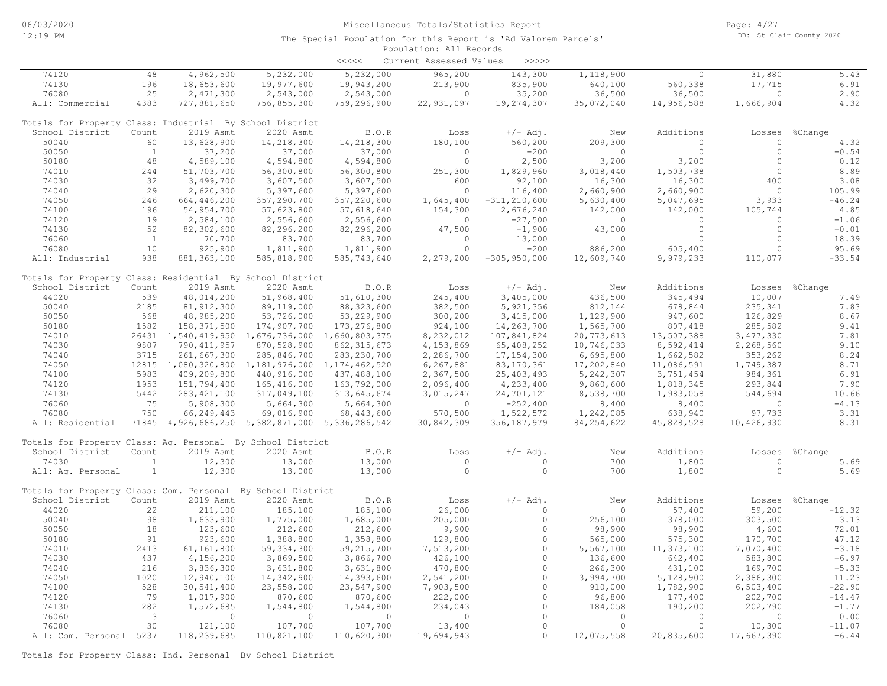# Population: All Records The Special Population for this Report is 'Ad Valorem Parcels'

|                                                             |                          |                                                          |                          | $\begin{array}{c} < \,<< \,<< \end{array}$ | Current Assessed Values | >>>>>            |                |                    |                |                |
|-------------------------------------------------------------|--------------------------|----------------------------------------------------------|--------------------------|--------------------------------------------|-------------------------|------------------|----------------|--------------------|----------------|----------------|
| 74120                                                       | 48                       | 4,962,500                                                | 5,232,000                | 5,232,000                                  | 965,200                 | 143,300          | 1,118,900      | $\circ$            | 31,880         | 5.43           |
| 74130                                                       | 196                      | 18,653,600                                               | 19,977,600               | 19,943,200                                 | 213,900                 | 835,900          | 640,100        | 560,338            | 17,715         | 6.91           |
| 76080                                                       | 25                       | 2,471,300                                                | 2,543,000                | 2,543,000                                  | $\Omega$                | 35,200           | 36,500         | 36,500             | $\circ$        | 2.90           |
| All: Commercial                                             | 4383                     | 727,881,650                                              | 756,855,300              | 759,296,900                                | 22,931,097              | 19,274,307       | 35,072,040     | 14,956,588         | 1,666,904      | 4.32           |
| Totals for Property Class: Industrial By School District    |                          |                                                          |                          |                                            |                         |                  |                |                    |                |                |
| School District                                             | Count                    | 2019 Asmt                                                | 2020 Asmt                | B.O.R                                      | Loss                    | $+/-$ Adj.       | New            | Additions          | Losses         | %Change        |
| 50040                                                       | 60                       | 13,628,900                                               | 14,218,300               | 14,218,300                                 | 180,100                 | 560,200          | 209,300        | $\Omega$           | $\circ$        | 4.32           |
| 50050                                                       | $\mathbf{1}$             | 37,200                                                   | 37,000                   | 37,000                                     | $\Omega$                | $-200$           | $\overline{0}$ | $\circ$            | $\circ$        | $-0.54$        |
| 50180                                                       | 48                       | 4,589,100                                                | 4,594,800                | 4,594,800                                  | $\circ$                 | 2,500            | 3,200          | 3,200              | $\circ$        | 0.12           |
| 74010                                                       | 244                      | 51,703,700                                               | 56,300,800               | 56,300,800                                 | 251,300                 | 1,829,960        | 3,018,440      | 1,503,738          | $\circ$        | 8.89           |
| 74030                                                       | 32                       | 3,499,700                                                | 3,607,500                | 3,607,500                                  | 600                     | 92,100           | 16,300         | 16,300             | 400            | 3.08           |
| 74040                                                       | 29                       | 2,620,300                                                | 5,397,600                | 5,397,600                                  | $\overline{0}$          | 116,400          | 2,660,900      | 2,660,900          | $\overline{0}$ | 105.99         |
| 74050                                                       | 246                      | 664,446,200                                              | 357,290,700              | 357,220,600                                | 1,645,400               | $-311, 210, 600$ | 5,630,400      | 5,047,695          | 3,933          | $-46.24$       |
| 74100                                                       | 196                      | 54,954,700                                               | 57,623,800               | 57,618,640                                 | 154,300                 | 2,676,240        | 142,000        | 142,000            | 105,744        | 4.85           |
| 74120                                                       | 19                       | 2,584,100                                                | 2,556,600                | 2,556,600                                  | $\circ$                 | $-27,500$        | $\circ$        | $\circ$            | $\circ$        | $-1.06$        |
| 74130                                                       | 52                       | 82,302,600                                               | 82,296,200               | 82,296,200                                 | 47,500                  | $-1,900$         | 43,000         | $\circ$            | $\circ$        | $-0.01$        |
| 76060                                                       | $\mathbf{1}$             | 70,700                                                   | 83,700                   | 83,700                                     | $\circ$                 | 13,000           | $\circ$        | $\circ$            | $\circ$        | 18.39          |
| 76080                                                       | 10                       | 925,900                                                  | 1,811,900                | 1,811,900                                  | $\Omega$                | $-200$           | 886,200        | 605,400            | $\circ$        | 95.69          |
| All: Industrial                                             | 938                      | 881, 363, 100                                            | 585,818,900              | 585,743,640                                | 2,279,200               | $-305, 950, 000$ | 12,609,740     | 9,979,233          | 110,077        | $-33.54$       |
| Totals for Property Class: Residential By School District   |                          |                                                          |                          |                                            |                         |                  |                |                    |                |                |
| School District                                             | Count                    | 2019 Asmt                                                | 2020 Asmt                | B.O.R                                      | Loss                    | $+/-$ Adj.       | New            | Additions          |                | Losses %Change |
| 44020                                                       | 539                      | 48,014,200                                               | 51,968,400               | 51,610,300                                 | 245,400                 | 3,405,000        | 436,500        | 345,494            | 10,007         | 7.49           |
| 50040                                                       | 2185                     | 81, 912, 300                                             | 89,119,000               | 88, 323, 600                               | 382,500                 | 5,921,356        | 812,144        | 678,844            | 235,341        | 7.83           |
| 50050                                                       | 568                      | 48,985,200                                               | 53,726,000               | 53,229,900                                 | 300,200                 | 3,415,000        | 1,129,900      | 947,600            | 126,829        | 8.67           |
| 50180                                                       | 1582                     | 158, 371, 500                                            | 174,907,700              | 173, 276, 800                              | 924,100                 | 14,263,700       | 1,565,700      | 807,418            | 285,582        | 9.41           |
| 74010                                                       |                          | 26431 1,540,419,950 1,676,736,000 1,660,803,375          |                          |                                            | 8,232,012               | 107,841,824      | 20,773,613     | 13,507,388         | 3, 477, 330    | 7.81           |
| 74030                                                       | 9807                     | 790, 411, 957                                            | 870,528,900              | 862, 315, 673                              | 4,153,869               | 65,408,252       | 10,746,033     | 8,592,414          | 2,268,560      | 9.10           |
| 74040                                                       | 3715                     | 261,667,300                                              | 285,846,700              | 283, 230, 700                              | 2,286,700               | 17, 154, 300     | 6,695,800      | 1,662,582          | 353,262        | 8.24           |
| 74050                                                       |                          | 12815 1,080,320,800 1,181,976,000 1,174,462,520          |                          |                                            | 6,267,881               | 83, 170, 361     | 17,202,840     | 11,086,591         | 1,749,387      | 8.71           |
| 74100                                                       | 5983                     | 409,209,800                                              | 440,916,000              | 437,488,100                                | 2,367,500               | 25, 403, 493     | 5, 242, 307    | 3,751,454          | 984,361        | 6.91           |
| 74120                                                       | 1953                     | 151,794,400                                              | 165,416,000              | 163,792,000                                | 2,096,400               | 4,233,400        | 9,860,600      | 1,818,345          | 293,844        | 7.90           |
| 74130                                                       | 5442                     |                                                          |                          |                                            | 3,015,247               |                  | 8,538,700      |                    | 544,694        | 10.66          |
| 76060                                                       | 75                       | 283, 421, 100                                            | 317,049,100<br>5,664,300 | 313,645,674<br>5,664,300                   | $\overline{0}$          | 24,701,121       |                | 1,983,058<br>8,400 | $\circ$        | $-4.13$        |
| 76080                                                       | 750                      | 5,908,300                                                |                          |                                            |                         | $-252,400$       | 8,400          |                    |                |                |
|                                                             |                          | 66,249,443                                               | 69,016,900               | 68,443,600                                 | 570,500                 | 1,522,572        | 1,242,085      | 638,940            | 97,733         | 3.31           |
| All: Residential                                            |                          | 71845 4, 926, 686, 250 5, 382, 871, 000 5, 336, 286, 542 |                          |                                            | 30,842,309              | 356, 187, 979    | 84, 254, 622   | 45,828,528         | 10,426,930     | 8.31           |
| Totals for Property Class: Aq. Personal By School District  |                          |                                                          |                          |                                            |                         |                  |                |                    |                |                |
| School District                                             | Count                    | 2019 Asmt                                                | 2020 Asmt                | B.O.R                                      | Loss                    | $+/-$ Adj.       | New            | Additions          | Losses         | %Change        |
| 74030                                                       | $\mathbf{1}$             | 12,300                                                   | 13,000                   | 13,000                                     | $\overline{0}$          | $\circ$          | 700            | 1,800              | $\circ$        | 5.69           |
| All: Aq. Personal                                           | $\mathbf{1}$             | 12,300                                                   | 13,000                   | 13,000                                     | $\circ$                 | $\circ$          | 700            | 1,800              | $\circ$        | 5.69           |
| Totals for Property Class: Com. Personal By School District |                          |                                                          |                          |                                            |                         |                  |                |                    |                |                |
| School District                                             | Count                    | 2019 Asmt                                                | 2020 Asmt                | B.O.R                                      | Loss                    | $+/-$ Adj.       | New            | Additions          | Losses         | %Change        |
| 44020                                                       | 22                       | 211,100                                                  | 185,100                  | 185,100                                    | 26,000                  | $\Omega$         | $\Omega$       | 57,400             | 59,200         | $-12.32$       |
| 50040                                                       | 98                       | 1,633,900                                                | 1,775,000                | 1,685,000                                  | 205,000                 | $\circ$          | 256,100        | 378,000            | 303,500        | 3.13           |
| 50050                                                       | 18                       | 123,600                                                  | 212,600                  | 212,600                                    | 9,900                   | $\Omega$         | 98,900         | 98,900             | 4,600          | 72.01          |
| 50180                                                       | 91                       | 923,600                                                  | 1,388,800                | 1,358,800                                  | 129,800                 | $\circ$          | 565,000        | 575,300            | 170,700        | 47.12          |
| 74010                                                       | 2413                     | 61,161,800                                               | 59, 334, 300             | 59, 215, 700                               | 7,513,200               | $\circ$          | 5,567,100      | 11, 373, 100       | 7,070,400      | $-3.18$        |
| 74030                                                       | 437                      | 4,156,200                                                | 3,869,500                | 3,866,700                                  | 426,100                 | $\circ$          | 136,600        | 642,400            | 583,800        | $-6.97$        |
| 74040                                                       | 216                      | 3,836,300                                                | 3,631,800                | 3,631,800                                  | 470,800                 | $\Omega$         | 266,300        | 431,100            | 169,700        | $-5.33$        |
| 74050                                                       | 1020                     | 12,940,100                                               | 14,342,900               | 14,393,600                                 | 2,541,200               | $\circ$          | 3,994,700      | 5,128,900          | 2,386,300      | 11.23          |
| 74100                                                       | 528                      | 30,541,400                                               | 23,558,000               | 23,547,900                                 | 7,903,500               | $\circ$          | 910,000        | 1,782,900          | 6,503,400      | $-22.90$       |
| 74120                                                       | 79                       | 1,017,900                                                | 870,600                  | 870,600                                    | 222,000                 | $\circ$          | 96,800         | 177,400            | 202,700        | $-14.47$       |
| 74130                                                       | 282                      | 1,572,685                                                | 1,544,800                | 1,544,800                                  | 234,043                 | $\Omega$         | 184,058        | 190,200            | 202,790        | $-1.77$        |
| 76060                                                       | $\overline{\phantom{a}}$ | $\Omega$                                                 | $\Omega$                 | $\Omega$                                   | $\Omega$                | $\Omega$         | $\overline{0}$ | $\Omega$           | $\Omega$       | 0.00           |
| 76080                                                       | 30                       | 121,100                                                  | 107,700                  | 107,700                                    | 13,400                  | $\Omega$         | $\Omega$       | $\Omega$           | 10,300         | $-11.07$       |
| All: Com. Personal 5237                                     |                          | 118,239,685                                              | 110,821,100              | 110,620,300                                | 19,694,943              | $\circ$          | 12,075,558     | 20,835,600         | 17,667,390     | $-6.44$        |

Totals for Property Class: Ind. Personal By School District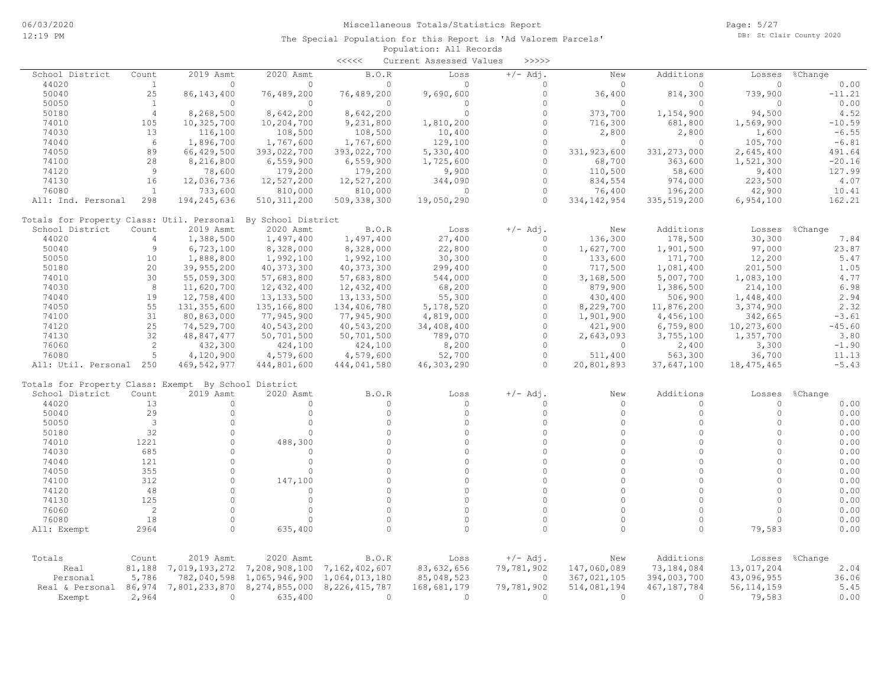|                                                      |                |               |                    | $\begin{array}{c} \begin{array}{c} < \  \  < \  \  < \end{array} \end{array}$ | Current Assessed Values | >>>>>      |               |               |              |          |
|------------------------------------------------------|----------------|---------------|--------------------|-------------------------------------------------------------------------------|-------------------------|------------|---------------|---------------|--------------|----------|
| School District                                      | Count          | 2019 Asmt     | 2020 Asmt          | B.O.R                                                                         | Loss                    | $+/-$ Adj. | New           | Additions     | Losses       | %Change  |
| 44020                                                | <sup>1</sup>   | $\circ$       | $\mathbf{0}$       | 0                                                                             | $\Omega$                | 0          | $\Omega$      | $\circ$       | $\Omega$     | 0.00     |
| 50040                                                | 25             | 86, 143, 400  | 76,489,200         | 76,489,200                                                                    | 9,690,600               | $\circ$    | 36,400        | 814,300       | 739,900      | $-11.21$ |
| 50050                                                | <sup>1</sup>   | $\circ$       | $\Omega$           | $\circ$                                                                       | $\circ$                 | $\Omega$   | $\circ$       | $\circ$       | $\Omega$     | 0.00     |
| 50180                                                | $\overline{4}$ | 8,268,500     | 8,642,200          | 8,642,200                                                                     | $\circ$                 | $\Omega$   | 373,700       | 1,154,900     | 94,500       | 4.52     |
| 74010                                                | 105            | 10,325,700    | 10,204,700         | 9,231,800                                                                     | 1,810,200               | $\Omega$   | 716,300       | 681,800       | 1,569,900    | $-10.59$ |
| 74030                                                | 13             | 116,100       | 108,500            | 108,500                                                                       | 10,400                  | $\Omega$   | 2,800         | 2,800         | 1,600        | $-6.55$  |
| 74040                                                | 6              | 1,896,700     | 1,767,600          | 1,767,600                                                                     | 129,100                 | $\Omega$   | $\Omega$      | $\Omega$      | 105,700      | $-6.81$  |
| 74050                                                | 89             | 66,429,500    | 393,022,700        | 393,022,700                                                                   | 5,330,400               | $\circ$    | 331,923,600   | 331, 273, 000 | 2,645,400    | 491.64   |
| 74100                                                | 28             | 8,216,800     | 6,559,900          | 6,559,900                                                                     | 1,725,600               | $\circ$    | 68,700        | 363,600       | 1,521,300    | $-20.16$ |
| 74120                                                | $\mathcal{Q}$  | 78,600        | 179,200            | 179,200                                                                       | 9,900                   | $\Omega$   | 110,500       | 58,600        | 9,400        | 127.99   |
| 74130                                                | 16             | 12,036,736    | 12,527,200         | 12,527,200                                                                    | 344,090                 | $\Omega$   | 834,554       | 974,000       | 223,500      | 4.07     |
| 76080                                                | <sup>1</sup>   | 733,600       | 810,000            | 810,000                                                                       | $\circ$                 | $\circ$    | 76,400        | 196,200       | 42,900       | 10.41    |
| All: Ind. Personal                                   | 298            | 194, 245, 636 | 510, 311, 200      | 509,338,300                                                                   | 19,050,290              | $\circ$    | 334, 142, 954 | 335,519,200   | 6,954,100    | 162.21   |
| Totals for Property Class: Util. Personal            |                |               | By School District |                                                                               |                         |            |               |               |              |          |
| School District                                      | Count          | 2019 Asmt     | 2020 Asmt          | B.O.R                                                                         | Loss                    | $+/-$ Adj. | New           | Additions     | Losses       | %Change  |
| 44020                                                | $\overline{4}$ | 1,388,500     | 1,497,400          | 1,497,400                                                                     | 27,400                  | $\Omega$   | 136,300       | 178,500       | 30,300       | 7.84     |
| 50040                                                | 9              | 6,723,100     | 8,328,000          | 8,328,000                                                                     | 22,800                  | $\Omega$   | 1,627,700     | 1,901,500     | 97,000       | 23.87    |
| 50050                                                | 10             | 1,888,800     | 1,992,100          | 1,992,100                                                                     | 30,300                  | $\Omega$   | 133,600       | 171,700       | 12,200       | 5.47     |
| 50180                                                | 20             | 39,955,200    | 40, 373, 300       | 40, 373, 300                                                                  | 299,400                 | $\Omega$   | 717,500       | 1,081,400     | 201,500      | 1.05     |
| 74010                                                | 30             | 55,059,300    | 57,683,800         | 57,683,800                                                                    | 544,000                 | $\Omega$   | 3,168,500     | 5,007,700     | 1,083,100    | 4.77     |
| 74030                                                | 8              | 11,620,700    | 12,432,400         | 12,432,400                                                                    | 68,200                  | $\Omega$   | 879,900       | 1,386,500     | 214,100      | 6.98     |
| 74040                                                | 19             | 12,758,400    | 13, 133, 500       | 13, 133, 500                                                                  | 55,300                  | $\Omega$   | 430,400       | 506,900       | 1,448,400    | 2.94     |
| 74050                                                | 55             | 131, 355, 600 | 135,166,800        | 134,406,780                                                                   | 5,178,520               | $\Omega$   | 8,229,700     | 11,876,200    | 3,374,900    | 2.32     |
| 74100                                                | 31             | 80,863,000    | 77,945,900         | 77,945,900                                                                    | 4,819,000               | $\Omega$   | 1,901,900     | 4,456,100     | 342,665      | $-3.61$  |
| 74120                                                | 25             | 74,529,700    | 40,543,200         | 40,543,200                                                                    | 34,408,400              | $\Omega$   | 421,900       | 6,759,800     | 10,273,600   | $-45.60$ |
| 74130                                                | 32             | 48,847,477    | 50,701,500         | 50,701,500                                                                    | 789,070                 | $\Omega$   | 2,643,093     | 3,755,100     | 1,357,700    | 3.80     |
| 76060                                                | 2              | 432,300       | 424,100            | 424,100                                                                       | 8,200                   | $\Omega$   | $\circ$       | 2,400         | 3,300        | $-1.90$  |
| 76080                                                | 5              | 4,120,900     | 4,579,600          | 4,579,600                                                                     | 52,700                  | $\circ$    | 511,400       | 563,300       | 36,700       | 11.13    |
| All: Util. Personal 250                              |                | 469, 542, 977 | 444,801,600        | 444,041,580                                                                   | 46,303,290              | $\Omega$   | 20,801,893    | 37,647,100    | 18, 475, 465 | $-5.43$  |
| Totals for Property Class: Exempt By School District |                |               |                    |                                                                               |                         |            |               |               |              |          |
| School District                                      | Count          | 2019 Asmt     | 2020 Asmt          | B.O.R                                                                         | Loss                    | $+/-$ Adj. | New           | Additions     | Losses       | %Change  |
| 44020                                                | 13             | $\circ$       | $\Omega$           | $\circ$                                                                       | $\circ$                 | $\Omega$   | $\Omega$      | $\circ$       | $\Omega$     | 0.00     |
| 50040                                                | 29             | $\circ$       | $\circ$            | $\circ$                                                                       | $\circ$                 | $\Omega$   | $\circ$       | $\circ$       | $\circ$      | 0.00     |
| 50050                                                | 3              | $\circ$       | $\circ$            | $\Omega$                                                                      | $\Omega$                | $\Omega$   | $\Omega$      | $\Omega$      | $\circ$      | 0.00     |
| 50180                                                | 32             | $\circ$       | $\cap$             | $\circ$                                                                       | $\Omega$                | $\Omega$   | $\Omega$      | $\Omega$      | $\cap$       | 0.00     |
| 74010                                                | 1221           | $\Omega$      | 488,300            | $\Omega$                                                                      | $\Omega$                | $\Omega$   | $\Omega$      | $\Omega$      | $\Omega$     | 0.00     |
| 74030                                                | 685            | $\circ$       | $\circ$            | $\Omega$                                                                      | $\Omega$                | $\Omega$   | $\Omega$      | $\Omega$      | $\Omega$     | 0.00     |
| 74040                                                | 121            | $\circ$       | $\circ$            | $\Omega$                                                                      | $\Omega$                | $\Omega$   | $\Omega$      | $\Omega$      | $\Omega$     | 0.00     |
| 74050                                                | 355            | $\Omega$      | $\Omega$           | $\Omega$                                                                      | $\Omega$                | $\Omega$   | $\Omega$      | $\Omega$      | $\Omega$     | 0.00     |
| 74100                                                | 312            | $\circ$       | 147,100            | $\Omega$                                                                      | $\Omega$                | $\Omega$   | $\Omega$      | $\Omega$      | $\Omega$     | 0.00     |
| 74120                                                | 48             | $\circ$       | $\Omega$           | $\Omega$                                                                      | $\Omega$                | $\Omega$   | $\Omega$      | $\Omega$      | $\Omega$     | 0.00     |
| 74130                                                | 125            | $\circ$       | $\circ$            | $\circ$                                                                       | $\Omega$                | $\Omega$   | $\circ$       | $\circ$       | $\circ$      | 0.00     |
| 76060                                                | $\overline{c}$ | $\Omega$      | $\Omega$           | $\Omega$                                                                      | $\cap$                  | $\Omega$   | $\Omega$      | $\Omega$      | $\cap$       | 0.00     |
| 76080                                                | 18             | $\Omega$      | $\Omega$           | $\Omega$                                                                      | $\Omega$                | $\Omega$   | $\Omega$      | $\Omega$      | $\cap$       | 0.00     |
| All: Exempt                                          | 2964           | 0             | 635,400            | $\Omega$                                                                      | $\Omega$                | $\Omega$   | $\Omega$      | $\circ$       | 79,583       | 0.00     |
|                                                      |                |               |                    |                                                                               |                         |            |               |               |              |          |
| Totals                                               | Count          | 2019 Asmt     | 2020 Asmt          | B.O.R                                                                         | Loss                    | $+/-$ Adj. | New           | Additions     | Losses       | %Change  |
| Real                                                 | 81,188         | 7,019,193,272 | 7,208,908,100      | 7,162,402,607                                                                 | 83,632,656              | 79,781,902 | 147,060,089   | 73,184,084    | 13,017,204   | 2.04     |
| Personal                                             | 5,786          | 782,040,598   | 1,065,946,900      | 1,064,013,180                                                                 | 85,048,523              | 0          | 367,021,105   | 394,003,700   | 43,096,955   | 36.06    |
| Real & Personal 86,974                               |                | 7,801,233,870 | 8,274,855,000      | 8, 226, 415, 787                                                              | 168,681,179             | 79,781,902 | 514,081,194   | 467, 187, 784 | 56, 114, 159 | 5.45     |
| Exempt                                               | 2,964          | $\Omega$      | 635,400            | $\Omega$                                                                      | $\Omega$                | $\Omega$   | $\Omega$      | $\Omega$      | 79,583       | 0.00     |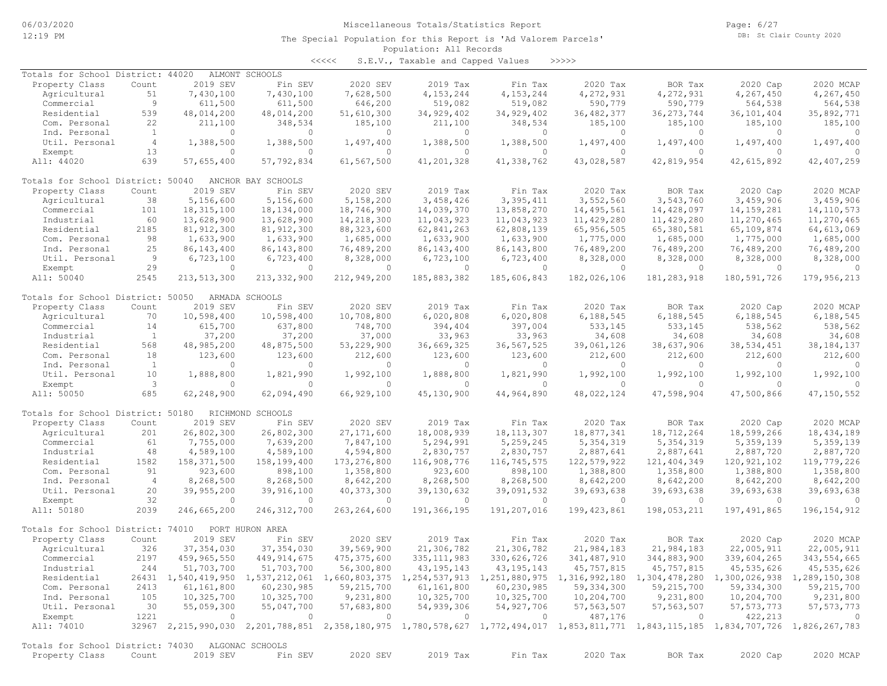<<<<< S.E.V., Taxable and Capped Values >>>>>

| Totals for School District: 44020                 |                |                       | ALMONT SCHOOLS        |                |                |                |                                                                                                                                     |               |                |                          |
|---------------------------------------------------|----------------|-----------------------|-----------------------|----------------|----------------|----------------|-------------------------------------------------------------------------------------------------------------------------------------|---------------|----------------|--------------------------|
| Property Class                                    | Count          | 2019 SEV              | Fin SEV               | 2020 SEV       | 2019 Tax       | Fin Tax        | 2020 Tax                                                                                                                            | BOR Tax       | 2020 Cap       | 2020 MCAP                |
| Agricultural                                      | 51             | 7,430,100             | 7,430,100             | 7,628,500      | 4, 153, 244    | 4, 153, 244    | 4,272,931                                                                                                                           | 4,272,931     | 4,267,450      | 4,267,450                |
| Commercial                                        | 9              | 611,500               | 611,500               | 646,200        | 519,082        | 519,082        | 590,779                                                                                                                             | 590,779       | 564,538        | 564,538                  |
| Residential                                       | 539            | 48,014,200            | 48,014,200            | 51,610,300     | 34,929,402     | 34,929,402     | 36, 482, 377                                                                                                                        | 36, 273, 744  | 36, 101, 404   | 35,892,771               |
| Com. Personal                                     | 22             | 211,100               | 348,534               | 185,100        | 211,100        | 348,534        | 185,100                                                                                                                             | 185,100       | 185,100        | 185,100                  |
| Ind. Personal                                     | $\mathbf{1}$   | $\Omega$              | $\circ$               | $\circ$        | 0              | $\circ$        | $\circ$                                                                                                                             | $\circ$       | $\Omega$       | $\Omega$                 |
| Util. Personal                                    | $\overline{4}$ | 1,388,500             | 1,388,500             | 1,497,400      | 1,388,500      | 1,388,500      | 1,497,400                                                                                                                           | 1,497,400     | 1,497,400      | 1,497,400                |
| Exempt                                            | 13             | $\circ$               | $\circ$               | 0              | 0              | $\circ$        | $\circ$                                                                                                                             | $\Omega$      | $\Omega$       | $\cap$                   |
| All: 44020                                        | 639            | 57,655,400            | 57,792,834            | 61,567,500     | 41,201,328     | 41,338,762     | 43,028,587                                                                                                                          | 42,819,954    | 42,615,892     | 42, 407, 259             |
|                                                   |                |                       |                       |                |                |                |                                                                                                                                     |               |                |                          |
| Totals for School District: 50040                 |                |                       | ANCHOR BAY SCHOOLS    |                |                |                |                                                                                                                                     |               |                |                          |
| Property Class                                    | Count          | 2019 SEV              | Fin SEV               | 2020 SEV       | 2019 Tax       | Fin Tax        | 2020 Tax                                                                                                                            | BOR Tax       | 2020 Cap       | 2020 MCAP                |
| Agricultural                                      | 38             | 5,156,600             | 5,156,600             | 5,158,200      | 3,458,426      | 3,395,411      | 3,552,560                                                                                                                           | 3,543,760     | 3,459,906      | 3,459,906                |
| Commercial                                        | 101            | 18,315,100            | 18,134,000            | 18,746,900     | 14,039,370     | 13,858,270     | 14,495,561                                                                                                                          |               | 14, 159, 281   | 14, 110, 573             |
|                                                   |                |                       |                       |                |                |                |                                                                                                                                     | 14,428,097    |                |                          |
| Industrial                                        | 60             | 13,628,900            | 13,628,900            | 14,218,300     | 11,043,923     | 11,043,923     | 11,429,280                                                                                                                          | 11,429,280    | 11,270,465     | 11,270,465               |
| Residential                                       | 2185           | 81, 912, 300          | 81, 912, 300          | 88, 323, 600   | 62,841,263     | 62,808,139     | 65,956,505                                                                                                                          | 65,380,581    | 65,109,874     | 64, 613, 069             |
| Com. Personal                                     | 98             | 1,633,900             | 1,633,900             | 1,685,000      | 1,633,900      | 1,633,900      | 1,775,000                                                                                                                           | 1,685,000     | 1,775,000      | 1,685,000                |
| Ind. Personal                                     | 25             | 86, 143, 400          | 86, 143, 800          | 76,489,200     | 86, 143, 400   | 86, 143, 800   | 76,489,200                                                                                                                          | 76,489,200    | 76,489,200     | 76,489,200               |
| Util. Personal                                    | 9              | 6,723,100             | 6,723,400             | 8,328,000      | 6,723,100      | 6,723,400      | 8,328,000                                                                                                                           | 8,328,000     | 8,328,000      | 8,328,000                |
| Exempt                                            | 29             | $\circ$               | $\circ$               | $\circ$        | $\mathbf{0}$   | $\circ$        | $\circ$                                                                                                                             | $\circ$       | $\overline{0}$ |                          |
| All: 50040                                        | 2545           | 213, 513, 300         | 213, 332, 900         | 212,949,200    | 185,883,382    | 185,606,843    | 182,026,106                                                                                                                         | 181, 283, 918 | 180,591,726    | 179,956,213              |
|                                                   |                |                       |                       |                |                |                |                                                                                                                                     |               |                |                          |
| Totals for School District: 50050                 |                |                       | ARMADA SCHOOLS        |                |                |                |                                                                                                                                     |               |                |                          |
| Property Class                                    | Count          | 2019 SEV              | Fin SEV               | 2020 SEV       | 2019 Tax       | Fin Tax        | 2020 Tax                                                                                                                            | BOR Tax       | 2020 Cap       | 2020 MCAP                |
| Agricultural                                      | 70             | 10,598,400            | 10,598,400            | 10,708,800     | 6,020,808      | 6,020,808      | 6,188,545                                                                                                                           | 6,188,545     | 6,188,545      | 6,188,545                |
| Commercial                                        | 14             | 615,700               | 637,800               | 748,700        | 394,404        | 397,004        | 533,145                                                                                                                             | 533,145       | 538,562        | 538,562                  |
| Industrial                                        | $\mathbf{1}$   | 37,200                | 37,200                | 37,000         | 33,963         | 33,963         | 34,608                                                                                                                              | 34,608        | 34,608         | 34,608                   |
| Residential                                       | 568            | 48,985,200            | 48,875,500            | 53,229,900     | 36,669,325     | 36, 567, 525   | 39,061,126                                                                                                                          | 38,637,906    | 38, 534, 451   | 38, 184, 137             |
| Com. Personal                                     | 18             | 123,600               | 123,600               | 212,600        | 123,600        | 123,600        | 212,600                                                                                                                             | 212,600       | 212,600        | 212,600                  |
| Ind. Personal                                     | $\mathbf{1}$   | $\Omega$              | $\circ$               | $\circ$        | $\Omega$       | $\circ$        | $\Omega$                                                                                                                            | $\circ$       | $\Omega$       | $\circ$                  |
|                                                   | 10             |                       |                       | 1,992,100      | 1,888,800      | 1,821,990      | 1,992,100                                                                                                                           | 1,992,100     | 1,992,100      | 1,992,100                |
| Util. Personal                                    | $\mathbf{3}$   | 1,888,800<br>$\Omega$ | 1,821,990<br>$\Omega$ | $\Omega$       | $\Omega$       | $\circ$        | $\Omega$                                                                                                                            | $\Omega$      | $\Omega$       |                          |
| Exempt                                            |                |                       |                       |                |                |                |                                                                                                                                     |               |                | $\Omega$                 |
| All: 50050                                        | 685            | 62,248,900            | 62,094,490            | 66,929,100     | 45,130,900     | 44,964,890     | 48,022,124                                                                                                                          | 47,598,904    | 47,500,866     | 47,150,552               |
|                                                   |                |                       |                       |                |                |                |                                                                                                                                     |               |                |                          |
| Totals for School District: 50180                 |                |                       | RICHMOND SCHOOLS      |                |                |                |                                                                                                                                     |               |                |                          |
| Property Class                                    | Count          | 2019 SEV              | Fin SEV               | 2020 SEV       | 2019 Tax       | Fin Tax        | 2020 Tax                                                                                                                            | BOR Tax       | 2020 Cap       | 2020 MCAP                |
| Agricultural                                      | 201            | 26,802,300            | 26,802,300            | 27, 171, 600   | 18,008,939     | 18, 113, 307   | 18,877,341                                                                                                                          | 18,712,264    | 18,599,266     | 18,434,189               |
| Commercial                                        | 61             | 7,755,000             | 7,639,200             | 7,847,100      | 5,294,991      | 5,259,245      | 5, 354, 319                                                                                                                         | 5, 354, 319   | 5,359,139      | 5,359,139                |
| Industrial                                        | 48             | 4,589,100             | 4,589,100             | 4,594,800      | 2,830,757      | 2,830,757      | 2,887,641                                                                                                                           | 2,887,641     | 2,887,720      | 2,887,720                |
| Residential                                       | 1582           | 158,371,500           | 158,199,400           | 173,276,800    | 116,908,776    | 116,745,575    | 122,579,922                                                                                                                         | 121, 404, 349 | 120, 921, 102  | 119,779,226              |
| Com. Personal                                     | 91             | 923,600               | 898,100               | 1,358,800      | 923,600        | 898,100        | 1,388,800                                                                                                                           | 1,358,800     | 1,388,800      | 1,358,800                |
| Ind. Personal                                     | $\overline{4}$ | 8,268,500             | 8,268,500             | 8,642,200      | 8,268,500      | 8,268,500      | 8,642,200                                                                                                                           | 8,642,200     | 8,642,200      | 8,642,200                |
| Util. Personal                                    | 20             | 39,955,200            | 39,916,100            | 40, 373, 300   | 39,130,632     | 39,091,532     | 39,693,638                                                                                                                          | 39,693,638    | 39,693,638     | 39,693,638               |
| Exempt                                            | 32             | $\circ$               | $\circ$               | $\circ$        | $\mathbf{0}$   | $\circ$        | $\circ$                                                                                                                             | $\circ$       | $\Omega$       | $\Omega$                 |
| All: 50180                                        | 2039           | 246,665,200           | 246, 312, 700         | 263, 264, 600  | 191,366,195    | 191,207,016    | 199, 423, 861                                                                                                                       | 198,053,211   | 197, 491, 865  | 196, 154, 912            |
|                                                   |                |                       |                       |                |                |                |                                                                                                                                     |               |                |                          |
| Totals for School District: 74010                 |                |                       | PORT HURON AREA       |                |                |                |                                                                                                                                     |               |                |                          |
| Property Class                                    | Count          | 2019 SEV              | Fin SEV               | 2020 SEV       | 2019 Tax       | Fin Tax        | 2020 Tax                                                                                                                            | BOR Tax       | 2020 Cap       | 2020 MCAP                |
| Agricultural                                      | 326            | 37, 354, 030          | 37, 354, 030          | 39,569,900     | 21,306,782     | 21,306,782     | 21,984,183                                                                                                                          | 21,984,183    | 22,005,911     | 22,005,911               |
| Commercial                                        | 2197           | 459,965,550           | 449, 914, 675         | 475, 375, 600  | 335, 111, 983  | 330,626,726    | 341, 487, 910                                                                                                                       | 344,883,900   | 339,604,265    | 343,554,665              |
| Industrial                                        | 244            | 51,703,700            | 51,703,700            | 56,300,800     | 43, 195, 143   | 43, 195, 143   | 45,757,815                                                                                                                          | 45,757,815    | 45,535,626     | 45,535,626               |
|                                                   |                |                       |                       |                |                |                |                                                                                                                                     |               |                |                          |
| Residential                                       |                |                       |                       |                |                |                | 26431 1,540,419,950 1,537,212,061 1,660,803,375 1,254,537,913 1,251,880,975 1,316,992,180 1,304,478,280 1,300,026,938 1,289,150,308 |               |                |                          |
| Com. Personal                                     | 2413           | 61,161,800            | 60,230,985            | 59,215,700     | 61,161,800     | 60,230,985     | 59,334,300                                                                                                                          | 59,215,700    | 59, 334, 300   | 59,215,700               |
| Ind. Personal                                     | 105            | 10,325,700            | 10,325,700            | 9,231,800      | 10,325,700     | 10,325,700     | 10,204,700                                                                                                                          | 9,231,800     | 10,204,700     | 9,231,800                |
| Util. Personal                                    | 30             | 55,059,300            | 55,047,700            | 57,683,800     | 54,939,306     | 54,927,706     | 57,563,507                                                                                                                          | 57,563,507    | 57, 573, 773   | 57, 573, 773             |
| Exempt                                            | 1221           | $\overline{0}$        | $\overline{0}$        | $\overline{0}$ | $\overline{0}$ | $\overline{0}$ | 487,176                                                                                                                             | $\circ$       | 422, 213       | $\overline{\phantom{0}}$ |
| All: 74010                                        |                |                       |                       |                |                |                | 32967 2,215,990,030 2,201,788,851 2,358,180,975 1,780,578,627 1,772,494,017 1,853,811,771 1,843,115,185 1,834,707,726 1,826,267,783 |               |                |                          |
|                                                   |                |                       |                       |                |                |                |                                                                                                                                     |               |                |                          |
| Totals for School District: 74030 ALGONAC SCHOOLS |                |                       |                       |                |                |                |                                                                                                                                     |               |                |                          |
| Property Class                                    | Count          | 2019 SEV              | Fin SEV               | 2020 SEV       | 2019 Tax       | Fin Tax        | 2020 Tax                                                                                                                            | BOR Tax       | 2020 Cap       | 2020 MCAP                |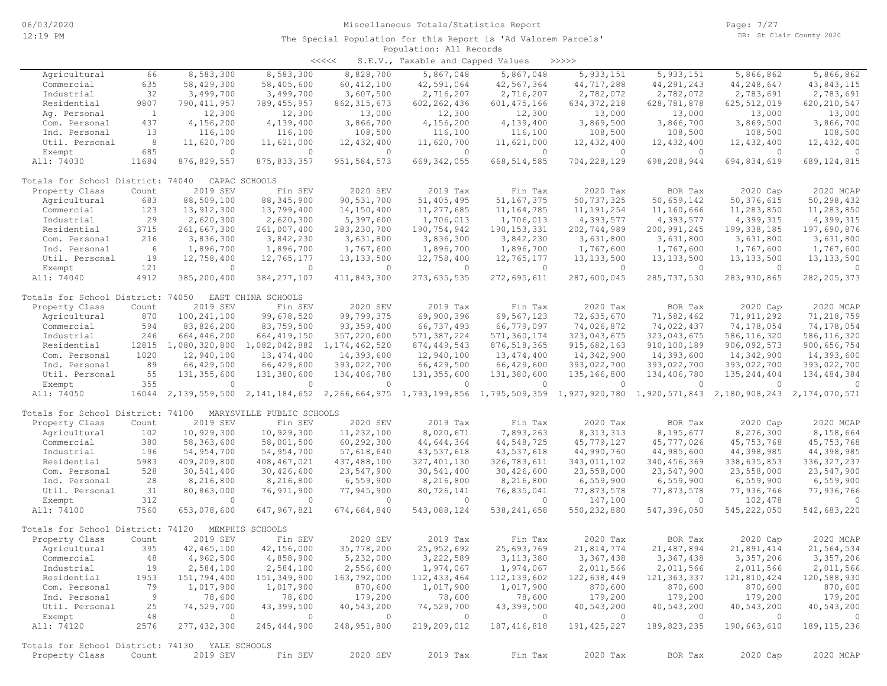| くくくくく | S.E.V., Taxable and Capped Values |  |  |  | >>>>> |
|-------|-----------------------------------|--|--|--|-------|
|-------|-----------------------------------|--|--|--|-------|

| Agricultural                                   | 66           | 8,583,300     | 8,583,300                 | 8,828,700        | 5,867,048     | 5,867,048                                                                           | 5,933,151      | 5, 933, 151   | 5,866,862      | 5,866,862     |
|------------------------------------------------|--------------|---------------|---------------------------|------------------|---------------|-------------------------------------------------------------------------------------|----------------|---------------|----------------|---------------|
| Commercial                                     | 635          | 58,429,300    | 58,405,600                | 60, 412, 100     | 42,591,064    | 42,567,364                                                                          | 44,717,288     | 44, 291, 243  | 44,248,647     | 43,843,115    |
| Industrial                                     | 32           | 3,499,700     | 3,499,700                 | 3,607,500        | 2,716,207     | 2,716,207                                                                           | 2,782,072      | 2,782,072     | 2,783,691      | 2,783,691     |
| Residential                                    | 9807         | 790, 411, 957 | 789, 455, 957             | 862, 315, 673    | 602, 262, 436 | 601, 475, 166                                                                       | 634, 372, 218  | 628,781,878   | 625, 512, 019  | 620, 210, 547 |
| Aq. Personal                                   | $\mathbf{1}$ | 12,300        | 12,300                    | 13,000           | 12,300        | 12,300                                                                              | 13,000         | 13,000        | 13,000         | 13,000        |
| Com. Personal                                  | 437          | 4,156,200     | 4,139,400                 | 3,866,700        | 4,156,200     | 4,139,400                                                                           | 3,869,500      | 3,866,700     | 3,869,500      | 3,866,700     |
| Ind. Personal                                  | 13           | 116,100       | 116,100                   | 108,500          | 116,100       | 116,100                                                                             | 108,500        | 108,500       | 108,500        | 108,500       |
| Util. Personal                                 | 8            | 11,620,700    | 11,621,000                | 12,432,400       | 11,620,700    | 11,621,000                                                                          | 12,432,400     | 12,432,400    | 12, 432, 400   | 12,432,400    |
| Exempt                                         | 685          | $\circ$       | $\circ$                   | $\circ$          | $\circ$       | $\circ$                                                                             | $\circ$        | $\circ$       | $\mathbf{0}$   | $\circ$       |
| All: 74030                                     | 11684        | 876,829,557   | 875, 833, 357             | 951, 584, 573    | 669, 342, 055 | 668, 514, 585                                                                       | 704,228,129    | 698,208,944   | 694,834,619    | 689, 124, 815 |
|                                                |              |               |                           |                  |               |                                                                                     |                |               |                |               |
| Totals for School District: 74040              |              |               | CAPAC SCHOOLS             |                  |               |                                                                                     |                |               |                |               |
| Property Class                                 | Count        | 2019 SEV      | Fin SEV                   | 2020 SEV         | 2019 Tax      | Fin Tax                                                                             | 2020 Tax       | BOR Tax       | 2020 Cap       | 2020 MCAP     |
| Agricultural                                   | 683          | 88,509,100    | 88, 345, 900              | 90,531,700       | 51,405,495    | 51, 167, 375                                                                        | 50,737,325     | 50,659,142    | 50, 376, 615   | 50,298,432    |
| Commercial                                     | 123          | 13,912,300    | 13,799,400                | 14,150,400       | 11,277,685    | 11, 164, 785                                                                        | 11, 191, 254   | 11,160,666    | 11,283,850     | 11,283,850    |
| Industrial                                     | 29           | 2,620,300     | 2,620,300                 | 5,397,600        | 1,706,013     | 1,706,013                                                                           | 4,393,577      | 4,393,577     | 4,399,315      | 4,399,315     |
| Residential                                    | 3715         | 261,667,300   | 261,007,400               | 283, 230, 700    | 190,754,942   | 190, 153, 331                                                                       | 202,744,989    | 200, 991, 245 | 199, 338, 185  | 197,690,876   |
| Com. Personal                                  | 216          | 3,836,300     | 3,842,230                 | 3,631,800        | 3,836,300     | 3,842,230                                                                           | 3,631,800      | 3,631,800     | 3,631,800      | 3,631,800     |
| Ind. Personal                                  | - 6          | 1,896,700     | 1,896,700                 | 1,767,600        | 1,896,700     | 1,896,700                                                                           | 1,767,600      | 1,767,600     | 1,767,600      | 1,767,600     |
| Util. Personal                                 | 19           | 12,758,400    | 12,765,177                | 13, 133, 500     | 12,758,400    | 12,765,177                                                                          | 13, 133, 500   | 13, 133, 500  | 13, 133, 500   | 13, 133, 500  |
| Exempt                                         | 121          | $\circ$       | $\circ$                   | $\circ$          | $\circ$       | $\circ$                                                                             | $\circ$        | $\circ$       | $\circ$        | $\circ$       |
| All: 74040                                     | 4912         |               | 384, 277, 107             |                  |               |                                                                                     |                |               |                |               |
|                                                |              | 385,200,400   |                           | 411,843,300      | 273,635,535   | 272,695,611                                                                         | 287,600,045    | 285, 737, 530 | 283, 930, 865  | 282, 205, 373 |
| Totals for School District: 74050              |              |               | EAST CHINA SCHOOLS        |                  |               |                                                                                     |                |               |                |               |
| Property Class                                 | Count        | 2019 SEV      | Fin SEV                   | 2020 SEV         | 2019 Tax      | Fin Tax                                                                             | 2020 Tax       | BOR Tax       | 2020 Cap       | 2020 MCAP     |
| Agricultural                                   | 870          | 100, 241, 100 | 99,678,520                | 99,799,375       | 69,900,396    | 69,567,123                                                                          | 72,635,670     | 71,582,462    | 71, 911, 292   | 71,218,759    |
| Commercial                                     | 594          | 83,826,200    | 83,759,500                | 93, 359, 400     | 66,737,493    | 66,779,097                                                                          | 74,026,872     | 74,022,437    | 74,178,054     | 74,178,054    |
| Industrial                                     | 246          | 664,446,200   | 664, 419, 150             | 357,220,600      | 571,387,224   | 571,360,174                                                                         | 323,043,675    | 323,043,675   | 586,116,320    | 586, 116, 320 |
| Residential                                    | 12815        | 1,080,320,800 |                           | 1, 174, 462, 520 | 874, 449, 543 | 876, 518, 365                                                                       | 915,682,163    | 910,100,189   | 906,092,573    | 900,656,754   |
|                                                |              |               | 1,082,042,882             |                  |               |                                                                                     |                |               |                |               |
| Com. Personal                                  | 1020         | 12,940,100    | 13,474,400                | 14,393,600       | 12,940,100    | 13, 474, 400                                                                        | 14,342,900     | 14,393,600    | 14,342,900     | 14,393,600    |
| Ind. Personal                                  | 89           | 66,429,500    | 66,429,600                | 393,022,700      | 66,429,500    | 66,429,600                                                                          | 393,022,700    | 393,022,700   | 393,022,700    | 393,022,700   |
| Util. Personal                                 | 55           | 131,355,600   | 131,380,600               | 134,406,780      | 131,355,600   | 131,380,600                                                                         | 135,166,800    | 134,406,780   | 135, 244, 404  | 134,484,384   |
| Exempt                                         | 355          | $\circ$       | $\circ$                   | $\circ$          | $\circ$       | $\circ$                                                                             | $\circ$        | $\circ$       | $\circ$        | $\Omega$      |
| All: 74050                                     | 16044        | 2,139,559,500 | 2,141,184,652             |                  |               | 2,266,664,975 1,793,199,856 1,795,509,359 1,927,920,780 1,920,571,843 2,180,908,243 |                |               |                | 2,174,070,571 |
| Totals for School District: 74100              |              |               | MARYSVILLE PUBLIC SCHOOLS |                  |               |                                                                                     |                |               |                |               |
| Property Class                                 | Count        | 2019 SEV      | Fin SEV                   | 2020 SEV         | 2019 Tax      | Fin Tax                                                                             | 2020 Tax       | BOR Tax       | 2020 Cap       | 2020 MCAP     |
|                                                |              |               |                           |                  |               |                                                                                     |                |               |                |               |
| Agricultural                                   | 102          | 10,929,300    | 10,929,300                | 11,232,100       | 8,020,671     | 7,893,263                                                                           | 8, 313, 313    | 8,195,677     | 8,276,300      | 8,158,664     |
| Commercial                                     | 380          | 58,363,600    | 58,001,500                | 60,292,300       | 44,644,364    | 44,548,725                                                                          | 45,779,127     | 45,777,026    | 45,753,768     | 45, 753, 768  |
| Industrial                                     | 196          | 54,954,700    | 54,954,700                | 57,618,640       | 43,537,618    | 43,537,618                                                                          | 44,990,760     | 44,985,600    | 44,398,985     | 44,398,985    |
| Residential                                    | 5983         | 409,209,800   | 408, 467, 021             | 437,488,100      | 327, 401, 130 | 326,783,611                                                                         | 343,011,102    | 340, 456, 369 | 338,635,853    | 336, 327, 237 |
| Com. Personal                                  | 528          | 30,541,400    | 30,426,600                | 23,547,900       | 30,541,400    | 30,426,600                                                                          | 23,558,000     | 23,547,900    | 23,558,000     | 23,547,900    |
| Ind. Personal                                  | 28           | 8,216,800     | 8,216,800                 | 6,559,900        | 8,216,800     | 8,216,800                                                                           | 6,559,900      | 6,559,900     | 6,559,900      | 6,559,900     |
| Util. Personal                                 | 31           | 80,863,000    | 76,971,900                | 77,945,900       | 80,726,141    | 76,835,041                                                                          | 77,873,578     | 77,873,578    | 77,936,766     | 77,936,766    |
| Exempt                                         | 312          | $\Omega$      | $\circ$                   | $\circ$          | $\circ$       | $\circ$                                                                             | 147,100        | $\circ$       | 102,478        | $\Omega$      |
| All: 74100                                     | 7560         | 653,078,600   | 647,967,821               | 674,684,840      | 543,088,124   | 538, 241, 658                                                                       | 550, 232, 880  | 547,396,050   | 545, 222, 050  | 542,683,220   |
|                                                |              |               |                           |                  |               |                                                                                     |                |               |                |               |
| Totals for School District: 74120              |              |               | MEMPHIS SCHOOLS           |                  |               |                                                                                     |                |               |                |               |
| Property Class                                 | Count        | 2019 SEV      | Fin SEV                   | 2020 SEV         | 2019 Tax      | Fin Tax                                                                             | 2020 Tax       | BOR Tax       | 2020 Cap       | 2020 MCAP     |
| Agricultural                                   | 395          | 42, 465, 100  | 42,156,000                | 35,778,200       | 25, 952, 692  | 25,693,769                                                                          | 21,814,774     | 21,487,894    | 21,891,414     | 21,564,534    |
| Commercial                                     | 48           | 4,962,500     | 4,858,900                 | 5,232,000        | 3,222,589     | 3, 113, 380                                                                         | 3,367,438      | 3,367,438     | 3,357,206      | 3,357,206     |
| Industrial                                     | 19           | 2,584,100     | 2,584,100                 | 2,556,600        | 1,974,067     | 1,974,067                                                                           | 2,011,566      | 2,011,566     | 2,011,566      | 2,011,566     |
| Residential                                    | 1953         | 151,794,400   | 151,349,900               | 163,792,000      | 112, 433, 464 | 112, 139, 602                                                                       | 122,638,449    | 121, 363, 337 | 121,810,424    | 120,588,930   |
| Com. Personal                                  | 79           | 1,017,900     | 1,017,900                 | 870,600          | 1,017,900     | 1,017,900                                                                           | 870,600        | 870,600       | 870,600        | 870,600       |
| Ind. Personal                                  | -9           | 78,600        | 78,600                    | 179,200          | 78,600        | 78,600                                                                              | 179,200        | 179,200       | 179,200        | 179,200       |
| Util. Personal                                 | 25           | 74,529,700    | 43,399,500                | 40,543,200       | 74,529,700    | 43,399,500                                                                          | 40,543,200     | 40,543,200    | 40,543,200     | 40,543,200    |
| Exempt                                         | 48           | $\circ$       | $\circ$                   | $\circ$          | $\circ$       | $\circ$                                                                             | $\overline{0}$ | $\circ$       | $\overline{0}$ | $\circ$       |
| All: 74120                                     | 2576         | 277, 432, 300 | 245, 444, 900             | 248,951,800      | 219,209,012   | 187, 416, 818                                                                       | 191, 425, 227  | 189,823,235   | 190,663,610    | 189, 115, 236 |
|                                                |              |               |                           |                  |               |                                                                                     |                |               |                |               |
| Totals for School District: 74130 YALE SCHOOLS |              |               |                           |                  |               |                                                                                     |                |               |                |               |
| Property Class                                 | Count        | 2019 SEV      | Fin SEV                   | 2020 SEV         | 2019 Tax      | Fin Tax                                                                             | 2020 Tax       | BOR Tax       | 2020 Cap       | 2020 MCAP     |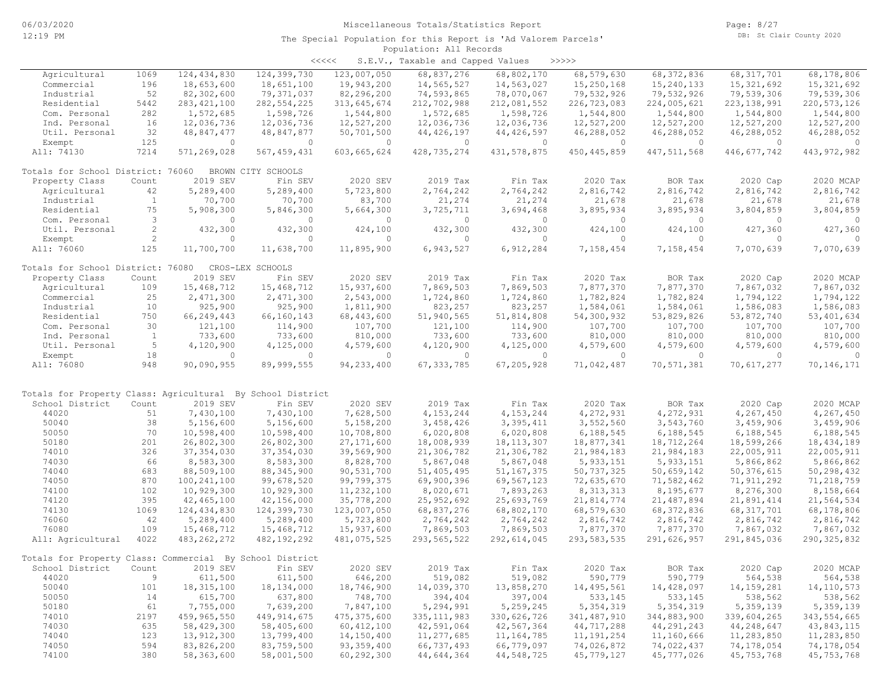| くくくくく | S.E.V., Taxable and Capped Values |  |  |  | >>>>> |
|-------|-----------------------------------|--|--|--|-------|
|-------|-----------------------------------|--|--|--|-------|

| Agricultural                                               | 1069                 | 124, 434, 830 | 124,399,730        | 123,007,050   | 68,837,276    | 68,802,170    | 68,579,630    | 68, 372, 836  | 68, 317, 701  | 68,178,806    |
|------------------------------------------------------------|----------------------|---------------|--------------------|---------------|---------------|---------------|---------------|---------------|---------------|---------------|
| Commercial                                                 | 196                  | 18,653,600    | 18,651,100         | 19,943,200    | 14,565,527    | 14,563,027    | 15,250,168    | 15,240,133    | 15, 321, 692  | 15, 321, 692  |
| Industrial                                                 | 52                   | 82,302,600    | 79,371,037         | 82,296,200    | 74,593,865    | 78,070,067    | 79,532,926    | 79,532,926    | 79,539,306    | 79,539,306    |
| Residential                                                | 5442                 | 283, 421, 100 | 282, 554, 225      | 313,645,674   | 212,702,988   | 212,081,552   | 226,723,083   | 224,005,621   | 223, 138, 991 | 220, 573, 126 |
| Com. Personal                                              | 282                  | 1,572,685     |                    |               |               | 1,598,726     | 1,544,800     |               |               | 1,544,800     |
|                                                            |                      |               | 1,598,726          | 1,544,800     | 1,572,685     |               |               | 1,544,800     | 1,544,800     |               |
| Ind. Personal                                              | 16                   | 12,036,736    | 12,036,736         | 12,527,200    | 12,036,736    | 12,036,736    | 12,527,200    | 12,527,200    | 12,527,200    | 12,527,200    |
| Util. Personal                                             | 32                   | 48,847,477    | 48,847,877         | 50,701,500    | 44, 426, 197  | 44,426,597    | 46,288,052    | 46,288,052    | 46,288,052    | 46,288,052    |
| Exempt                                                     | 125                  | $\circ$       | $\mathbf{0}$       | $\circ$       | $\circ$       | $\circ$       | $\circ$       | $\circ$       | $\circ$       | $\mathbf{0}$  |
| All: 74130                                                 | 7214                 | 571,269,028   | 567, 459, 431      | 603,665,624   | 428, 735, 274 | 431, 578, 875 | 450, 445, 859 | 447, 511, 568 | 446,677,742   | 443, 972, 982 |
|                                                            |                      |               |                    |               |               |               |               |               |               |               |
| Totals for School District: 76060                          |                      |               | BROWN CITY SCHOOLS |               |               |               |               |               |               |               |
| Property Class                                             | Count                | 2019 SEV      | Fin SEV            | 2020 SEV      | 2019 Tax      | Fin Tax       | 2020 Tax      | BOR Tax       | 2020 Cap      | 2020 MCAP     |
| Agricultural                                               | 42                   | 5,289,400     | 5,289,400          | 5,723,800     | 2,764,242     | 2,764,242     | 2,816,742     | 2,816,742     | 2,816,742     | 2,816,742     |
| Industrial                                                 | $\mathbf{1}$         | 70,700        | 70,700             | 83,700        | 21,274        | 21,274        | 21,678        | 21,678        | 21,678        | 21,678        |
| Residential                                                | 75                   |               |                    |               |               |               |               |               |               |               |
|                                                            |                      | 5,908,300     | 5,846,300          | 5,664,300     | 3,725,711     | 3,694,468     | 3,895,934     | 3,895,934     | 3,804,859     | 3,804,859     |
| Com. Personal                                              | 3                    | $\circ$       | $\mathbf{0}$       | $\circ$       | $\circ$       | $\circ$       | $\circ$       | $\circ$       | $\circ$       | $\circ$       |
| Util. Personal                                             | $\mathbf{2}^{\circ}$ | 432,300       | 432,300            | 424,100       | 432,300       | 432,300       | 424,100       | 424,100       | 427,360       | 427,360       |
| Exempt                                                     | $\overline{2}$       | $\circ$       | $\mathbf{0}$       | $\circ$       | $\circ$       | $\circ$       | $\circ$       | $\circ$       | $\circ$       | $\mathbf{0}$  |
| All: 76060                                                 | 125                  | 11,700,700    | 11,638,700         | 11,895,900    | 6,943,527     | 6,912,284     | 7,158,454     | 7,158,454     | 7,070,639     | 7,070,639     |
|                                                            |                      |               |                    |               |               |               |               |               |               |               |
| Totals for School District: 76080                          |                      |               | CROS-LEX SCHOOLS   |               |               |               |               |               |               |               |
| Property Class                                             | Count                | 2019 SEV      | Fin SEV            | 2020 SEV      | 2019 Tax      | Fin Tax       | 2020 Tax      | BOR Tax       | 2020 Cap      | 2020 MCAP     |
| Agricultural                                               | 109                  | 15,468,712    | 15,468,712         | 15,937,600    | 7,869,503     | 7,869,503     | 7,877,370     | 7,877,370     | 7,867,032     | 7,867,032     |
|                                                            |                      |               |                    |               |               |               |               |               |               |               |
| Commercial                                                 | 25                   | 2,471,300     | 2,471,300          | 2,543,000     | 1,724,860     | 1,724,860     | 1,782,824     | 1,782,824     | 1,794,122     | 1,794,122     |
| Industrial                                                 | 10                   | 925,900       | 925,900            | 1,811,900     | 823,257       | 823,257       | 1,584,061     | 1,584,061     | 1,586,083     | 1,586,083     |
| Residential                                                | 750                  | 66,249,443    | 66,160,143         | 68,443,600    | 51,940,565    | 51,814,808    | 54,300,932    | 53,829,826    | 53,872,740    | 53, 401, 634  |
| Com. Personal                                              | 30                   | 121,100       | 114,900            | 107,700       | 121,100       | 114,900       | 107,700       | 107,700       | 107,700       | 107,700       |
| Ind. Personal                                              | $\mathbf{1}$         | 733,600       | 733,600            | 810,000       | 733,600       | 733,600       | 810,000       | 810,000       | 810,000       | 810,000       |
| Util. Personal                                             | 5                    | 4,120,900     | 4,125,000          | 4,579,600     | 4,120,900     | 4,125,000     | 4,579,600     | 4,579,600     | 4,579,600     | 4,579,600     |
| Exempt                                                     | 18                   | $\circ$       | 0                  | $\circ$       | $\circ$       | $\circ$       | $\circ$       | $\circ$       | $\circ$       | $\Omega$      |
| All: 76080                                                 | 948                  | 90,090,955    | 89,999,555         | 94, 233, 400  | 67, 333, 785  | 67,205,928    | 71,042,487    | 70,571,381    | 70,617,277    | 70,146,171    |
|                                                            |                      |               |                    |               |               |               |               |               |               |               |
|                                                            |                      |               |                    |               |               |               |               |               |               |               |
| Totals for Property Class: Agricultural By School District |                      |               |                    |               |               |               |               |               |               |               |
| School District                                            | Count                | 2019 SEV      | Fin SEV            | 2020 SEV      | 2019 Tax      | Fin Tax       | 2020 Tax      | BOR Tax       | 2020 Cap      | 2020 MCAP     |
| 44020                                                      | 51                   | 7,430,100     | 7,430,100          | 7,628,500     | 4, 153, 244   | 4,153,244     | 4,272,931     | 4,272,931     | 4,267,450     | 4,267,450     |
| 50040                                                      | 38                   | 5,156,600     | 5,156,600          | 5,158,200     | 3,458,426     | 3,395,411     | 3,552,560     | 3,543,760     | 3,459,906     | 3,459,906     |
| 50050                                                      | 70                   | 10,598,400    | 10,598,400         | 10,708,800    | 6,020,808     | 6,020,808     | 6,188,545     | 6,188,545     | 6,188,545     | 6,188,545     |
| 50180                                                      | 201                  | 26,802,300    |                    |               |               |               |               |               |               | 18, 434, 189  |
|                                                            |                      |               | 26,802,300         | 27, 171, 600  | 18,008,939    | 18, 113, 307  | 18,877,341    | 18,712,264    | 18,599,266    |               |
| 74010                                                      | 326                  | 37, 354, 030  | 37, 354, 030       | 39,569,900    | 21,306,782    | 21,306,782    | 21,984,183    | 21,984,183    | 22,005,911    | 22,005,911    |
| 74030                                                      | 66                   | 8,583,300     | 8,583,300          | 8,828,700     | 5,867,048     | 5,867,048     | 5, 933, 151   | 5, 933, 151   | 5,866,862     | 5,866,862     |
| 74040                                                      | 683                  | 88,509,100    | 88, 345, 900       | 90,531,700    | 51,405,495    | 51, 167, 375  | 50, 737, 325  | 50,659,142    | 50, 376, 615  | 50,298,432    |
| 74050                                                      | 870                  | 100, 241, 100 | 99,678,520         | 99,799,375    | 69,900,396    | 69,567,123    | 72,635,670    | 71,582,462    | 71,911,292    | 71,218,759    |
| 74100                                                      | 102                  | 10,929,300    | 10,929,300         | 11,232,100    | 8,020,671     | 7,893,263     | 8, 313, 313   | 8,195,677     | 8,276,300     | 8,158,664     |
| 74120                                                      | 395                  | 42,465,100    | 42,156,000         | 35,778,200    | 25, 952, 692  | 25,693,769    | 21,814,774    | 21, 487, 894  | 21,891,414    | 21,564,534    |
| 74130                                                      | 1069                 | 124, 434, 830 | 124,399,730        | 123,007,050   | 68,837,276    | 68,802,170    | 68,579,630    | 68, 372, 836  | 68, 317, 701  | 68,178,806    |
| 76060                                                      | 42                   | 5,289,400     | 5,289,400          | 5,723,800     | 2,764,242     | 2,764,242     | 2,816,742     | 2,816,742     | 2,816,742     | 2,816,742     |
| 76080                                                      | 109                  |               |                    |               |               | 7,869,503     |               |               |               | 7,867,032     |
|                                                            |                      | 15,468,712    | 15,468,712         | 15,937,600    | 7,869,503     |               | 7,877,370     | 7,877,370     | 7,867,032     |               |
| All: Agricultural                                          | 4022                 | 483, 262, 272 | 482,192,292        | 481,075,525   | 293, 565, 522 | 292,614,045   | 293, 583, 535 | 291,626,957   | 291,845,036   | 290, 325, 832 |
| Totals for Property Class: Commercial By School District   |                      |               |                    |               |               |               |               |               |               |               |
|                                                            |                      |               |                    |               |               |               |               |               |               |               |
| School District Count 2019 SEV Fin SEV                     |                      |               |                    | 2020 SEV      | 2019 Tax      | Fin Tax       | 2020 Tax      | BOR Tax       | 2020 Cap      | 2020 MCAP     |
| 44020                                                      | 9                    | 611,500       | 611,500            | 646,200       | 519,082       | 519,082       | 590,779       | 590,779       | 564,538       | 564,538       |
| 50040                                                      | 101                  | 18, 315, 100  | 18,134,000         | 18,746,900    | 14,039,370    | 13,858,270    | 14,495,561    | 14,428,097    | 14, 159, 281  | 14, 110, 573  |
| 50050                                                      | 14                   | 615,700       | 637,800            | 748,700       | 394,404       | 397,004       | 533,145       | 533,145       | 538,562       | 538,562       |
| 50180                                                      | 61                   | 7,755,000     | 7,639,200          | 7,847,100     | 5,294,991     | 5,259,245     | 5, 354, 319   | 5,354,319     | 5,359,139     | 5,359,139     |
| 74010                                                      | 2197                 | 459,965,550   | 449, 914, 675      | 475, 375, 600 | 335, 111, 983 | 330,626,726   | 341,487,910   | 344,883,900   | 339,604,265   | 343, 554, 665 |
| 74030                                                      | 635                  | 58,429,300    | 58,405,600         | 60, 412, 100  | 42,591,064    | 42,567,364    | 44,717,288    | 44,291,243    | 44,248,647    | 43,843,115    |
| 74040                                                      | 123                  | 13,912,300    | 13,799,400         | 14,150,400    | 11,277,685    | 11,164,785    | 11, 191, 254  | 11,160,666    | 11,283,850    | 11,283,850    |
|                                                            |                      |               |                    |               |               |               |               |               |               |               |
| 74050                                                      | 594                  | 83,826,200    | 83,759,500         | 93, 359, 400  | 66,737,493    | 66,779,097    | 74,026,872    | 74,022,437    | 74,178,054    | 74,178,054    |
| 74100                                                      | 380                  | 58,363,600    | 58,001,500         | 60,292,300    | 44,644,364    | 44,548,725    | 45,779,127    | 45,777,026    | 45,753,768    | 45, 753, 768  |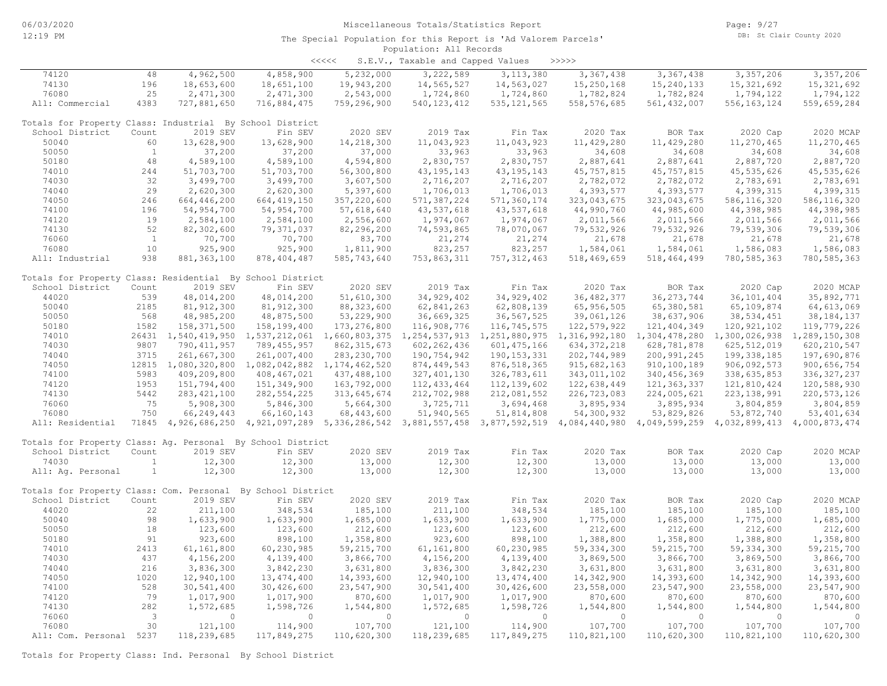<<<<< S.E.V., Taxable and Capped Values >>>>>

| 74120                                                       | 48                      | 4,962,500     | 4,858,900                                       | 5,232,000     | 3,222,589     | 3, 113, 380   | 3,367,438                                                                                                                           | 3,367,438     | 3, 357, 206   | 3, 357, 206   |
|-------------------------------------------------------------|-------------------------|---------------|-------------------------------------------------|---------------|---------------|---------------|-------------------------------------------------------------------------------------------------------------------------------------|---------------|---------------|---------------|
| 74130                                                       | 196                     | 18,653,600    | 18,651,100                                      | 19,943,200    | 14,565,527    | 14,563,027    | 15,250,168                                                                                                                          | 15, 240, 133  | 15, 321, 692  | 15, 321, 692  |
| 76080                                                       | 25                      | 2,471,300     | 2,471,300                                       | 2,543,000     | 1,724,860     | 1,724,860     | 1,782,824                                                                                                                           | 1,782,824     | 1,794,122     | 1,794,122     |
| All: Commercial                                             | 4383                    | 727,881,650   | 716,884,475                                     | 759,296,900   | 540, 123, 412 | 535, 121, 565 | 558, 576, 685                                                                                                                       | 561, 432, 007 | 556, 163, 124 | 559,659,284   |
|                                                             |                         |               |                                                 |               |               |               |                                                                                                                                     |               |               |               |
| Totals for Property Class: Industrial By School District    |                         |               |                                                 |               |               |               |                                                                                                                                     |               |               |               |
| School District                                             | Count                   | 2019 SEV      | Fin SEV                                         | 2020 SEV      | 2019 Tax      | Fin Tax       | 2020 Tax                                                                                                                            | BOR Tax       | 2020 Cap      | 2020 MCAP     |
| 50040                                                       | 60                      | 13,628,900    | 13,628,900                                      | 14,218,300    | 11,043,923    | 11,043,923    | 11,429,280                                                                                                                          | 11,429,280    | 11,270,465    | 11,270,465    |
| 50050                                                       | $\mathbf{1}$            | 37,200        | 37,200                                          | 37,000        | 33,963        | 33,963        | 34,608                                                                                                                              | 34,608        | 34,608        | 34,608        |
| 50180                                                       | 48                      | 4,589,100     | 4,589,100                                       | 4,594,800     | 2,830,757     | 2,830,757     | 2,887,641                                                                                                                           | 2,887,641     | 2,887,720     | 2,887,720     |
| 74010                                                       | 244                     | 51,703,700    | 51,703,700                                      | 56,300,800    | 43, 195, 143  | 43, 195, 143  | 45,757,815                                                                                                                          | 45,757,815    | 45, 535, 626  | 45, 535, 626  |
| 74030                                                       | 32                      | 3,499,700     |                                                 |               | 2,716,207     | 2,716,207     |                                                                                                                                     |               |               | 2,783,691     |
|                                                             |                         |               | 3,499,700                                       | 3,607,500     |               |               | 2,782,072                                                                                                                           | 2,782,072     | 2,783,691     |               |
| 74040                                                       | 29                      | 2,620,300     | 2,620,300                                       | 5,397,600     | 1,706,013     | 1,706,013     | 4,393,577                                                                                                                           | 4,393,577     | 4,399,315     | 4,399,315     |
| 74050                                                       | 246                     | 664,446,200   | 664, 419, 150                                   | 357,220,600   | 571, 387, 224 | 571,360,174   | 323,043,675                                                                                                                         | 323,043,675   | 586, 116, 320 | 586, 116, 320 |
| 74100                                                       | 196                     | 54,954,700    | 54,954,700                                      | 57,618,640    | 43,537,618    | 43,537,618    | 44,990,760                                                                                                                          | 44,985,600    | 44,398,985    | 44,398,985    |
| 74120                                                       | 19                      | 2,584,100     | 2,584,100                                       | 2,556,600     | 1,974,067     | 1,974,067     | 2,011,566                                                                                                                           | 2,011,566     | 2,011,566     | 2,011,566     |
| 74130                                                       | 52                      | 82,302,600    | 79,371,037                                      | 82,296,200    | 74,593,865    | 78,070,067    | 79,532,926                                                                                                                          | 79,532,926    | 79,539,306    | 79,539,306    |
| 76060                                                       | $\overline{1}$          | 70,700        | 70,700                                          | 83,700        | 21,274        | 21,274        | 21,678                                                                                                                              | 21,678        | 21,678        | 21,678        |
| 76080                                                       | 10                      | 925,900       | 925,900                                         | 1,811,900     | 823,257       | 823,257       | 1,584,061                                                                                                                           | 1,584,061     | 1,586,083     | 1,586,083     |
| All: Industrial                                             | 938                     | 881, 363, 100 | 878, 404, 487                                   | 585,743,640   | 753,863,311   | 757, 312, 463 | 518,469,659                                                                                                                         | 518,464,499   | 780, 585, 363 | 780, 585, 363 |
|                                                             |                         |               |                                                 |               |               |               |                                                                                                                                     |               |               |               |
| Totals for Property Class: Residential By School District   |                         |               |                                                 |               |               |               |                                                                                                                                     |               |               |               |
| School District                                             | Count                   | 2019 SEV      | Fin SEV                                         | 2020 SEV      | 2019 Tax      | Fin Tax       | 2020 Tax                                                                                                                            | BOR Tax       | 2020 Cap      | 2020 MCAP     |
| 44020                                                       | 539                     | 48,014,200    | 48,014,200                                      | 51,610,300    | 34,929,402    | 34, 929, 402  | 36, 482, 377                                                                                                                        | 36, 273, 744  | 36, 101, 404  | 35,892,771    |
| 50040                                                       | 2185                    | 81, 912, 300  | 81, 912, 300                                    | 88, 323, 600  | 62,841,263    | 62,808,139    | 65, 956, 505                                                                                                                        | 65,380,581    | 65,109,874    | 64, 613, 069  |
| 50050                                                       | 568                     | 48,985,200    | 48,875,500                                      | 53,229,900    | 36,669,325    | 36, 567, 525  | 39,061,126                                                                                                                          | 38,637,906    | 38, 534, 451  | 38, 184, 137  |
| 50180                                                       | 1582                    | 158, 371, 500 | 158,199,400                                     | 173, 276, 800 | 116,908,776   | 116,745,575   | 122,579,922                                                                                                                         | 121, 404, 349 | 120, 921, 102 | 119,779,226   |
| 74010                                                       |                         |               | 26431 1,540,419,950 1,537,212,061 1,660,803,375 |               |               |               | 1, 254, 537, 913 1, 251, 880, 975 1, 316, 992, 180 1, 304, 478, 280 1, 300, 026, 938 1, 289, 150, 308                               |               |               |               |
| 74030                                                       | 9807                    | 790, 411, 957 | 789, 455, 957                                   | 862, 315, 673 | 602, 262, 436 | 601, 475, 166 | 634, 372, 218                                                                                                                       | 628,781,878   | 625, 512, 019 |               |
|                                                             | 3715                    |               |                                                 |               |               |               |                                                                                                                                     |               |               | 620, 210, 547 |
| 74040                                                       |                         | 261,667,300   | 261,007,400                                     | 283, 230, 700 | 190,754,942   | 190, 153, 331 | 202,744,989                                                                                                                         | 200,991,245   | 199, 338, 185 | 197,690,876   |
| 74050                                                       |                         |               | 12815 1,080,320,800 1,082,042,882 1,174,462,520 |               | 874,449,543   | 876, 518, 365 | 915,682,163                                                                                                                         | 910,100,189   | 906,092,573   | 900,656,754   |
| 74100                                                       | 5983                    | 409,209,800   | 408, 467, 021                                   | 437,488,100   | 327, 401, 130 | 326,783,611   | 343,011,102                                                                                                                         | 340, 456, 369 | 338,635,853   | 336, 327, 237 |
| 74120                                                       | 1953                    | 151,794,400   | 151,349,900                                     | 163,792,000   | 112, 433, 464 | 112, 139, 602 | 122,638,449                                                                                                                         | 121, 363, 337 | 121,810,424   | 120,588,930   |
| 74130                                                       | 5442                    | 283, 421, 100 | 282, 554, 225                                   | 313,645,674   | 212,702,988   | 212,081,552   | 226,723,083                                                                                                                         | 224,005,621   | 223, 138, 991 | 220, 573, 126 |
| 76060                                                       | 75                      | 5,908,300     | 5,846,300                                       | 5,664,300     | 3,725,711     | 3,694,468     | 3,895,934                                                                                                                           | 3,895,934     | 3,804,859     | 3,804,859     |
| 76080                                                       | 750                     | 66,249,443    | 66,160,143                                      | 68, 443, 600  | 51,940,565    | 51,814,808    | 54,300,932                                                                                                                          | 53,829,826    | 53,872,740    | 53, 401, 634  |
| All: Residential                                            |                         |               |                                                 |               |               |               | 71845 4,926,686,250 4,921,097,289 5,336,286,542 3,881,557,458 3,877,592,519 4,084,440,980 4,049,599,259 4,032,899,413 4,000,873,474 |               |               |               |
|                                                             |                         |               |                                                 |               |               |               |                                                                                                                                     |               |               |               |
| Totals for Property Class: Aq. Personal By School District  |                         |               |                                                 |               |               |               |                                                                                                                                     |               |               |               |
| School District                                             | Count                   | 2019 SEV      | Fin SEV                                         | 2020 SEV      | 2019 Tax      | Fin Tax       | 2020 Tax                                                                                                                            | BOR Tax       | 2020 Cap      | 2020 MCAP     |
| 74030                                                       | $\mathbf{1}$            | 12,300        | 12,300                                          | 13,000        | 12,300        | 12,300        | 13,000                                                                                                                              | 13,000        | 13,000        | 13,000        |
| All: Aq. Personal                                           | $\mathbf{1}$            | 12,300        | 12,300                                          | 13,000        | 12,300        | 12,300        | 13,000                                                                                                                              | 13,000        | 13,000        | 13,000        |
|                                                             |                         |               |                                                 |               |               |               |                                                                                                                                     |               |               |               |
| Totals for Property Class: Com. Personal By School District |                         |               |                                                 |               |               |               |                                                                                                                                     |               |               |               |
| School District                                             | Count                   | 2019 SEV      | Fin SEV                                         | 2020 SEV      | 2019 Tax      | Fin Tax       | 2020 Tax                                                                                                                            | BOR Tax       | 2020 Cap      | 2020 MCAP     |
| 44020                                                       | 22                      | 211,100       | 348,534                                         | 185,100       | 211,100       | 348,534       | 185,100                                                                                                                             | 185,100       | 185,100       | 185,100       |
| 50040                                                       | 98                      | 1,633,900     | 1,633,900                                       |               | 1,633,900     | 1,633,900     | 1,775,000                                                                                                                           | 1,685,000     | 1,775,000     | 1,685,000     |
|                                                             | 18                      |               |                                                 | 1,685,000     |               |               |                                                                                                                                     |               |               |               |
| 50050                                                       |                         | 123,600       | 123,600                                         | 212,600       | 123,600       | 123,600       | 212,600                                                                                                                             | 212,600       | 212,600       | 212,600       |
| 50180                                                       | 91                      | 923,600       | 898,100                                         | 1,358,800     | 923,600       | 898,100       | 1,388,800                                                                                                                           | 1,358,800     | 1,388,800     | 1,358,800     |
| 74010                                                       | 2413                    | 61,161,800    | 60,230,985                                      | 59, 215, 700  | 61,161,800    | 60,230,985    | 59, 334, 300                                                                                                                        | 59, 215, 700  | 59, 334, 300  | 59, 215, 700  |
| 74030                                                       | 437                     | 4,156,200     | 4,139,400                                       | 3,866,700     | 4,156,200     | 4,139,400     | 3,869,500                                                                                                                           | 3,866,700     | 3,869,500     | 3,866,700     |
| 74040                                                       | 216                     | 3,836,300     | 3,842,230                                       | 3,631,800     | 3,836,300     | 3,842,230     | 3,631,800                                                                                                                           | 3,631,800     | 3,631,800     | 3,631,800     |
| 74050                                                       | 1020                    | 12,940,100    | 13, 474, 400                                    | 14,393,600    | 12,940,100    | 13, 474, 400  | 14,342,900                                                                                                                          | 14,393,600    | 14,342,900    | 14,393,600    |
| 74100                                                       | 528                     | 30,541,400    | 30,426,600                                      | 23,547,900    | 30,541,400    | 30,426,600    | 23,558,000                                                                                                                          | 23,547,900    | 23,558,000    | 23,547,900    |
| 74120                                                       | 79                      | 1,017,900     | 1,017,900                                       | 870,600       | 1,017,900     | 1,017,900     | 870,600                                                                                                                             | 870,600       | 870,600       | 870,600       |
| 74130                                                       | 282                     | 1,572,685     | 1,598,726                                       | 1,544,800     | 1,572,685     | 1,598,726     | 1,544,800                                                                                                                           | 1,544,800     | 1,544,800     | 1,544,800     |
| 76060                                                       | $\overline{\mathbf{3}}$ | $\Omega$      | $\Omega$                                        | $\Omega$      | $\circ$       | $\circ$       | $\circ$                                                                                                                             | $\circ$       | $\Omega$      | $\circ$       |
| 76080                                                       | 30                      | 121,100       | 114,900                                         | 107,700       | 121,100       | 114,900       | 107,700                                                                                                                             | 107,700       | 107,700       | 107,700       |
| All: Com. Personal 5237                                     |                         | 118,239,685   | 117,849,275                                     | 110,620,300   | 118,239,685   | 117,849,275   | 110,821,100                                                                                                                         | 110,620,300   | 110,821,100   | 110,620,300   |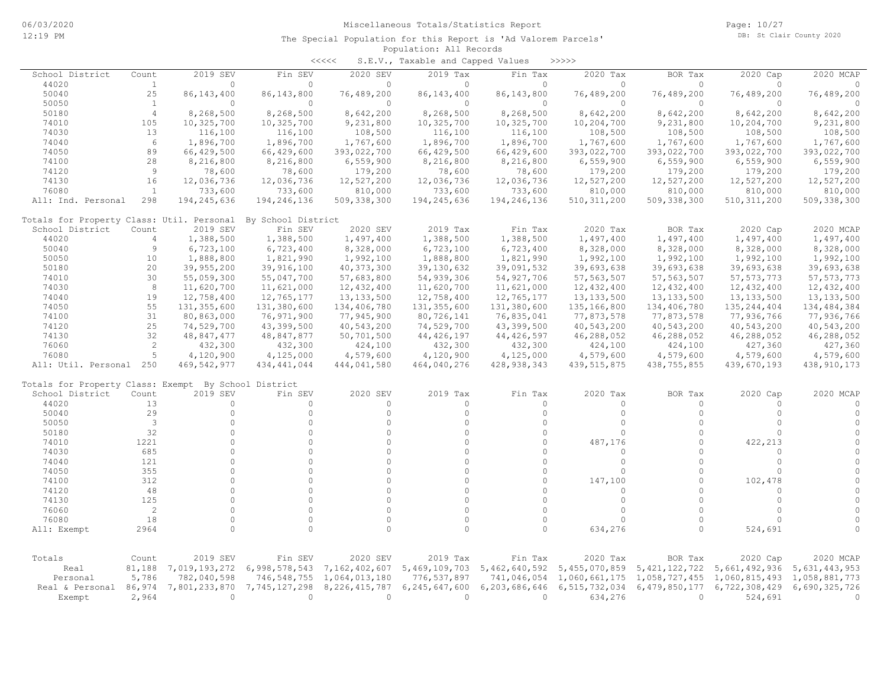|                                                      |                |               |                    | <<<<             | S.E.V., Taxable and Capped Values |               | >>>>>         |                  |               |               |
|------------------------------------------------------|----------------|---------------|--------------------|------------------|-----------------------------------|---------------|---------------|------------------|---------------|---------------|
| School District                                      | Count          | 2019 SEV      | Fin SEV            | 2020 SEV         | 2019 Tax                          | Fin Tax       | 2020 Tax      | BOR Tax          | 2020 Cap      | 2020 MCAP     |
| 44020                                                | $\mathbf{1}$   | $\Omega$      | $\Omega$           | $\circ$          | $\Omega$                          | $\circ$       | $\circ$       | $\circ$          | $\Omega$      | $\Omega$      |
| 50040                                                | 25             | 86, 143, 400  | 86, 143, 800       | 76,489,200       | 86, 143, 400                      | 86, 143, 800  | 76,489,200    | 76,489,200       | 76,489,200    | 76,489,200    |
| 50050                                                | <sup>1</sup>   | $\Omega$      | $\Omega$           | $\Omega$         | $\Omega$                          | $\circ$       | $\Omega$      | $\Omega$         | $\Omega$      | $\bigcap$     |
| 50180                                                | $\overline{4}$ | 8,268,500     | 8,268,500          | 8,642,200        | 8,268,500                         | 8,268,500     | 8,642,200     | 8,642,200        | 8,642,200     | 8,642,200     |
| 74010                                                | 105            | 10,325,700    | 10,325,700         | 9,231,800        | 10,325,700                        | 10,325,700    | 10,204,700    | 9,231,800        | 10,204,700    | 9,231,800     |
| 74030                                                | 13             | 116,100       | 116,100            | 108,500          | 116,100                           | 116,100       | 108,500       | 108,500          | 108,500       | 108,500       |
| 74040                                                | 6              | 1,896,700     | 1,896,700          | 1,767,600        | 1,896,700                         | 1,896,700     | 1,767,600     | 1,767,600        | 1,767,600     | 1,767,600     |
| 74050                                                | 89             | 66,429,500    | 66,429,600         | 393,022,700      | 66,429,500                        | 66,429,600    | 393,022,700   | 393,022,700      | 393,022,700   | 393,022,700   |
| 74100                                                | 28             | 8,216,800     | 8,216,800          | 6,559,900        | 8,216,800                         | 8,216,800     | 6,559,900     | 6,559,900        | 6,559,900     | 6,559,900     |
| 74120                                                | $\overline{9}$ | 78,600        | 78,600             | 179,200          | 78,600                            | 78,600        | 179,200       | 179,200          | 179,200       | 179,200       |
| 74130                                                | 16             |               |                    |                  |                                   |               |               |                  |               |               |
|                                                      |                | 12,036,736    | 12,036,736         | 12,527,200       | 12,036,736                        | 12,036,736    | 12,527,200    | 12,527,200       | 12,527,200    | 12,527,200    |
| 76080                                                | $\mathbf{1}$   | 733,600       | 733,600            | 810,000          | 733,600                           | 733,600       | 810,000       | 810,000          | 810,000       | 810,000       |
| All: Ind. Personal                                   | 298            | 194,245,636   | 194,246,136        | 509,338,300      | 194,245,636                       | 194,246,136   | 510, 311, 200 | 509,338,300      | 510, 311, 200 | 509,338,300   |
| Totals for Property Class: Util. Personal            |                |               | By School District |                  |                                   |               |               |                  |               |               |
| School District                                      | Count          | 2019 SEV      | Fin SEV            | 2020 SEV         | 2019 Tax                          | Fin Tax       | 2020 Tax      | BOR Tax          | 2020 Cap      | 2020 MCAP     |
| 44020                                                | $\overline{4}$ | 1,388,500     | 1,388,500          | 1,497,400        | 1,388,500                         | 1,388,500     | 1,497,400     | 1,497,400        | 1,497,400     | 1,497,400     |
| 50040                                                | 9              | 6,723,100     | 6,723,400          | 8,328,000        | 6,723,100                         | 6,723,400     | 8,328,000     | 8,328,000        | 8,328,000     | 8,328,000     |
| 50050                                                | 10             | 1,888,800     | 1,821,990          | 1,992,100        | 1,888,800                         | 1,821,990     | 1,992,100     | 1,992,100        | 1,992,100     | 1,992,100     |
| 50180                                                | 20             | 39,955,200    | 39,916,100         | 40, 373, 300     | 39, 130, 632                      | 39,091,532    | 39,693,638    | 39,693,638       | 39,693,638    | 39,693,638    |
| 74010                                                | 30             | 55,059,300    | 55,047,700         | 57,683,800       | 54,939,306                        | 54, 927, 706  | 57, 563, 507  | 57, 563, 507     | 57, 573, 773  | 57, 573, 773  |
| 74030                                                | 8              | 11,620,700    | 11,621,000         | 12,432,400       | 11,620,700                        | 11,621,000    | 12,432,400    | 12,432,400       | 12,432,400    | 12,432,400    |
| 74040                                                | 19             | 12,758,400    | 12,765,177         | 13, 133, 500     | 12,758,400                        | 12,765,177    | 13, 133, 500  | 13, 133, 500     | 13, 133, 500  | 13, 133, 500  |
| 74050                                                | 55             | 131, 355, 600 | 131,380,600        | 134,406,780      | 131, 355, 600                     | 131,380,600   | 135, 166, 800 | 134,406,780      | 135, 244, 404 | 134,484,384   |
| 74100                                                | 31             | 80,863,000    | 76,971,900         | 77,945,900       | 80,726,141                        | 76,835,041    | 77,873,578    | 77,873,578       | 77,936,766    | 77,936,766    |
| 74120                                                | 25             |               | 43,399,500         |                  | 74,529,700                        |               |               |                  |               |               |
|                                                      | 32             | 74,529,700    |                    | 40,543,200       |                                   | 43,399,500    | 40,543,200    | 40,543,200       | 40,543,200    | 40,543,200    |
| 74130                                                |                | 48,847,477    | 48,847,877         | 50,701,500       | 44, 426, 197                      | 44, 426, 597  | 46,288,052    | 46,288,052       | 46,288,052    | 46,288,052    |
| 76060                                                | $\overline{c}$ | 432,300       | 432,300            | 424,100          | 432,300                           | 432,300       | 424,100       | 424,100          | 427,360       | 427,360       |
| 76080                                                | 5              | 4,120,900     | 4,125,000          | 4,579,600        | 4,120,900                         | 4,125,000     | 4,579,600     | 4,579,600        | 4,579,600     | 4,579,600     |
| All: Util. Personal 250                              |                | 469,542,977   | 434, 441, 044      | 444,041,580      | 464,040,276                       | 428, 938, 343 | 439, 515, 875 | 438,755,855      | 439,670,193   | 438, 910, 173 |
| Totals for Property Class: Exempt By School District |                |               |                    |                  |                                   |               |               |                  |               |               |
| School District                                      | Count          | 2019 SEV      | Fin SEV            | 2020 SEV         | 2019 Tax                          | Fin Tax       | 2020 Tax      | BOR Tax          | 2020 Cap      | 2020 MCAP     |
| 44020                                                | 13             | $\circ$       | $\Omega$           | $\circ$          | 0                                 | $\circ$       | $\Omega$      | $\circ$          | 0             | $\Omega$      |
| 50040                                                | 29             | $\circ$       | $\Omega$           | $\mathbf 0$      | $\circ$                           | $\circ$       | $\circ$       | $\circ$          | $\circ$       |               |
| 50050                                                | 3              | $\circ$       | $\Omega$           | $\Omega$         | $\circ$                           | $\circ$       | $\mathbf 0$   | $\mathbf 0$      | $\mathbf 0$   |               |
| 50180                                                | 32             | $\Omega$      | $\Omega$           | $\Omega$         | $\Omega$                          | $\Omega$      | $\Omega$      | $\Omega$         | $\Omega$      |               |
| 74010                                                | 1221           | $\Omega$      | $\Omega$           | $\Omega$         | $\circ$                           | $\circ$       | 487,176       | $\circ$          | 422,213       |               |
| 74030                                                | 685            | $\Omega$      | $\Omega$           | $\Omega$         | $\circ$                           | $\circ$       | $\Omega$      | $\circ$          | $\mathbf{0}$  |               |
| 74040                                                | 121            | $\Omega$      | $\Omega$           | $\Omega$         | $\Omega$                          | $\circ$       | 0             | $\Omega$         | $\Omega$      |               |
| 74050                                                | 355            | $\Omega$      | $\Omega$           | $\Omega$         | $\Omega$                          | $\circ$       | 0             | $\Omega$         | $\mathbf{0}$  |               |
| 74100                                                | 312            | $\Omega$      | $\Omega$           | $\Omega$         | $\circ$                           | $\circ$       | 147,100       | $\circ$          | 102,478       |               |
|                                                      | 48             | $\Omega$      | $\Omega$           | $\Omega$         | $\Omega$                          | $\Omega$      |               | $\Omega$         | $\circ$       |               |
| 74120                                                |                |               |                    |                  |                                   |               | 0             |                  |               |               |
| 74130                                                | 125            | $\Omega$      | $\Omega$           | $\Omega$         | $\circ$                           | $\circ$       | $\circ$       | $\Omega$         | $\circ$       |               |
| 76060                                                | $\overline{c}$ | $\Omega$      | $\Omega$           | $\Omega$         | $\circ$                           | $\circ$       | $\Omega$      | $\Omega$         | $\Omega$      |               |
| 76080                                                | 18             | $\circ$       | $\Omega$           | $\Omega$         | $\circ$                           | $\circ$       | $\Omega$      | $\circ$          | $\Omega$      |               |
| All: Exempt                                          | 2964           | $\Omega$      | $\Omega$           | $\Omega$         | $\Omega$                          | $\Omega$      | 634,276       | $\Omega$         | 524,691       |               |
|                                                      |                |               |                    |                  |                                   |               |               |                  |               |               |
| Totals                                               | Count          | 2019 SEV      | Fin SEV            | 2020 SEV         | 2019 Tax                          | Fin Tax       | 2020 Tax      | BOR Tax          | 2020 Cap      | 2020 MCAP     |
| Real                                                 | 81,188         | 7,019,193,272 | 6,998,578,543      | 7,162,402,607    | 5,469,109,703                     | 5,462,640,592 | 5,455,070,859 | 5, 421, 122, 722 | 5,661,492,936 | 5,631,443,953 |
| Personal                                             | 5,786          | 782,040,598   | 746,548,755        | 1,064,013,180    | 776,537,897                       | 741,046,054   | 1,060,661,175 | 1,058,727,455    | 1,060,815,493 | 1,058,881,773 |
| Real & Personal                                      | 86,974         | 7,801,233,870 | 7,745,127,298      | 8, 226, 415, 787 | 6,245,647,600                     | 6,203,686,646 | 6,515,732,034 | 6,479,850,177    | 6,722,308,429 | 6,690,325,726 |
| Exempt                                               | 2,964          | $\Omega$      | $\Omega$           | $\Omega$         | $\Omega$                          | $\Omega$      | 634,276       | $\circ$          | 524,691       | $\bigcap$     |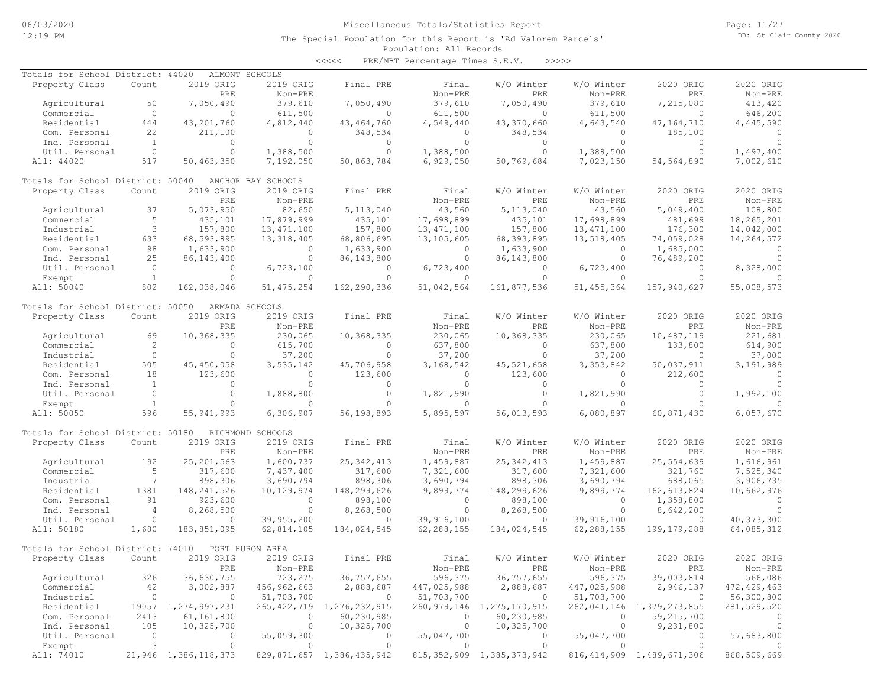Page: 11/27 DB: St Clair County 2020

#### Population: All Records The Special Population for this Report is 'Ad Valorem Parcels'

<<<<< PRE/MBT Percentage Times S.E.V. >>>>>

| 2019 ORIG<br>2020 ORIG<br>Property Class<br>Count<br>2019 ORIG<br>Final PRE<br>Final<br>W/O Winter<br>W/O Winter<br>2020 ORIG<br>PRE<br>Non-PRE<br>PRE<br>Non-PRE<br>PRE<br>Non-PRE<br>Non-PRE<br>379,610<br>50<br>7,050,490<br>379,610<br>7,050,490<br>379,610<br>7,215,080<br>413,420<br>Agricultural<br>7,050,490<br>$\overline{0}$<br>Commercial<br>$\circ$<br>611,500<br>$\circ$<br>611,500<br>$\circ$<br>611,500<br>$\circ$<br>646,200<br>43, 201, 760<br>4,812,440<br>4,549,440<br>43,370,660<br>4,643,540<br>4,445,590<br>Residential<br>444<br>43, 464, 760<br>47,164,710<br>22<br>348,534<br>185,100<br>Com. Personal<br>211,100<br>$\circ$<br>$\overline{0}$<br>348,534<br>$\Omega$<br>$\Omega$<br>$\circ$<br>$\overline{1}$<br>$\circ$<br>$\circ$<br>$\circ$<br>$\circ$<br>$\circ$<br>$\circ$<br>$\bigcirc$<br>Ind. Personal<br>$\overline{0}$<br>$\Omega$<br>1,388,500<br>$\circ$<br>1,388,500<br>$\Omega$<br>1,497,400<br>Util. Personal<br>1,388,500<br>$\Omega$<br>517<br>50,463,350<br>7,192,050<br>50,863,784<br>6,929,050<br>50,769,684<br>7,023,150<br>7,002,610<br>All: 44020<br>54,564,890<br>Totals for School District: 50040<br>ANCHOR BAY SCHOOLS<br>Property Class<br>2019 ORIG<br>2019 ORIG<br>Final PRE<br>Final<br>W/O Winter<br>W/O Winter<br>2020 ORIG<br>2020 ORIG<br>Count<br>Non-PRE<br>PRE<br>Non-PRE<br>PRE<br>Non-PRE<br>PRE<br>Non-PRE<br>37<br>5,073,950<br>43,560<br>5,049,400<br>108,800<br>Agricultural<br>82,650<br>5, 113, 040<br>5, 113, 040<br>43,560<br>5<br>Commercial<br>435,101<br>17,879,999<br>435,101<br>17,698,899<br>435,101<br>17,698,899<br>481,699<br>18,265,201<br>$\mathbf{3}$<br>157,800<br>157,800<br>13, 471, 100<br>176,300<br>Industrial<br>157,800<br>13, 471, 100<br>13, 471, 100<br>14,042,000<br>Residential<br>633<br>68,593,895<br>13,318,405<br>68,806,695<br>13,105,605<br>68, 393, 895<br>13,518,405<br>74,059,028<br>14,264,572<br>98<br>1,633,900<br>1,633,900<br>1,685,000<br>Com. Personal<br>$\Omega$<br>1,633,900<br>$\Omega$<br>$\circ$<br>$\Omega$<br>25<br>86, 143, 400<br>$\circ$<br>$\circ$<br>86, 143, 800<br>$\circ$<br>76,489,200<br>$\Omega$<br>Ind. Personal<br>86,143,800<br>$\overline{0}$<br>6,723,400<br>Util. Personal<br>$\mathbf{0}$<br>6,723,100<br>$\circ$<br>6,723,400<br>$\circ$<br>$\circ$<br>8,328,000<br>$\overline{1}$<br>$\Omega$<br>$\Omega$<br>$\Omega$<br>$\circ$<br>Exempt<br>$\circ$<br>$\circ$<br>$\Omega$<br>$\Omega$<br>802<br>162,290,336<br>161,877,536<br>51, 455, 364<br>157,940,627<br>All: 50040<br>162,038,046<br>51, 475, 254<br>51,042,564<br>55,008,573<br>Totals for School District: 50050<br>ARMADA SCHOOLS<br>Property Class<br>2019 ORIG<br>2019 ORIG<br>W/O Winter<br>W/O Winter<br>2020 ORIG<br>Count<br>Final PRE<br>Final<br>2020 ORIG<br>Non-PRE<br>Non-PRE<br>Non-PRE<br>PRE<br>$Non-PRE$<br>PRE<br>PRE<br>10,368,335<br>10,368,335<br>10,368,335<br>69<br>230,065<br>230,065<br>230,065<br>10,487,119<br>221,681<br>Agricultural<br>2<br>Commercial<br>$\circ$<br>615,700<br>637,800<br>$\overline{0}$<br>637,800<br>133,800<br>614,900<br>$\circ$<br>$\circ$<br>$\circ$<br>$\circ$<br>Industrial<br>$\overline{0}$<br>37,200<br>37,200<br>37,200<br>$\circ$<br>37,000<br>505<br>45, 450, 058<br>3,535,142<br>45,706,958<br>3,168,542<br>45, 521, 658<br>3, 353, 842<br>50,037,911<br>3,191,989<br>Residential<br>18<br>123,600<br>$\circ$<br>123,600<br>123,600<br>212,600<br>Com. Personal<br>$\overline{0}$<br>$\circ$<br>$\Omega$<br>$\overline{1}$<br>$\circ$<br>$\circ$<br>$\circ$<br>$\circ$<br>$\circ$<br>$\circ$<br>$\circ$<br>$\circ$<br>Ind. Personal<br>$\overline{0}$<br>$\circ$<br>$\circ$<br>$\Omega$<br>$\circ$<br>1,888,800<br>1,821,990<br>1,821,990<br>1,992,100<br>Util. Personal<br>$\mathbf{1}$<br>$\circ$<br>$\circ$<br>$\circ$<br>$\Omega$<br>Exempt<br>$\circ$<br>$\circ$<br>$\circ$<br>$\Omega$<br>596<br>All: 50050<br>55, 941, 993<br>6,306,907<br>56,198,893<br>5,895,597<br>56,013,593<br>6,080,897<br>60,871,430<br>6,057,670<br>Totals for School District: 50180<br>RICHMOND SCHOOLS<br>2019 ORIG<br>2019 ORIG<br>W/O Winter<br>2020 ORIG<br>Property Class<br>Count<br>Final PRE<br>Final<br>W/O Winter<br>2020 ORIG<br>PRE<br>Non-PRE<br>Non-PRE<br>PRE<br>Non-PRE<br>PRE<br>Non-PRE<br>192<br>25, 201, 563<br>1,600,737<br>25, 342, 413<br>1,459,887<br>25, 342, 413<br>1,459,887<br>25,554,639<br>1,616,961<br>Agricultural<br>5<br>Commercial<br>317,600<br>7,437,400<br>317,600<br>317,600<br>7,321,600<br>321,760<br>7,525,340<br>7,321,600<br>$7\phantom{.0}$<br>Industrial<br>898,306<br>898,306<br>898,306<br>688,065<br>3,690,794<br>3,690,794<br>3,690,794<br>3,906,735<br>1381<br>148, 241, 526<br>148,299,626<br>Residential<br>10,129,974<br>148,299,626<br>9,899,774<br>9,899,774<br>162,613,824<br>10,662,976<br>91<br>923,600<br>1,358,800<br>Com. Personal<br>$\circ$<br>898,100<br>$\circ$<br>898,100<br>$\circ$<br>$\circ$<br>$\overline{4}$<br>8,268,500<br>$\circ$<br>8,268,500<br>$\circ$<br>8,268,500<br>$\circ$<br>8,642,200<br>Ind. Personal<br>$\Omega$<br>$\circ$<br>Util. Personal<br>$\Omega$<br>39,955,200<br>$\circ$<br>39,916,100<br>$\circ$<br>39,916,100<br>$\circ$<br>40, 373, 300<br>62,288,155<br>All: 50180<br>1,680<br>183,851,095<br>62,814,105<br>184,024,545<br>62,288,155<br>184,024,545<br>199, 179, 288<br>64,085,312<br>Totals for School District: 74010<br>PORT HURON AREA<br>2019 ORIG<br>2019 ORIG<br>Final<br>W/O Winter<br>2020 ORIG<br>Property Class<br>Count<br>Final PRE<br>W/O Winter<br>2020 ORIG<br>PRE<br>Non-PRE<br>Non-PRE<br>PRE<br>Non-PRE<br>PRE<br>Non-PRE<br>36,757,655<br>36,757,655<br>39,003,814<br>Agricultural<br>326<br>36,630,755<br>723,275<br>596,375<br>596,375<br>566,086<br>Commercial<br>42<br>3,002,887<br>456,962,663<br>2,888,687<br>447,025,988<br>2,888,687<br>447,025,988<br>2,946,137<br>472, 429, 463<br>Industrial<br>0<br>51,703,700<br>51,703,700<br>51,703,700<br>56,300,800<br>$\circ$<br>$\circ$<br>$\circ$<br>$\circ$<br>Residential<br>19057 1,274,997,231<br>265, 422, 719 1, 276, 232, 915<br>260,979,146<br>1,275,170,915<br>262,041,146<br>1,379,273,855<br>281,529,520<br>Com. Personal<br>61,161,800<br>$\circ$<br>60,230,985<br>60,230,985<br>59,215,700<br>2413<br>0<br>0<br>$\circ$<br>Ind. Personal<br>105<br>10,325,700<br>0<br>10,325,700<br>0<br>10,325,700<br>$\circ$<br>9,231,800<br>$\circ$<br>Util. Personal<br>0<br>55,059,300<br>55,047,700<br>0<br>0<br>55,047,700<br>0<br>0<br>57,683,800<br>3<br>$\circ$<br>$\circ$<br>Exempt<br>$\circ$<br>$\circ$<br>$\mathbf{0}$<br>$\circ$<br>$\mathbf{0}$<br>21,946 1,386,118,373<br>829,871,657 1,386,435,942<br>815, 352, 909 1, 385, 373, 942<br>816, 414, 909 1, 489, 671, 306 | Totals for School District: 44020 |  | ALMONT SCHOOLS |  |  |             |
|---------------------------------------------------------------------------------------------------------------------------------------------------------------------------------------------------------------------------------------------------------------------------------------------------------------------------------------------------------------------------------------------------------------------------------------------------------------------------------------------------------------------------------------------------------------------------------------------------------------------------------------------------------------------------------------------------------------------------------------------------------------------------------------------------------------------------------------------------------------------------------------------------------------------------------------------------------------------------------------------------------------------------------------------------------------------------------------------------------------------------------------------------------------------------------------------------------------------------------------------------------------------------------------------------------------------------------------------------------------------------------------------------------------------------------------------------------------------------------------------------------------------------------------------------------------------------------------------------------------------------------------------------------------------------------------------------------------------------------------------------------------------------------------------------------------------------------------------------------------------------------------------------------------------------------------------------------------------------------------------------------------------------------------------------------------------------------------------------------------------------------------------------------------------------------------------------------------------------------------------------------------------------------------------------------------------------------------------------------------------------------------------------------------------------------------------------------------------------------------------------------------------------------------------------------------------------------------------------------------------------------------------------------------------------------------------------------------------------------------------------------------------------------------------------------------------------------------------------------------------------------------------------------------------------------------------------------------------------------------------------------------------------------------------------------------------------------------------------------------------------------------------------------------------------------------------------------------------------------------------------------------------------------------------------------------------------------------------------------------------------------------------------------------------------------------------------------------------------------------------------------------------------------------------------------------------------------------------------------------------------------------------------------------------------------------------------------------------------------------------------------------------------------------------------------------------------------------------------------------------------------------------------------------------------------------------------------------------------------------------------------------------------------------------------------------------------------------------------------------------------------------------------------------------------------------------------------------------------------------------------------------------------------------------------------------------------------------------------------------------------------------------------------------------------------------------------------------------------------------------------------------------------------------------------------------------------------------------------------------------------------------------------------------------------------------------------------------------------------------------------------------------------------------------------------------------------------------------------------------------------------------------------------------------------------------------------------------------------------------------------------------------------------------------------------------------------------------------------------------------------------------------------------------------------------------------------------------------------------------------------------------------------------------------------------------------------------------------------------------------------------------------------------------------------------------------------------------------------------------------------------------------------------------------------------------------------------------------------------------------------------------------------------------------------------------------------------------------------------------------------------------------------------------------------------------------------------------------------------------------------------------------------------------------------------------------------------------------------------------------------------------------------------------------------------------------------------------------------------------------------------------------------------------------------------------------------------------------------------------------------------------------------------------------------------------------------------------------------------------------------------------------------------------------------------------------------------------------------------------------------------------------------------------------------------------------------------------------------------------------------------------------------------------------------------------------------------------------------|-----------------------------------|--|----------------|--|--|-------------|
|                                                                                                                                                                                                                                                                                                                                                                                                                                                                                                                                                                                                                                                                                                                                                                                                                                                                                                                                                                                                                                                                                                                                                                                                                                                                                                                                                                                                                                                                                                                                                                                                                                                                                                                                                                                                                                                                                                                                                                                                                                                                                                                                                                                                                                                                                                                                                                                                                                                                                                                                                                                                                                                                                                                                                                                                                                                                                                                                                                                                                                                                                                                                                                                                                                                                                                                                                                                                                                                                                                                                                                                                                                                                                                                                                                                                                                                                                                                                                                                                                                                                                                                                                                                                                                                                                                                                                                                                                                                                                                                                                                                                                                                                                                                                                                                                                                                                                                                                                                                                                                                                                                                                                                                                                                                                                                                                                                                                                                                                                                                                                                                                                                                                                                                                                                                                                                                                                                                                                                                                                                                                                                                                                                                                                                                                                                                                                                                                                                                                                                                                                                                                                                                                                                                           |                                   |  |                |  |  |             |
|                                                                                                                                                                                                                                                                                                                                                                                                                                                                                                                                                                                                                                                                                                                                                                                                                                                                                                                                                                                                                                                                                                                                                                                                                                                                                                                                                                                                                                                                                                                                                                                                                                                                                                                                                                                                                                                                                                                                                                                                                                                                                                                                                                                                                                                                                                                                                                                                                                                                                                                                                                                                                                                                                                                                                                                                                                                                                                                                                                                                                                                                                                                                                                                                                                                                                                                                                                                                                                                                                                                                                                                                                                                                                                                                                                                                                                                                                                                                                                                                                                                                                                                                                                                                                                                                                                                                                                                                                                                                                                                                                                                                                                                                                                                                                                                                                                                                                                                                                                                                                                                                                                                                                                                                                                                                                                                                                                                                                                                                                                                                                                                                                                                                                                                                                                                                                                                                                                                                                                                                                                                                                                                                                                                                                                                                                                                                                                                                                                                                                                                                                                                                                                                                                                                           |                                   |  |                |  |  |             |
|                                                                                                                                                                                                                                                                                                                                                                                                                                                                                                                                                                                                                                                                                                                                                                                                                                                                                                                                                                                                                                                                                                                                                                                                                                                                                                                                                                                                                                                                                                                                                                                                                                                                                                                                                                                                                                                                                                                                                                                                                                                                                                                                                                                                                                                                                                                                                                                                                                                                                                                                                                                                                                                                                                                                                                                                                                                                                                                                                                                                                                                                                                                                                                                                                                                                                                                                                                                                                                                                                                                                                                                                                                                                                                                                                                                                                                                                                                                                                                                                                                                                                                                                                                                                                                                                                                                                                                                                                                                                                                                                                                                                                                                                                                                                                                                                                                                                                                                                                                                                                                                                                                                                                                                                                                                                                                                                                                                                                                                                                                                                                                                                                                                                                                                                                                                                                                                                                                                                                                                                                                                                                                                                                                                                                                                                                                                                                                                                                                                                                                                                                                                                                                                                                                                           |                                   |  |                |  |  |             |
|                                                                                                                                                                                                                                                                                                                                                                                                                                                                                                                                                                                                                                                                                                                                                                                                                                                                                                                                                                                                                                                                                                                                                                                                                                                                                                                                                                                                                                                                                                                                                                                                                                                                                                                                                                                                                                                                                                                                                                                                                                                                                                                                                                                                                                                                                                                                                                                                                                                                                                                                                                                                                                                                                                                                                                                                                                                                                                                                                                                                                                                                                                                                                                                                                                                                                                                                                                                                                                                                                                                                                                                                                                                                                                                                                                                                                                                                                                                                                                                                                                                                                                                                                                                                                                                                                                                                                                                                                                                                                                                                                                                                                                                                                                                                                                                                                                                                                                                                                                                                                                                                                                                                                                                                                                                                                                                                                                                                                                                                                                                                                                                                                                                                                                                                                                                                                                                                                                                                                                                                                                                                                                                                                                                                                                                                                                                                                                                                                                                                                                                                                                                                                                                                                                                           |                                   |  |                |  |  |             |
|                                                                                                                                                                                                                                                                                                                                                                                                                                                                                                                                                                                                                                                                                                                                                                                                                                                                                                                                                                                                                                                                                                                                                                                                                                                                                                                                                                                                                                                                                                                                                                                                                                                                                                                                                                                                                                                                                                                                                                                                                                                                                                                                                                                                                                                                                                                                                                                                                                                                                                                                                                                                                                                                                                                                                                                                                                                                                                                                                                                                                                                                                                                                                                                                                                                                                                                                                                                                                                                                                                                                                                                                                                                                                                                                                                                                                                                                                                                                                                                                                                                                                                                                                                                                                                                                                                                                                                                                                                                                                                                                                                                                                                                                                                                                                                                                                                                                                                                                                                                                                                                                                                                                                                                                                                                                                                                                                                                                                                                                                                                                                                                                                                                                                                                                                                                                                                                                                                                                                                                                                                                                                                                                                                                                                                                                                                                                                                                                                                                                                                                                                                                                                                                                                                                           |                                   |  |                |  |  |             |
|                                                                                                                                                                                                                                                                                                                                                                                                                                                                                                                                                                                                                                                                                                                                                                                                                                                                                                                                                                                                                                                                                                                                                                                                                                                                                                                                                                                                                                                                                                                                                                                                                                                                                                                                                                                                                                                                                                                                                                                                                                                                                                                                                                                                                                                                                                                                                                                                                                                                                                                                                                                                                                                                                                                                                                                                                                                                                                                                                                                                                                                                                                                                                                                                                                                                                                                                                                                                                                                                                                                                                                                                                                                                                                                                                                                                                                                                                                                                                                                                                                                                                                                                                                                                                                                                                                                                                                                                                                                                                                                                                                                                                                                                                                                                                                                                                                                                                                                                                                                                                                                                                                                                                                                                                                                                                                                                                                                                                                                                                                                                                                                                                                                                                                                                                                                                                                                                                                                                                                                                                                                                                                                                                                                                                                                                                                                                                                                                                                                                                                                                                                                                                                                                                                                           |                                   |  |                |  |  |             |
|                                                                                                                                                                                                                                                                                                                                                                                                                                                                                                                                                                                                                                                                                                                                                                                                                                                                                                                                                                                                                                                                                                                                                                                                                                                                                                                                                                                                                                                                                                                                                                                                                                                                                                                                                                                                                                                                                                                                                                                                                                                                                                                                                                                                                                                                                                                                                                                                                                                                                                                                                                                                                                                                                                                                                                                                                                                                                                                                                                                                                                                                                                                                                                                                                                                                                                                                                                                                                                                                                                                                                                                                                                                                                                                                                                                                                                                                                                                                                                                                                                                                                                                                                                                                                                                                                                                                                                                                                                                                                                                                                                                                                                                                                                                                                                                                                                                                                                                                                                                                                                                                                                                                                                                                                                                                                                                                                                                                                                                                                                                                                                                                                                                                                                                                                                                                                                                                                                                                                                                                                                                                                                                                                                                                                                                                                                                                                                                                                                                                                                                                                                                                                                                                                                                           |                                   |  |                |  |  |             |
|                                                                                                                                                                                                                                                                                                                                                                                                                                                                                                                                                                                                                                                                                                                                                                                                                                                                                                                                                                                                                                                                                                                                                                                                                                                                                                                                                                                                                                                                                                                                                                                                                                                                                                                                                                                                                                                                                                                                                                                                                                                                                                                                                                                                                                                                                                                                                                                                                                                                                                                                                                                                                                                                                                                                                                                                                                                                                                                                                                                                                                                                                                                                                                                                                                                                                                                                                                                                                                                                                                                                                                                                                                                                                                                                                                                                                                                                                                                                                                                                                                                                                                                                                                                                                                                                                                                                                                                                                                                                                                                                                                                                                                                                                                                                                                                                                                                                                                                                                                                                                                                                                                                                                                                                                                                                                                                                                                                                                                                                                                                                                                                                                                                                                                                                                                                                                                                                                                                                                                                                                                                                                                                                                                                                                                                                                                                                                                                                                                                                                                                                                                                                                                                                                                                           |                                   |  |                |  |  |             |
|                                                                                                                                                                                                                                                                                                                                                                                                                                                                                                                                                                                                                                                                                                                                                                                                                                                                                                                                                                                                                                                                                                                                                                                                                                                                                                                                                                                                                                                                                                                                                                                                                                                                                                                                                                                                                                                                                                                                                                                                                                                                                                                                                                                                                                                                                                                                                                                                                                                                                                                                                                                                                                                                                                                                                                                                                                                                                                                                                                                                                                                                                                                                                                                                                                                                                                                                                                                                                                                                                                                                                                                                                                                                                                                                                                                                                                                                                                                                                                                                                                                                                                                                                                                                                                                                                                                                                                                                                                                                                                                                                                                                                                                                                                                                                                                                                                                                                                                                                                                                                                                                                                                                                                                                                                                                                                                                                                                                                                                                                                                                                                                                                                                                                                                                                                                                                                                                                                                                                                                                                                                                                                                                                                                                                                                                                                                                                                                                                                                                                                                                                                                                                                                                                                                           |                                   |  |                |  |  |             |
|                                                                                                                                                                                                                                                                                                                                                                                                                                                                                                                                                                                                                                                                                                                                                                                                                                                                                                                                                                                                                                                                                                                                                                                                                                                                                                                                                                                                                                                                                                                                                                                                                                                                                                                                                                                                                                                                                                                                                                                                                                                                                                                                                                                                                                                                                                                                                                                                                                                                                                                                                                                                                                                                                                                                                                                                                                                                                                                                                                                                                                                                                                                                                                                                                                                                                                                                                                                                                                                                                                                                                                                                                                                                                                                                                                                                                                                                                                                                                                                                                                                                                                                                                                                                                                                                                                                                                                                                                                                                                                                                                                                                                                                                                                                                                                                                                                                                                                                                                                                                                                                                                                                                                                                                                                                                                                                                                                                                                                                                                                                                                                                                                                                                                                                                                                                                                                                                                                                                                                                                                                                                                                                                                                                                                                                                                                                                                                                                                                                                                                                                                                                                                                                                                                                           |                                   |  |                |  |  |             |
|                                                                                                                                                                                                                                                                                                                                                                                                                                                                                                                                                                                                                                                                                                                                                                                                                                                                                                                                                                                                                                                                                                                                                                                                                                                                                                                                                                                                                                                                                                                                                                                                                                                                                                                                                                                                                                                                                                                                                                                                                                                                                                                                                                                                                                                                                                                                                                                                                                                                                                                                                                                                                                                                                                                                                                                                                                                                                                                                                                                                                                                                                                                                                                                                                                                                                                                                                                                                                                                                                                                                                                                                                                                                                                                                                                                                                                                                                                                                                                                                                                                                                                                                                                                                                                                                                                                                                                                                                                                                                                                                                                                                                                                                                                                                                                                                                                                                                                                                                                                                                                                                                                                                                                                                                                                                                                                                                                                                                                                                                                                                                                                                                                                                                                                                                                                                                                                                                                                                                                                                                                                                                                                                                                                                                                                                                                                                                                                                                                                                                                                                                                                                                                                                                                                           |                                   |  |                |  |  |             |
|                                                                                                                                                                                                                                                                                                                                                                                                                                                                                                                                                                                                                                                                                                                                                                                                                                                                                                                                                                                                                                                                                                                                                                                                                                                                                                                                                                                                                                                                                                                                                                                                                                                                                                                                                                                                                                                                                                                                                                                                                                                                                                                                                                                                                                                                                                                                                                                                                                                                                                                                                                                                                                                                                                                                                                                                                                                                                                                                                                                                                                                                                                                                                                                                                                                                                                                                                                                                                                                                                                                                                                                                                                                                                                                                                                                                                                                                                                                                                                                                                                                                                                                                                                                                                                                                                                                                                                                                                                                                                                                                                                                                                                                                                                                                                                                                                                                                                                                                                                                                                                                                                                                                                                                                                                                                                                                                                                                                                                                                                                                                                                                                                                                                                                                                                                                                                                                                                                                                                                                                                                                                                                                                                                                                                                                                                                                                                                                                                                                                                                                                                                                                                                                                                                                           |                                   |  |                |  |  |             |
|                                                                                                                                                                                                                                                                                                                                                                                                                                                                                                                                                                                                                                                                                                                                                                                                                                                                                                                                                                                                                                                                                                                                                                                                                                                                                                                                                                                                                                                                                                                                                                                                                                                                                                                                                                                                                                                                                                                                                                                                                                                                                                                                                                                                                                                                                                                                                                                                                                                                                                                                                                                                                                                                                                                                                                                                                                                                                                                                                                                                                                                                                                                                                                                                                                                                                                                                                                                                                                                                                                                                                                                                                                                                                                                                                                                                                                                                                                                                                                                                                                                                                                                                                                                                                                                                                                                                                                                                                                                                                                                                                                                                                                                                                                                                                                                                                                                                                                                                                                                                                                                                                                                                                                                                                                                                                                                                                                                                                                                                                                                                                                                                                                                                                                                                                                                                                                                                                                                                                                                                                                                                                                                                                                                                                                                                                                                                                                                                                                                                                                                                                                                                                                                                                                                           |                                   |  |                |  |  |             |
|                                                                                                                                                                                                                                                                                                                                                                                                                                                                                                                                                                                                                                                                                                                                                                                                                                                                                                                                                                                                                                                                                                                                                                                                                                                                                                                                                                                                                                                                                                                                                                                                                                                                                                                                                                                                                                                                                                                                                                                                                                                                                                                                                                                                                                                                                                                                                                                                                                                                                                                                                                                                                                                                                                                                                                                                                                                                                                                                                                                                                                                                                                                                                                                                                                                                                                                                                                                                                                                                                                                                                                                                                                                                                                                                                                                                                                                                                                                                                                                                                                                                                                                                                                                                                                                                                                                                                                                                                                                                                                                                                                                                                                                                                                                                                                                                                                                                                                                                                                                                                                                                                                                                                                                                                                                                                                                                                                                                                                                                                                                                                                                                                                                                                                                                                                                                                                                                                                                                                                                                                                                                                                                                                                                                                                                                                                                                                                                                                                                                                                                                                                                                                                                                                                                           |                                   |  |                |  |  |             |
|                                                                                                                                                                                                                                                                                                                                                                                                                                                                                                                                                                                                                                                                                                                                                                                                                                                                                                                                                                                                                                                                                                                                                                                                                                                                                                                                                                                                                                                                                                                                                                                                                                                                                                                                                                                                                                                                                                                                                                                                                                                                                                                                                                                                                                                                                                                                                                                                                                                                                                                                                                                                                                                                                                                                                                                                                                                                                                                                                                                                                                                                                                                                                                                                                                                                                                                                                                                                                                                                                                                                                                                                                                                                                                                                                                                                                                                                                                                                                                                                                                                                                                                                                                                                                                                                                                                                                                                                                                                                                                                                                                                                                                                                                                                                                                                                                                                                                                                                                                                                                                                                                                                                                                                                                                                                                                                                                                                                                                                                                                                                                                                                                                                                                                                                                                                                                                                                                                                                                                                                                                                                                                                                                                                                                                                                                                                                                                                                                                                                                                                                                                                                                                                                                                                           |                                   |  |                |  |  |             |
|                                                                                                                                                                                                                                                                                                                                                                                                                                                                                                                                                                                                                                                                                                                                                                                                                                                                                                                                                                                                                                                                                                                                                                                                                                                                                                                                                                                                                                                                                                                                                                                                                                                                                                                                                                                                                                                                                                                                                                                                                                                                                                                                                                                                                                                                                                                                                                                                                                                                                                                                                                                                                                                                                                                                                                                                                                                                                                                                                                                                                                                                                                                                                                                                                                                                                                                                                                                                                                                                                                                                                                                                                                                                                                                                                                                                                                                                                                                                                                                                                                                                                                                                                                                                                                                                                                                                                                                                                                                                                                                                                                                                                                                                                                                                                                                                                                                                                                                                                                                                                                                                                                                                                                                                                                                                                                                                                                                                                                                                                                                                                                                                                                                                                                                                                                                                                                                                                                                                                                                                                                                                                                                                                                                                                                                                                                                                                                                                                                                                                                                                                                                                                                                                                                                           |                                   |  |                |  |  |             |
|                                                                                                                                                                                                                                                                                                                                                                                                                                                                                                                                                                                                                                                                                                                                                                                                                                                                                                                                                                                                                                                                                                                                                                                                                                                                                                                                                                                                                                                                                                                                                                                                                                                                                                                                                                                                                                                                                                                                                                                                                                                                                                                                                                                                                                                                                                                                                                                                                                                                                                                                                                                                                                                                                                                                                                                                                                                                                                                                                                                                                                                                                                                                                                                                                                                                                                                                                                                                                                                                                                                                                                                                                                                                                                                                                                                                                                                                                                                                                                                                                                                                                                                                                                                                                                                                                                                                                                                                                                                                                                                                                                                                                                                                                                                                                                                                                                                                                                                                                                                                                                                                                                                                                                                                                                                                                                                                                                                                                                                                                                                                                                                                                                                                                                                                                                                                                                                                                                                                                                                                                                                                                                                                                                                                                                                                                                                                                                                                                                                                                                                                                                                                                                                                                                                           |                                   |  |                |  |  |             |
|                                                                                                                                                                                                                                                                                                                                                                                                                                                                                                                                                                                                                                                                                                                                                                                                                                                                                                                                                                                                                                                                                                                                                                                                                                                                                                                                                                                                                                                                                                                                                                                                                                                                                                                                                                                                                                                                                                                                                                                                                                                                                                                                                                                                                                                                                                                                                                                                                                                                                                                                                                                                                                                                                                                                                                                                                                                                                                                                                                                                                                                                                                                                                                                                                                                                                                                                                                                                                                                                                                                                                                                                                                                                                                                                                                                                                                                                                                                                                                                                                                                                                                                                                                                                                                                                                                                                                                                                                                                                                                                                                                                                                                                                                                                                                                                                                                                                                                                                                                                                                                                                                                                                                                                                                                                                                                                                                                                                                                                                                                                                                                                                                                                                                                                                                                                                                                                                                                                                                                                                                                                                                                                                                                                                                                                                                                                                                                                                                                                                                                                                                                                                                                                                                                                           |                                   |  |                |  |  |             |
|                                                                                                                                                                                                                                                                                                                                                                                                                                                                                                                                                                                                                                                                                                                                                                                                                                                                                                                                                                                                                                                                                                                                                                                                                                                                                                                                                                                                                                                                                                                                                                                                                                                                                                                                                                                                                                                                                                                                                                                                                                                                                                                                                                                                                                                                                                                                                                                                                                                                                                                                                                                                                                                                                                                                                                                                                                                                                                                                                                                                                                                                                                                                                                                                                                                                                                                                                                                                                                                                                                                                                                                                                                                                                                                                                                                                                                                                                                                                                                                                                                                                                                                                                                                                                                                                                                                                                                                                                                                                                                                                                                                                                                                                                                                                                                                                                                                                                                                                                                                                                                                                                                                                                                                                                                                                                                                                                                                                                                                                                                                                                                                                                                                                                                                                                                                                                                                                                                                                                                                                                                                                                                                                                                                                                                                                                                                                                                                                                                                                                                                                                                                                                                                                                                                           |                                   |  |                |  |  |             |
|                                                                                                                                                                                                                                                                                                                                                                                                                                                                                                                                                                                                                                                                                                                                                                                                                                                                                                                                                                                                                                                                                                                                                                                                                                                                                                                                                                                                                                                                                                                                                                                                                                                                                                                                                                                                                                                                                                                                                                                                                                                                                                                                                                                                                                                                                                                                                                                                                                                                                                                                                                                                                                                                                                                                                                                                                                                                                                                                                                                                                                                                                                                                                                                                                                                                                                                                                                                                                                                                                                                                                                                                                                                                                                                                                                                                                                                                                                                                                                                                                                                                                                                                                                                                                                                                                                                                                                                                                                                                                                                                                                                                                                                                                                                                                                                                                                                                                                                                                                                                                                                                                                                                                                                                                                                                                                                                                                                                                                                                                                                                                                                                                                                                                                                                                                                                                                                                                                                                                                                                                                                                                                                                                                                                                                                                                                                                                                                                                                                                                                                                                                                                                                                                                                                           |                                   |  |                |  |  |             |
|                                                                                                                                                                                                                                                                                                                                                                                                                                                                                                                                                                                                                                                                                                                                                                                                                                                                                                                                                                                                                                                                                                                                                                                                                                                                                                                                                                                                                                                                                                                                                                                                                                                                                                                                                                                                                                                                                                                                                                                                                                                                                                                                                                                                                                                                                                                                                                                                                                                                                                                                                                                                                                                                                                                                                                                                                                                                                                                                                                                                                                                                                                                                                                                                                                                                                                                                                                                                                                                                                                                                                                                                                                                                                                                                                                                                                                                                                                                                                                                                                                                                                                                                                                                                                                                                                                                                                                                                                                                                                                                                                                                                                                                                                                                                                                                                                                                                                                                                                                                                                                                                                                                                                                                                                                                                                                                                                                                                                                                                                                                                                                                                                                                                                                                                                                                                                                                                                                                                                                                                                                                                                                                                                                                                                                                                                                                                                                                                                                                                                                                                                                                                                                                                                                                           |                                   |  |                |  |  |             |
|                                                                                                                                                                                                                                                                                                                                                                                                                                                                                                                                                                                                                                                                                                                                                                                                                                                                                                                                                                                                                                                                                                                                                                                                                                                                                                                                                                                                                                                                                                                                                                                                                                                                                                                                                                                                                                                                                                                                                                                                                                                                                                                                                                                                                                                                                                                                                                                                                                                                                                                                                                                                                                                                                                                                                                                                                                                                                                                                                                                                                                                                                                                                                                                                                                                                                                                                                                                                                                                                                                                                                                                                                                                                                                                                                                                                                                                                                                                                                                                                                                                                                                                                                                                                                                                                                                                                                                                                                                                                                                                                                                                                                                                                                                                                                                                                                                                                                                                                                                                                                                                                                                                                                                                                                                                                                                                                                                                                                                                                                                                                                                                                                                                                                                                                                                                                                                                                                                                                                                                                                                                                                                                                                                                                                                                                                                                                                                                                                                                                                                                                                                                                                                                                                                                           |                                   |  |                |  |  |             |
|                                                                                                                                                                                                                                                                                                                                                                                                                                                                                                                                                                                                                                                                                                                                                                                                                                                                                                                                                                                                                                                                                                                                                                                                                                                                                                                                                                                                                                                                                                                                                                                                                                                                                                                                                                                                                                                                                                                                                                                                                                                                                                                                                                                                                                                                                                                                                                                                                                                                                                                                                                                                                                                                                                                                                                                                                                                                                                                                                                                                                                                                                                                                                                                                                                                                                                                                                                                                                                                                                                                                                                                                                                                                                                                                                                                                                                                                                                                                                                                                                                                                                                                                                                                                                                                                                                                                                                                                                                                                                                                                                                                                                                                                                                                                                                                                                                                                                                                                                                                                                                                                                                                                                                                                                                                                                                                                                                                                                                                                                                                                                                                                                                                                                                                                                                                                                                                                                                                                                                                                                                                                                                                                                                                                                                                                                                                                                                                                                                                                                                                                                                                                                                                                                                                           |                                   |  |                |  |  |             |
|                                                                                                                                                                                                                                                                                                                                                                                                                                                                                                                                                                                                                                                                                                                                                                                                                                                                                                                                                                                                                                                                                                                                                                                                                                                                                                                                                                                                                                                                                                                                                                                                                                                                                                                                                                                                                                                                                                                                                                                                                                                                                                                                                                                                                                                                                                                                                                                                                                                                                                                                                                                                                                                                                                                                                                                                                                                                                                                                                                                                                                                                                                                                                                                                                                                                                                                                                                                                                                                                                                                                                                                                                                                                                                                                                                                                                                                                                                                                                                                                                                                                                                                                                                                                                                                                                                                                                                                                                                                                                                                                                                                                                                                                                                                                                                                                                                                                                                                                                                                                                                                                                                                                                                                                                                                                                                                                                                                                                                                                                                                                                                                                                                                                                                                                                                                                                                                                                                                                                                                                                                                                                                                                                                                                                                                                                                                                                                                                                                                                                                                                                                                                                                                                                                                           |                                   |  |                |  |  |             |
|                                                                                                                                                                                                                                                                                                                                                                                                                                                                                                                                                                                                                                                                                                                                                                                                                                                                                                                                                                                                                                                                                                                                                                                                                                                                                                                                                                                                                                                                                                                                                                                                                                                                                                                                                                                                                                                                                                                                                                                                                                                                                                                                                                                                                                                                                                                                                                                                                                                                                                                                                                                                                                                                                                                                                                                                                                                                                                                                                                                                                                                                                                                                                                                                                                                                                                                                                                                                                                                                                                                                                                                                                                                                                                                                                                                                                                                                                                                                                                                                                                                                                                                                                                                                                                                                                                                                                                                                                                                                                                                                                                                                                                                                                                                                                                                                                                                                                                                                                                                                                                                                                                                                                                                                                                                                                                                                                                                                                                                                                                                                                                                                                                                                                                                                                                                                                                                                                                                                                                                                                                                                                                                                                                                                                                                                                                                                                                                                                                                                                                                                                                                                                                                                                                                           |                                   |  |                |  |  |             |
|                                                                                                                                                                                                                                                                                                                                                                                                                                                                                                                                                                                                                                                                                                                                                                                                                                                                                                                                                                                                                                                                                                                                                                                                                                                                                                                                                                                                                                                                                                                                                                                                                                                                                                                                                                                                                                                                                                                                                                                                                                                                                                                                                                                                                                                                                                                                                                                                                                                                                                                                                                                                                                                                                                                                                                                                                                                                                                                                                                                                                                                                                                                                                                                                                                                                                                                                                                                                                                                                                                                                                                                                                                                                                                                                                                                                                                                                                                                                                                                                                                                                                                                                                                                                                                                                                                                                                                                                                                                                                                                                                                                                                                                                                                                                                                                                                                                                                                                                                                                                                                                                                                                                                                                                                                                                                                                                                                                                                                                                                                                                                                                                                                                                                                                                                                                                                                                                                                                                                                                                                                                                                                                                                                                                                                                                                                                                                                                                                                                                                                                                                                                                                                                                                                                           |                                   |  |                |  |  |             |
|                                                                                                                                                                                                                                                                                                                                                                                                                                                                                                                                                                                                                                                                                                                                                                                                                                                                                                                                                                                                                                                                                                                                                                                                                                                                                                                                                                                                                                                                                                                                                                                                                                                                                                                                                                                                                                                                                                                                                                                                                                                                                                                                                                                                                                                                                                                                                                                                                                                                                                                                                                                                                                                                                                                                                                                                                                                                                                                                                                                                                                                                                                                                                                                                                                                                                                                                                                                                                                                                                                                                                                                                                                                                                                                                                                                                                                                                                                                                                                                                                                                                                                                                                                                                                                                                                                                                                                                                                                                                                                                                                                                                                                                                                                                                                                                                                                                                                                                                                                                                                                                                                                                                                                                                                                                                                                                                                                                                                                                                                                                                                                                                                                                                                                                                                                                                                                                                                                                                                                                                                                                                                                                                                                                                                                                                                                                                                                                                                                                                                                                                                                                                                                                                                                                           |                                   |  |                |  |  |             |
|                                                                                                                                                                                                                                                                                                                                                                                                                                                                                                                                                                                                                                                                                                                                                                                                                                                                                                                                                                                                                                                                                                                                                                                                                                                                                                                                                                                                                                                                                                                                                                                                                                                                                                                                                                                                                                                                                                                                                                                                                                                                                                                                                                                                                                                                                                                                                                                                                                                                                                                                                                                                                                                                                                                                                                                                                                                                                                                                                                                                                                                                                                                                                                                                                                                                                                                                                                                                                                                                                                                                                                                                                                                                                                                                                                                                                                                                                                                                                                                                                                                                                                                                                                                                                                                                                                                                                                                                                                                                                                                                                                                                                                                                                                                                                                                                                                                                                                                                                                                                                                                                                                                                                                                                                                                                                                                                                                                                                                                                                                                                                                                                                                                                                                                                                                                                                                                                                                                                                                                                                                                                                                                                                                                                                                                                                                                                                                                                                                                                                                                                                                                                                                                                                                                           |                                   |  |                |  |  |             |
|                                                                                                                                                                                                                                                                                                                                                                                                                                                                                                                                                                                                                                                                                                                                                                                                                                                                                                                                                                                                                                                                                                                                                                                                                                                                                                                                                                                                                                                                                                                                                                                                                                                                                                                                                                                                                                                                                                                                                                                                                                                                                                                                                                                                                                                                                                                                                                                                                                                                                                                                                                                                                                                                                                                                                                                                                                                                                                                                                                                                                                                                                                                                                                                                                                                                                                                                                                                                                                                                                                                                                                                                                                                                                                                                                                                                                                                                                                                                                                                                                                                                                                                                                                                                                                                                                                                                                                                                                                                                                                                                                                                                                                                                                                                                                                                                                                                                                                                                                                                                                                                                                                                                                                                                                                                                                                                                                                                                                                                                                                                                                                                                                                                                                                                                                                                                                                                                                                                                                                                                                                                                                                                                                                                                                                                                                                                                                                                                                                                                                                                                                                                                                                                                                                                           |                                   |  |                |  |  |             |
|                                                                                                                                                                                                                                                                                                                                                                                                                                                                                                                                                                                                                                                                                                                                                                                                                                                                                                                                                                                                                                                                                                                                                                                                                                                                                                                                                                                                                                                                                                                                                                                                                                                                                                                                                                                                                                                                                                                                                                                                                                                                                                                                                                                                                                                                                                                                                                                                                                                                                                                                                                                                                                                                                                                                                                                                                                                                                                                                                                                                                                                                                                                                                                                                                                                                                                                                                                                                                                                                                                                                                                                                                                                                                                                                                                                                                                                                                                                                                                                                                                                                                                                                                                                                                                                                                                                                                                                                                                                                                                                                                                                                                                                                                                                                                                                                                                                                                                                                                                                                                                                                                                                                                                                                                                                                                                                                                                                                                                                                                                                                                                                                                                                                                                                                                                                                                                                                                                                                                                                                                                                                                                                                                                                                                                                                                                                                                                                                                                                                                                                                                                                                                                                                                                                           |                                   |  |                |  |  |             |
|                                                                                                                                                                                                                                                                                                                                                                                                                                                                                                                                                                                                                                                                                                                                                                                                                                                                                                                                                                                                                                                                                                                                                                                                                                                                                                                                                                                                                                                                                                                                                                                                                                                                                                                                                                                                                                                                                                                                                                                                                                                                                                                                                                                                                                                                                                                                                                                                                                                                                                                                                                                                                                                                                                                                                                                                                                                                                                                                                                                                                                                                                                                                                                                                                                                                                                                                                                                                                                                                                                                                                                                                                                                                                                                                                                                                                                                                                                                                                                                                                                                                                                                                                                                                                                                                                                                                                                                                                                                                                                                                                                                                                                                                                                                                                                                                                                                                                                                                                                                                                                                                                                                                                                                                                                                                                                                                                                                                                                                                                                                                                                                                                                                                                                                                                                                                                                                                                                                                                                                                                                                                                                                                                                                                                                                                                                                                                                                                                                                                                                                                                                                                                                                                                                                           |                                   |  |                |  |  |             |
|                                                                                                                                                                                                                                                                                                                                                                                                                                                                                                                                                                                                                                                                                                                                                                                                                                                                                                                                                                                                                                                                                                                                                                                                                                                                                                                                                                                                                                                                                                                                                                                                                                                                                                                                                                                                                                                                                                                                                                                                                                                                                                                                                                                                                                                                                                                                                                                                                                                                                                                                                                                                                                                                                                                                                                                                                                                                                                                                                                                                                                                                                                                                                                                                                                                                                                                                                                                                                                                                                                                                                                                                                                                                                                                                                                                                                                                                                                                                                                                                                                                                                                                                                                                                                                                                                                                                                                                                                                                                                                                                                                                                                                                                                                                                                                                                                                                                                                                                                                                                                                                                                                                                                                                                                                                                                                                                                                                                                                                                                                                                                                                                                                                                                                                                                                                                                                                                                                                                                                                                                                                                                                                                                                                                                                                                                                                                                                                                                                                                                                                                                                                                                                                                                                                           |                                   |  |                |  |  |             |
|                                                                                                                                                                                                                                                                                                                                                                                                                                                                                                                                                                                                                                                                                                                                                                                                                                                                                                                                                                                                                                                                                                                                                                                                                                                                                                                                                                                                                                                                                                                                                                                                                                                                                                                                                                                                                                                                                                                                                                                                                                                                                                                                                                                                                                                                                                                                                                                                                                                                                                                                                                                                                                                                                                                                                                                                                                                                                                                                                                                                                                                                                                                                                                                                                                                                                                                                                                                                                                                                                                                                                                                                                                                                                                                                                                                                                                                                                                                                                                                                                                                                                                                                                                                                                                                                                                                                                                                                                                                                                                                                                                                                                                                                                                                                                                                                                                                                                                                                                                                                                                                                                                                                                                                                                                                                                                                                                                                                                                                                                                                                                                                                                                                                                                                                                                                                                                                                                                                                                                                                                                                                                                                                                                                                                                                                                                                                                                                                                                                                                                                                                                                                                                                                                                                           |                                   |  |                |  |  |             |
|                                                                                                                                                                                                                                                                                                                                                                                                                                                                                                                                                                                                                                                                                                                                                                                                                                                                                                                                                                                                                                                                                                                                                                                                                                                                                                                                                                                                                                                                                                                                                                                                                                                                                                                                                                                                                                                                                                                                                                                                                                                                                                                                                                                                                                                                                                                                                                                                                                                                                                                                                                                                                                                                                                                                                                                                                                                                                                                                                                                                                                                                                                                                                                                                                                                                                                                                                                                                                                                                                                                                                                                                                                                                                                                                                                                                                                                                                                                                                                                                                                                                                                                                                                                                                                                                                                                                                                                                                                                                                                                                                                                                                                                                                                                                                                                                                                                                                                                                                                                                                                                                                                                                                                                                                                                                                                                                                                                                                                                                                                                                                                                                                                                                                                                                                                                                                                                                                                                                                                                                                                                                                                                                                                                                                                                                                                                                                                                                                                                                                                                                                                                                                                                                                                                           |                                   |  |                |  |  |             |
|                                                                                                                                                                                                                                                                                                                                                                                                                                                                                                                                                                                                                                                                                                                                                                                                                                                                                                                                                                                                                                                                                                                                                                                                                                                                                                                                                                                                                                                                                                                                                                                                                                                                                                                                                                                                                                                                                                                                                                                                                                                                                                                                                                                                                                                                                                                                                                                                                                                                                                                                                                                                                                                                                                                                                                                                                                                                                                                                                                                                                                                                                                                                                                                                                                                                                                                                                                                                                                                                                                                                                                                                                                                                                                                                                                                                                                                                                                                                                                                                                                                                                                                                                                                                                                                                                                                                                                                                                                                                                                                                                                                                                                                                                                                                                                                                                                                                                                                                                                                                                                                                                                                                                                                                                                                                                                                                                                                                                                                                                                                                                                                                                                                                                                                                                                                                                                                                                                                                                                                                                                                                                                                                                                                                                                                                                                                                                                                                                                                                                                                                                                                                                                                                                                                           |                                   |  |                |  |  |             |
|                                                                                                                                                                                                                                                                                                                                                                                                                                                                                                                                                                                                                                                                                                                                                                                                                                                                                                                                                                                                                                                                                                                                                                                                                                                                                                                                                                                                                                                                                                                                                                                                                                                                                                                                                                                                                                                                                                                                                                                                                                                                                                                                                                                                                                                                                                                                                                                                                                                                                                                                                                                                                                                                                                                                                                                                                                                                                                                                                                                                                                                                                                                                                                                                                                                                                                                                                                                                                                                                                                                                                                                                                                                                                                                                                                                                                                                                                                                                                                                                                                                                                                                                                                                                                                                                                                                                                                                                                                                                                                                                                                                                                                                                                                                                                                                                                                                                                                                                                                                                                                                                                                                                                                                                                                                                                                                                                                                                                                                                                                                                                                                                                                                                                                                                                                                                                                                                                                                                                                                                                                                                                                                                                                                                                                                                                                                                                                                                                                                                                                                                                                                                                                                                                                                           |                                   |  |                |  |  |             |
|                                                                                                                                                                                                                                                                                                                                                                                                                                                                                                                                                                                                                                                                                                                                                                                                                                                                                                                                                                                                                                                                                                                                                                                                                                                                                                                                                                                                                                                                                                                                                                                                                                                                                                                                                                                                                                                                                                                                                                                                                                                                                                                                                                                                                                                                                                                                                                                                                                                                                                                                                                                                                                                                                                                                                                                                                                                                                                                                                                                                                                                                                                                                                                                                                                                                                                                                                                                                                                                                                                                                                                                                                                                                                                                                                                                                                                                                                                                                                                                                                                                                                                                                                                                                                                                                                                                                                                                                                                                                                                                                                                                                                                                                                                                                                                                                                                                                                                                                                                                                                                                                                                                                                                                                                                                                                                                                                                                                                                                                                                                                                                                                                                                                                                                                                                                                                                                                                                                                                                                                                                                                                                                                                                                                                                                                                                                                                                                                                                                                                                                                                                                                                                                                                                                           |                                   |  |                |  |  |             |
|                                                                                                                                                                                                                                                                                                                                                                                                                                                                                                                                                                                                                                                                                                                                                                                                                                                                                                                                                                                                                                                                                                                                                                                                                                                                                                                                                                                                                                                                                                                                                                                                                                                                                                                                                                                                                                                                                                                                                                                                                                                                                                                                                                                                                                                                                                                                                                                                                                                                                                                                                                                                                                                                                                                                                                                                                                                                                                                                                                                                                                                                                                                                                                                                                                                                                                                                                                                                                                                                                                                                                                                                                                                                                                                                                                                                                                                                                                                                                                                                                                                                                                                                                                                                                                                                                                                                                                                                                                                                                                                                                                                                                                                                                                                                                                                                                                                                                                                                                                                                                                                                                                                                                                                                                                                                                                                                                                                                                                                                                                                                                                                                                                                                                                                                                                                                                                                                                                                                                                                                                                                                                                                                                                                                                                                                                                                                                                                                                                                                                                                                                                                                                                                                                                                           |                                   |  |                |  |  |             |
|                                                                                                                                                                                                                                                                                                                                                                                                                                                                                                                                                                                                                                                                                                                                                                                                                                                                                                                                                                                                                                                                                                                                                                                                                                                                                                                                                                                                                                                                                                                                                                                                                                                                                                                                                                                                                                                                                                                                                                                                                                                                                                                                                                                                                                                                                                                                                                                                                                                                                                                                                                                                                                                                                                                                                                                                                                                                                                                                                                                                                                                                                                                                                                                                                                                                                                                                                                                                                                                                                                                                                                                                                                                                                                                                                                                                                                                                                                                                                                                                                                                                                                                                                                                                                                                                                                                                                                                                                                                                                                                                                                                                                                                                                                                                                                                                                                                                                                                                                                                                                                                                                                                                                                                                                                                                                                                                                                                                                                                                                                                                                                                                                                                                                                                                                                                                                                                                                                                                                                                                                                                                                                                                                                                                                                                                                                                                                                                                                                                                                                                                                                                                                                                                                                                           |                                   |  |                |  |  |             |
|                                                                                                                                                                                                                                                                                                                                                                                                                                                                                                                                                                                                                                                                                                                                                                                                                                                                                                                                                                                                                                                                                                                                                                                                                                                                                                                                                                                                                                                                                                                                                                                                                                                                                                                                                                                                                                                                                                                                                                                                                                                                                                                                                                                                                                                                                                                                                                                                                                                                                                                                                                                                                                                                                                                                                                                                                                                                                                                                                                                                                                                                                                                                                                                                                                                                                                                                                                                                                                                                                                                                                                                                                                                                                                                                                                                                                                                                                                                                                                                                                                                                                                                                                                                                                                                                                                                                                                                                                                                                                                                                                                                                                                                                                                                                                                                                                                                                                                                                                                                                                                                                                                                                                                                                                                                                                                                                                                                                                                                                                                                                                                                                                                                                                                                                                                                                                                                                                                                                                                                                                                                                                                                                                                                                                                                                                                                                                                                                                                                                                                                                                                                                                                                                                                                           |                                   |  |                |  |  |             |
|                                                                                                                                                                                                                                                                                                                                                                                                                                                                                                                                                                                                                                                                                                                                                                                                                                                                                                                                                                                                                                                                                                                                                                                                                                                                                                                                                                                                                                                                                                                                                                                                                                                                                                                                                                                                                                                                                                                                                                                                                                                                                                                                                                                                                                                                                                                                                                                                                                                                                                                                                                                                                                                                                                                                                                                                                                                                                                                                                                                                                                                                                                                                                                                                                                                                                                                                                                                                                                                                                                                                                                                                                                                                                                                                                                                                                                                                                                                                                                                                                                                                                                                                                                                                                                                                                                                                                                                                                                                                                                                                                                                                                                                                                                                                                                                                                                                                                                                                                                                                                                                                                                                                                                                                                                                                                                                                                                                                                                                                                                                                                                                                                                                                                                                                                                                                                                                                                                                                                                                                                                                                                                                                                                                                                                                                                                                                                                                                                                                                                                                                                                                                                                                                                                                           |                                   |  |                |  |  |             |
|                                                                                                                                                                                                                                                                                                                                                                                                                                                                                                                                                                                                                                                                                                                                                                                                                                                                                                                                                                                                                                                                                                                                                                                                                                                                                                                                                                                                                                                                                                                                                                                                                                                                                                                                                                                                                                                                                                                                                                                                                                                                                                                                                                                                                                                                                                                                                                                                                                                                                                                                                                                                                                                                                                                                                                                                                                                                                                                                                                                                                                                                                                                                                                                                                                                                                                                                                                                                                                                                                                                                                                                                                                                                                                                                                                                                                                                                                                                                                                                                                                                                                                                                                                                                                                                                                                                                                                                                                                                                                                                                                                                                                                                                                                                                                                                                                                                                                                                                                                                                                                                                                                                                                                                                                                                                                                                                                                                                                                                                                                                                                                                                                                                                                                                                                                                                                                                                                                                                                                                                                                                                                                                                                                                                                                                                                                                                                                                                                                                                                                                                                                                                                                                                                                                           |                                   |  |                |  |  |             |
|                                                                                                                                                                                                                                                                                                                                                                                                                                                                                                                                                                                                                                                                                                                                                                                                                                                                                                                                                                                                                                                                                                                                                                                                                                                                                                                                                                                                                                                                                                                                                                                                                                                                                                                                                                                                                                                                                                                                                                                                                                                                                                                                                                                                                                                                                                                                                                                                                                                                                                                                                                                                                                                                                                                                                                                                                                                                                                                                                                                                                                                                                                                                                                                                                                                                                                                                                                                                                                                                                                                                                                                                                                                                                                                                                                                                                                                                                                                                                                                                                                                                                                                                                                                                                                                                                                                                                                                                                                                                                                                                                                                                                                                                                                                                                                                                                                                                                                                                                                                                                                                                                                                                                                                                                                                                                                                                                                                                                                                                                                                                                                                                                                                                                                                                                                                                                                                                                                                                                                                                                                                                                                                                                                                                                                                                                                                                                                                                                                                                                                                                                                                                                                                                                                                           |                                   |  |                |  |  |             |
|                                                                                                                                                                                                                                                                                                                                                                                                                                                                                                                                                                                                                                                                                                                                                                                                                                                                                                                                                                                                                                                                                                                                                                                                                                                                                                                                                                                                                                                                                                                                                                                                                                                                                                                                                                                                                                                                                                                                                                                                                                                                                                                                                                                                                                                                                                                                                                                                                                                                                                                                                                                                                                                                                                                                                                                                                                                                                                                                                                                                                                                                                                                                                                                                                                                                                                                                                                                                                                                                                                                                                                                                                                                                                                                                                                                                                                                                                                                                                                                                                                                                                                                                                                                                                                                                                                                                                                                                                                                                                                                                                                                                                                                                                                                                                                                                                                                                                                                                                                                                                                                                                                                                                                                                                                                                                                                                                                                                                                                                                                                                                                                                                                                                                                                                                                                                                                                                                                                                                                                                                                                                                                                                                                                                                                                                                                                                                                                                                                                                                                                                                                                                                                                                                                                           |                                   |  |                |  |  |             |
|                                                                                                                                                                                                                                                                                                                                                                                                                                                                                                                                                                                                                                                                                                                                                                                                                                                                                                                                                                                                                                                                                                                                                                                                                                                                                                                                                                                                                                                                                                                                                                                                                                                                                                                                                                                                                                                                                                                                                                                                                                                                                                                                                                                                                                                                                                                                                                                                                                                                                                                                                                                                                                                                                                                                                                                                                                                                                                                                                                                                                                                                                                                                                                                                                                                                                                                                                                                                                                                                                                                                                                                                                                                                                                                                                                                                                                                                                                                                                                                                                                                                                                                                                                                                                                                                                                                                                                                                                                                                                                                                                                                                                                                                                                                                                                                                                                                                                                                                                                                                                                                                                                                                                                                                                                                                                                                                                                                                                                                                                                                                                                                                                                                                                                                                                                                                                                                                                                                                                                                                                                                                                                                                                                                                                                                                                                                                                                                                                                                                                                                                                                                                                                                                                                                           |                                   |  |                |  |  |             |
|                                                                                                                                                                                                                                                                                                                                                                                                                                                                                                                                                                                                                                                                                                                                                                                                                                                                                                                                                                                                                                                                                                                                                                                                                                                                                                                                                                                                                                                                                                                                                                                                                                                                                                                                                                                                                                                                                                                                                                                                                                                                                                                                                                                                                                                                                                                                                                                                                                                                                                                                                                                                                                                                                                                                                                                                                                                                                                                                                                                                                                                                                                                                                                                                                                                                                                                                                                                                                                                                                                                                                                                                                                                                                                                                                                                                                                                                                                                                                                                                                                                                                                                                                                                                                                                                                                                                                                                                                                                                                                                                                                                                                                                                                                                                                                                                                                                                                                                                                                                                                                                                                                                                                                                                                                                                                                                                                                                                                                                                                                                                                                                                                                                                                                                                                                                                                                                                                                                                                                                                                                                                                                                                                                                                                                                                                                                                                                                                                                                                                                                                                                                                                                                                                                                           |                                   |  |                |  |  |             |
|                                                                                                                                                                                                                                                                                                                                                                                                                                                                                                                                                                                                                                                                                                                                                                                                                                                                                                                                                                                                                                                                                                                                                                                                                                                                                                                                                                                                                                                                                                                                                                                                                                                                                                                                                                                                                                                                                                                                                                                                                                                                                                                                                                                                                                                                                                                                                                                                                                                                                                                                                                                                                                                                                                                                                                                                                                                                                                                                                                                                                                                                                                                                                                                                                                                                                                                                                                                                                                                                                                                                                                                                                                                                                                                                                                                                                                                                                                                                                                                                                                                                                                                                                                                                                                                                                                                                                                                                                                                                                                                                                                                                                                                                                                                                                                                                                                                                                                                                                                                                                                                                                                                                                                                                                                                                                                                                                                                                                                                                                                                                                                                                                                                                                                                                                                                                                                                                                                                                                                                                                                                                                                                                                                                                                                                                                                                                                                                                                                                                                                                                                                                                                                                                                                                           |                                   |  |                |  |  |             |
|                                                                                                                                                                                                                                                                                                                                                                                                                                                                                                                                                                                                                                                                                                                                                                                                                                                                                                                                                                                                                                                                                                                                                                                                                                                                                                                                                                                                                                                                                                                                                                                                                                                                                                                                                                                                                                                                                                                                                                                                                                                                                                                                                                                                                                                                                                                                                                                                                                                                                                                                                                                                                                                                                                                                                                                                                                                                                                                                                                                                                                                                                                                                                                                                                                                                                                                                                                                                                                                                                                                                                                                                                                                                                                                                                                                                                                                                                                                                                                                                                                                                                                                                                                                                                                                                                                                                                                                                                                                                                                                                                                                                                                                                                                                                                                                                                                                                                                                                                                                                                                                                                                                                                                                                                                                                                                                                                                                                                                                                                                                                                                                                                                                                                                                                                                                                                                                                                                                                                                                                                                                                                                                                                                                                                                                                                                                                                                                                                                                                                                                                                                                                                                                                                                                           |                                   |  |                |  |  |             |
|                                                                                                                                                                                                                                                                                                                                                                                                                                                                                                                                                                                                                                                                                                                                                                                                                                                                                                                                                                                                                                                                                                                                                                                                                                                                                                                                                                                                                                                                                                                                                                                                                                                                                                                                                                                                                                                                                                                                                                                                                                                                                                                                                                                                                                                                                                                                                                                                                                                                                                                                                                                                                                                                                                                                                                                                                                                                                                                                                                                                                                                                                                                                                                                                                                                                                                                                                                                                                                                                                                                                                                                                                                                                                                                                                                                                                                                                                                                                                                                                                                                                                                                                                                                                                                                                                                                                                                                                                                                                                                                                                                                                                                                                                                                                                                                                                                                                                                                                                                                                                                                                                                                                                                                                                                                                                                                                                                                                                                                                                                                                                                                                                                                                                                                                                                                                                                                                                                                                                                                                                                                                                                                                                                                                                                                                                                                                                                                                                                                                                                                                                                                                                                                                                                                           |                                   |  |                |  |  |             |
|                                                                                                                                                                                                                                                                                                                                                                                                                                                                                                                                                                                                                                                                                                                                                                                                                                                                                                                                                                                                                                                                                                                                                                                                                                                                                                                                                                                                                                                                                                                                                                                                                                                                                                                                                                                                                                                                                                                                                                                                                                                                                                                                                                                                                                                                                                                                                                                                                                                                                                                                                                                                                                                                                                                                                                                                                                                                                                                                                                                                                                                                                                                                                                                                                                                                                                                                                                                                                                                                                                                                                                                                                                                                                                                                                                                                                                                                                                                                                                                                                                                                                                                                                                                                                                                                                                                                                                                                                                                                                                                                                                                                                                                                                                                                                                                                                                                                                                                                                                                                                                                                                                                                                                                                                                                                                                                                                                                                                                                                                                                                                                                                                                                                                                                                                                                                                                                                                                                                                                                                                                                                                                                                                                                                                                                                                                                                                                                                                                                                                                                                                                                                                                                                                                                           |                                   |  |                |  |  |             |
|                                                                                                                                                                                                                                                                                                                                                                                                                                                                                                                                                                                                                                                                                                                                                                                                                                                                                                                                                                                                                                                                                                                                                                                                                                                                                                                                                                                                                                                                                                                                                                                                                                                                                                                                                                                                                                                                                                                                                                                                                                                                                                                                                                                                                                                                                                                                                                                                                                                                                                                                                                                                                                                                                                                                                                                                                                                                                                                                                                                                                                                                                                                                                                                                                                                                                                                                                                                                                                                                                                                                                                                                                                                                                                                                                                                                                                                                                                                                                                                                                                                                                                                                                                                                                                                                                                                                                                                                                                                                                                                                                                                                                                                                                                                                                                                                                                                                                                                                                                                                                                                                                                                                                                                                                                                                                                                                                                                                                                                                                                                                                                                                                                                                                                                                                                                                                                                                                                                                                                                                                                                                                                                                                                                                                                                                                                                                                                                                                                                                                                                                                                                                                                                                                                                           |                                   |  |                |  |  |             |
|                                                                                                                                                                                                                                                                                                                                                                                                                                                                                                                                                                                                                                                                                                                                                                                                                                                                                                                                                                                                                                                                                                                                                                                                                                                                                                                                                                                                                                                                                                                                                                                                                                                                                                                                                                                                                                                                                                                                                                                                                                                                                                                                                                                                                                                                                                                                                                                                                                                                                                                                                                                                                                                                                                                                                                                                                                                                                                                                                                                                                                                                                                                                                                                                                                                                                                                                                                                                                                                                                                                                                                                                                                                                                                                                                                                                                                                                                                                                                                                                                                                                                                                                                                                                                                                                                                                                                                                                                                                                                                                                                                                                                                                                                                                                                                                                                                                                                                                                                                                                                                                                                                                                                                                                                                                                                                                                                                                                                                                                                                                                                                                                                                                                                                                                                                                                                                                                                                                                                                                                                                                                                                                                                                                                                                                                                                                                                                                                                                                                                                                                                                                                                                                                                                                           |                                   |  |                |  |  |             |
|                                                                                                                                                                                                                                                                                                                                                                                                                                                                                                                                                                                                                                                                                                                                                                                                                                                                                                                                                                                                                                                                                                                                                                                                                                                                                                                                                                                                                                                                                                                                                                                                                                                                                                                                                                                                                                                                                                                                                                                                                                                                                                                                                                                                                                                                                                                                                                                                                                                                                                                                                                                                                                                                                                                                                                                                                                                                                                                                                                                                                                                                                                                                                                                                                                                                                                                                                                                                                                                                                                                                                                                                                                                                                                                                                                                                                                                                                                                                                                                                                                                                                                                                                                                                                                                                                                                                                                                                                                                                                                                                                                                                                                                                                                                                                                                                                                                                                                                                                                                                                                                                                                                                                                                                                                                                                                                                                                                                                                                                                                                                                                                                                                                                                                                                                                                                                                                                                                                                                                                                                                                                                                                                                                                                                                                                                                                                                                                                                                                                                                                                                                                                                                                                                                                           |                                   |  |                |  |  |             |
|                                                                                                                                                                                                                                                                                                                                                                                                                                                                                                                                                                                                                                                                                                                                                                                                                                                                                                                                                                                                                                                                                                                                                                                                                                                                                                                                                                                                                                                                                                                                                                                                                                                                                                                                                                                                                                                                                                                                                                                                                                                                                                                                                                                                                                                                                                                                                                                                                                                                                                                                                                                                                                                                                                                                                                                                                                                                                                                                                                                                                                                                                                                                                                                                                                                                                                                                                                                                                                                                                                                                                                                                                                                                                                                                                                                                                                                                                                                                                                                                                                                                                                                                                                                                                                                                                                                                                                                                                                                                                                                                                                                                                                                                                                                                                                                                                                                                                                                                                                                                                                                                                                                                                                                                                                                                                                                                                                                                                                                                                                                                                                                                                                                                                                                                                                                                                                                                                                                                                                                                                                                                                                                                                                                                                                                                                                                                                                                                                                                                                                                                                                                                                                                                                                                           |                                   |  |                |  |  |             |
|                                                                                                                                                                                                                                                                                                                                                                                                                                                                                                                                                                                                                                                                                                                                                                                                                                                                                                                                                                                                                                                                                                                                                                                                                                                                                                                                                                                                                                                                                                                                                                                                                                                                                                                                                                                                                                                                                                                                                                                                                                                                                                                                                                                                                                                                                                                                                                                                                                                                                                                                                                                                                                                                                                                                                                                                                                                                                                                                                                                                                                                                                                                                                                                                                                                                                                                                                                                                                                                                                                                                                                                                                                                                                                                                                                                                                                                                                                                                                                                                                                                                                                                                                                                                                                                                                                                                                                                                                                                                                                                                                                                                                                                                                                                                                                                                                                                                                                                                                                                                                                                                                                                                                                                                                                                                                                                                                                                                                                                                                                                                                                                                                                                                                                                                                                                                                                                                                                                                                                                                                                                                                                                                                                                                                                                                                                                                                                                                                                                                                                                                                                                                                                                                                                                           |                                   |  |                |  |  |             |
|                                                                                                                                                                                                                                                                                                                                                                                                                                                                                                                                                                                                                                                                                                                                                                                                                                                                                                                                                                                                                                                                                                                                                                                                                                                                                                                                                                                                                                                                                                                                                                                                                                                                                                                                                                                                                                                                                                                                                                                                                                                                                                                                                                                                                                                                                                                                                                                                                                                                                                                                                                                                                                                                                                                                                                                                                                                                                                                                                                                                                                                                                                                                                                                                                                                                                                                                                                                                                                                                                                                                                                                                                                                                                                                                                                                                                                                                                                                                                                                                                                                                                                                                                                                                                                                                                                                                                                                                                                                                                                                                                                                                                                                                                                                                                                                                                                                                                                                                                                                                                                                                                                                                                                                                                                                                                                                                                                                                                                                                                                                                                                                                                                                                                                                                                                                                                                                                                                                                                                                                                                                                                                                                                                                                                                                                                                                                                                                                                                                                                                                                                                                                                                                                                                                           |                                   |  |                |  |  |             |
|                                                                                                                                                                                                                                                                                                                                                                                                                                                                                                                                                                                                                                                                                                                                                                                                                                                                                                                                                                                                                                                                                                                                                                                                                                                                                                                                                                                                                                                                                                                                                                                                                                                                                                                                                                                                                                                                                                                                                                                                                                                                                                                                                                                                                                                                                                                                                                                                                                                                                                                                                                                                                                                                                                                                                                                                                                                                                                                                                                                                                                                                                                                                                                                                                                                                                                                                                                                                                                                                                                                                                                                                                                                                                                                                                                                                                                                                                                                                                                                                                                                                                                                                                                                                                                                                                                                                                                                                                                                                                                                                                                                                                                                                                                                                                                                                                                                                                                                                                                                                                                                                                                                                                                                                                                                                                                                                                                                                                                                                                                                                                                                                                                                                                                                                                                                                                                                                                                                                                                                                                                                                                                                                                                                                                                                                                                                                                                                                                                                                                                                                                                                                                                                                                                                           |                                   |  |                |  |  |             |
|                                                                                                                                                                                                                                                                                                                                                                                                                                                                                                                                                                                                                                                                                                                                                                                                                                                                                                                                                                                                                                                                                                                                                                                                                                                                                                                                                                                                                                                                                                                                                                                                                                                                                                                                                                                                                                                                                                                                                                                                                                                                                                                                                                                                                                                                                                                                                                                                                                                                                                                                                                                                                                                                                                                                                                                                                                                                                                                                                                                                                                                                                                                                                                                                                                                                                                                                                                                                                                                                                                                                                                                                                                                                                                                                                                                                                                                                                                                                                                                                                                                                                                                                                                                                                                                                                                                                                                                                                                                                                                                                                                                                                                                                                                                                                                                                                                                                                                                                                                                                                                                                                                                                                                                                                                                                                                                                                                                                                                                                                                                                                                                                                                                                                                                                                                                                                                                                                                                                                                                                                                                                                                                                                                                                                                                                                                                                                                                                                                                                                                                                                                                                                                                                                                                           |                                   |  |                |  |  |             |
|                                                                                                                                                                                                                                                                                                                                                                                                                                                                                                                                                                                                                                                                                                                                                                                                                                                                                                                                                                                                                                                                                                                                                                                                                                                                                                                                                                                                                                                                                                                                                                                                                                                                                                                                                                                                                                                                                                                                                                                                                                                                                                                                                                                                                                                                                                                                                                                                                                                                                                                                                                                                                                                                                                                                                                                                                                                                                                                                                                                                                                                                                                                                                                                                                                                                                                                                                                                                                                                                                                                                                                                                                                                                                                                                                                                                                                                                                                                                                                                                                                                                                                                                                                                                                                                                                                                                                                                                                                                                                                                                                                                                                                                                                                                                                                                                                                                                                                                                                                                                                                                                                                                                                                                                                                                                                                                                                                                                                                                                                                                                                                                                                                                                                                                                                                                                                                                                                                                                                                                                                                                                                                                                                                                                                                                                                                                                                                                                                                                                                                                                                                                                                                                                                                                           |                                   |  |                |  |  |             |
|                                                                                                                                                                                                                                                                                                                                                                                                                                                                                                                                                                                                                                                                                                                                                                                                                                                                                                                                                                                                                                                                                                                                                                                                                                                                                                                                                                                                                                                                                                                                                                                                                                                                                                                                                                                                                                                                                                                                                                                                                                                                                                                                                                                                                                                                                                                                                                                                                                                                                                                                                                                                                                                                                                                                                                                                                                                                                                                                                                                                                                                                                                                                                                                                                                                                                                                                                                                                                                                                                                                                                                                                                                                                                                                                                                                                                                                                                                                                                                                                                                                                                                                                                                                                                                                                                                                                                                                                                                                                                                                                                                                                                                                                                                                                                                                                                                                                                                                                                                                                                                                                                                                                                                                                                                                                                                                                                                                                                                                                                                                                                                                                                                                                                                                                                                                                                                                                                                                                                                                                                                                                                                                                                                                                                                                                                                                                                                                                                                                                                                                                                                                                                                                                                                                           |                                   |  |                |  |  |             |
|                                                                                                                                                                                                                                                                                                                                                                                                                                                                                                                                                                                                                                                                                                                                                                                                                                                                                                                                                                                                                                                                                                                                                                                                                                                                                                                                                                                                                                                                                                                                                                                                                                                                                                                                                                                                                                                                                                                                                                                                                                                                                                                                                                                                                                                                                                                                                                                                                                                                                                                                                                                                                                                                                                                                                                                                                                                                                                                                                                                                                                                                                                                                                                                                                                                                                                                                                                                                                                                                                                                                                                                                                                                                                                                                                                                                                                                                                                                                                                                                                                                                                                                                                                                                                                                                                                                                                                                                                                                                                                                                                                                                                                                                                                                                                                                                                                                                                                                                                                                                                                                                                                                                                                                                                                                                                                                                                                                                                                                                                                                                                                                                                                                                                                                                                                                                                                                                                                                                                                                                                                                                                                                                                                                                                                                                                                                                                                                                                                                                                                                                                                                                                                                                                                                           |                                   |  |                |  |  |             |
|                                                                                                                                                                                                                                                                                                                                                                                                                                                                                                                                                                                                                                                                                                                                                                                                                                                                                                                                                                                                                                                                                                                                                                                                                                                                                                                                                                                                                                                                                                                                                                                                                                                                                                                                                                                                                                                                                                                                                                                                                                                                                                                                                                                                                                                                                                                                                                                                                                                                                                                                                                                                                                                                                                                                                                                                                                                                                                                                                                                                                                                                                                                                                                                                                                                                                                                                                                                                                                                                                                                                                                                                                                                                                                                                                                                                                                                                                                                                                                                                                                                                                                                                                                                                                                                                                                                                                                                                                                                                                                                                                                                                                                                                                                                                                                                                                                                                                                                                                                                                                                                                                                                                                                                                                                                                                                                                                                                                                                                                                                                                                                                                                                                                                                                                                                                                                                                                                                                                                                                                                                                                                                                                                                                                                                                                                                                                                                                                                                                                                                                                                                                                                                                                                                                           | All: 74010                        |  |                |  |  | 868,509,669 |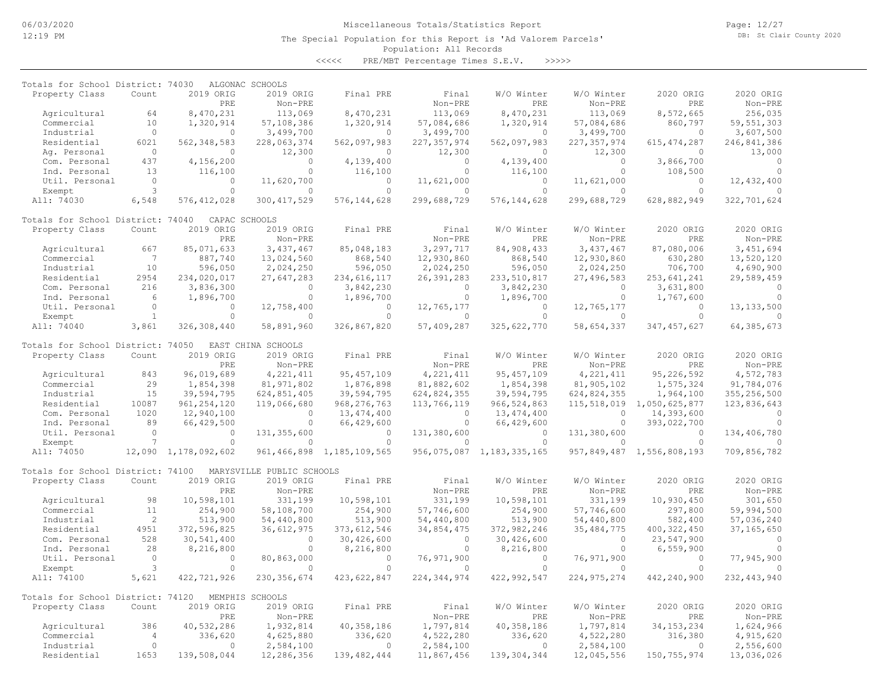The Special Population for this Report is 'Ad Valorem Parcels'

Page: 12/27 DB: St Clair County 2020

# Population: All Records

<<<<< PRE/MBT Percentage Times S.E.V. >>>>>

| Totals for School District: 74030 |                              |                      | ALGONAC SCHOOLS           |                                |               |               |               |                           |               |
|-----------------------------------|------------------------------|----------------------|---------------------------|--------------------------------|---------------|---------------|---------------|---------------------------|---------------|
| Property Class                    | Count                        | 2019 ORIG            | 2019 ORIG                 | Final PRE                      | Final         | W/O Winter    | W/O Winter    | 2020 ORIG                 | 2020 ORIG     |
|                                   |                              | PRE                  | Non-PRE                   |                                | Non-PRE       | PRE           | Non-PRE       | PRE                       | Non-PRE       |
| Agricultural                      | 64                           | 8,470,231            | 113,069                   | 8,470,231                      | 113,069       | 8,470,231     | 113,069       | 8,572,665                 | 256,035       |
| Commercial                        | 10                           | 1,320,914            | 57,108,386                | 1,320,914                      | 57,084,686    | 1,320,914     | 57,084,686    | 860,797                   | 59, 551, 303  |
| Industrial                        | $\circ$                      | $\Omega$             | 3,499,700                 | $\Omega$                       | 3,499,700     | $\circ$       | 3,499,700     | $\circ$                   | 3,607,500     |
| Residential                       | 6021                         | 562, 348, 583        | 228,063,374               | 562,097,983                    | 227, 357, 974 | 562,097,983   | 227, 357, 974 | 615, 474, 287             | 246,841,386   |
| Aq. Personal                      | $\Omega$                     | $\Omega$             | 12,300                    | $\Omega$                       | 12,300        | $\Omega$      | 12,300        | $\Omega$                  | 13,000        |
| Com. Personal                     | 437                          | 4,156,200            | $\Omega$                  | 4,139,400                      | $\Omega$      | 4,139,400     | $\circ$       | 3,866,700                 | $\Omega$      |
| Ind. Personal                     | 13                           | 116,100              | $\Omega$                  | 116,100                        | $\Omega$      | 116,100       | $\Omega$      | 108,500                   | $\Omega$      |
| Util. Personal                    | $\circ$                      | $\circ$              | 11,620,700                | $\Omega$                       | 11,621,000    | $\circ$       | 11,621,000    | $\Omega$                  | 12,432,400    |
| Exempt                            | 3                            | $\Omega$             | $\Omega$                  | $\Omega$                       | $\cap$        | $\Omega$      | $\Omega$      | $\Omega$                  | $\Omega$      |
| All: 74030                        | 6,548                        | 576, 412, 028        | 300, 417, 529             | 576, 144, 628                  | 299,688,729   | 576, 144, 628 | 299,688,729   | 628,882,949               | 322,701,624   |
| Totals for School District: 74040 |                              |                      | CAPAC SCHOOLS             |                                |               |               |               |                           |               |
| Property Class                    | Count                        | 2019 ORIG            | 2019 ORIG                 | Final PRE                      | Final         | W/O Winter    | W/O Winter    | 2020 ORIG                 | 2020 ORIG     |
|                                   |                              | PRE                  | Non-PRE                   |                                | Non-PRE       | PRE           | Non-PRE       | PRE                       | Non-PRE       |
| Agricultural                      | 667                          | 85,071,633           | 3,437,467                 | 85,048,183                     | 3,297,717     | 84,908,433    | 3,437,467     | 87,080,006                | 3,451,694     |
| Commercial                        | $7\phantom{.0}\phantom{.0}7$ | 887,740              | 13,024,560                | 868,540                        | 12,930,860    | 868,540       | 12,930,860    | 630,280                   | 13,520,120    |
| Industrial                        | 10                           | 596,050              | 2,024,250                 | 596,050                        | 2,024,250     | 596,050       | 2,024,250     | 706,700                   | 4,690,900     |
| Residential                       | 2954                         | 234,020,017          | 27,647,283                | 234,616,117                    | 26, 391, 283  | 233,510,817   | 27,496,583    | 253,641,241               | 29,589,459    |
| Com. Personal                     | 216                          | 3,836,300            | $\Omega$                  | 3,842,230                      | $\Omega$      | 3,842,230     | $\Omega$      | 3,631,800                 | $\Omega$      |
| Ind. Personal                     | 6                            | 1,896,700            | $\Omega$                  | 1,896,700                      | $\Omega$      | 1,896,700     | $\Omega$      | 1,767,600                 | $\Omega$      |
| Util. Personal                    | $\Omega$                     | $\Omega$             | 12,758,400                | $\Omega$                       | 12,765,177    | $\Omega$      | 12,765,177    | $\Omega$                  | 13, 133, 500  |
| Exempt                            | $\mathbf{1}$                 | $\Omega$             | $\Omega$                  | $\Omega$                       | $\Omega$      | $\Omega$      | $\Omega$      | $\Omega$                  |               |
| All: 74040                        | 3,861                        | 326,308,440          | 58,891,960                | 326,867,820                    | 57,409,287    | 325,622,770   | 58,654,337    | 347, 457, 627             | 64, 385, 673  |
| Totals for School District: 74050 |                              |                      | EAST CHINA SCHOOLS        |                                |               |               |               |                           |               |
| Property Class                    | Count                        | 2019 ORIG            | 2019 ORIG                 | Final PRE                      | Final         | W/O Winter    | W/O Winter    | 2020 ORIG                 | 2020 ORIG     |
|                                   |                              | PRE                  | Non-PRE                   |                                | Non-PRE       | PRE           | Non-PRE       | PRE                       | Non-PRE       |
| Agricultural                      | 843                          | 96,019,689           | 4, 221, 411               | 95, 457, 109                   | 4, 221, 411   | 95, 457, 109  | 4, 221, 411   | 95,226,592                | 4,572,783     |
| Commercial                        | 29                           | 1,854,398            | 81, 971, 802              | 1,876,898                      | 81,882,602    | 1,854,398     | 81,905,102    | 1,575,324                 | 91,784,076    |
| Industrial                        | 15                           | 39,594,795           | 624,851,405               | 39,594,795                     | 624,824,355   | 39,594,795    | 624,824,355   | 1,964,100                 | 355,256,500   |
| Residential                       | 10087                        | 961, 254, 120        | 119,066,680               | 968, 276, 763                  | 113,766,119   | 966, 524, 863 | 115,518,019   | 1,050,625,877             | 123,836,643   |
| Com. Personal                     | 1020                         | 12,940,100           | $\circ$                   | 13, 474, 400                   | $\circ$       | 13, 474, 400  | $\circ$       | 14,393,600                | $\Omega$      |
| Ind. Personal                     | 89                           | 66,429,500           | $\circ$                   | 66,429,600                     | $\circ$       | 66,429,600    | $\circ$       | 393,022,700               | $\Omega$      |
| Util. Personal                    | $\circ$                      | $\Omega$             | 131, 355, 600             | $\Omega$                       | 131,380,600   | $\Omega$      | 131,380,600   | $\Omega$                  | 134,406,780   |
| Exempt                            | $\overline{7}$               | $\Omega$             | $\Omega$                  | $\Omega$                       | $\Omega$      | $\Omega$      | $\Omega$      | $\Omega$                  | $\Omega$      |
| All: 74050                        |                              | 12,090 1,178,092,602 |                           | 961, 466, 898 1, 185, 109, 565 | 956,075,087   | 1,183,335,165 |               | 957,849,487 1,556,808,193 | 709,856,782   |
| Totals for School District: 74100 |                              |                      | MARYSVILLE PUBLIC SCHOOLS |                                |               |               |               |                           |               |
| Property Class                    | Count                        | 2019 ORIG            | 2019 ORIG                 | Final PRE                      | Final         | W/O Winter    | W/O Winter    | 2020 ORIG                 | 2020 ORIG     |
|                                   |                              | PRE                  | Non-PRE                   |                                | Non-PRE       | PRE           | Non-PRE       | PRE                       | Non-PRE       |
| Agricultural                      | 98                           | 10,598,101           | 331,199                   | 10,598,101                     | 331,199       | 10,598,101    | 331,199       | 10,930,450                | 301,650       |
| Commercial                        | 11                           | 254,900              | 58,108,700                | 254,900                        | 57,746,600    | 254,900       | 57,746,600    | 297,800                   | 59,994,500    |
| Industrial                        | 2                            | 513,900              | 54,440,800                | 513,900                        | 54,440,800    | 513,900       | 54,440,800    | 582,400                   | 57,036,240    |
| Residential                       | 4951                         | 372,596,825          | 36, 612, 975              | 373, 612, 546                  | 34,854,475    | 372,982,246   | 35, 484, 775  | 400, 322, 450             | 37, 165, 650  |
| Com. Personal                     | 528                          | 30,541,400           | $\circ$                   | 30,426,600                     | $\circ$       | 30,426,600    | $\circ$       | 23,547,900                | $\bigcirc$    |
| Ind. Personal                     | 28                           | 8,216,800            | $\circ$                   | 8,216,800                      | $\circ$       | 8,216,800     | $\circ$       | 6,559,900                 | $\Omega$      |
| Util. Personal                    | $\circ$                      | $\circ$              | 80,863,000                | $\Omega$                       | 76,971,900    | $\circ$       | 76,971,900    | $\circ$                   | 77,945,900    |
|                                   | 3                            | $\Omega$             | $\Omega$                  | $\Omega$                       | $\Omega$      | $\Omega$      | $\Omega$      | $\Omega$                  |               |
| Exempt                            |                              |                      |                           |                                |               |               |               |                           |               |
| All: 74100                        | 5,621                        | 422,721,926          | 230, 356, 674             | 423,622,847                    | 224, 344, 974 | 422, 992, 547 | 224, 975, 274 | 442,240,900               | 232, 443, 940 |
| Totals for School District: 74120 |                              |                      | MEMPHIS SCHOOLS           |                                |               |               |               |                           |               |
| Property Class                    | Count                        | 2019 ORIG            | 2019 ORIG                 | Final PRE                      | Final         | W/O Winter    | W/O Winter    | 2020 ORIG                 | 2020 ORIG     |
|                                   |                              | PRE                  | Non-PRE                   |                                | Non-PRE       | PRE           | Non-PRE       | PRE                       | Non-PRE       |
| Agricultural                      | 386                          | 40,532,286           | 1,932,814                 | 40, 358, 186                   | 1,797,814     | 40,358,186    | 1,797,814     | 34, 153, 234              | 1,624,966     |
| Commercial                        | 4                            | 336,620              | 4,625,880                 | 336,620                        | 4,522,280     | 336,620       | 4,522,280     | 316,380                   | 4,915,620     |
| Industrial                        | $\circ$                      | $\circ$              | 2,584,100                 | $\mathbf{0}$                   | 2,584,100     | $\circ$       | 2,584,100     | $\circ$                   | 2,556,600     |
| Residential                       | 1653                         | 139,508,044          | 12,286,356                | 139, 482, 444                  | 11,867,456    | 139, 304, 344 | 12,045,556    | 150,755,974               | 13,036,026    |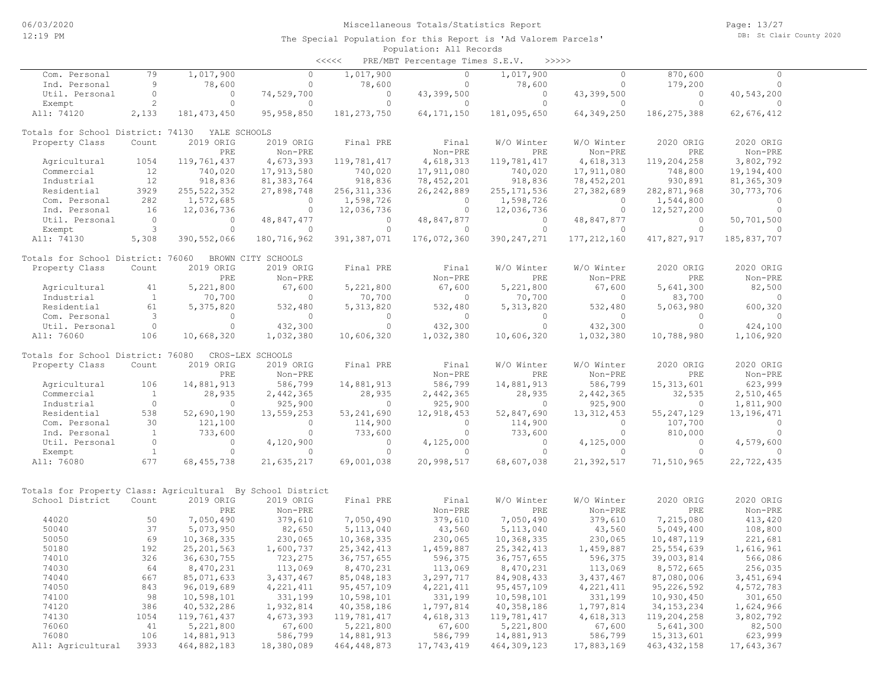| <<<< | PRE/MBT Percentage Times S.E.V. |  |  | >>>>> |
|------|---------------------------------|--|--|-------|
|------|---------------------------------|--|--|-------|

| Com. Personal                                              | 79             | 1,017,900     | $\circ$            | 1,017,900     | $\circ$      | 1,017,900     | $\Omega$      | 870,600       | $\circ$      |  |
|------------------------------------------------------------|----------------|---------------|--------------------|---------------|--------------|---------------|---------------|---------------|--------------|--|
| Ind. Personal                                              | 9              | 78,600        | $\Omega$           | 78,600        | $\Omega$     | 78,600        | $\circ$       | 179,200       | $\Omega$     |  |
| Util. Personal                                             | $\circ$        | $\circ$       | 74,529,700         | $\circ$       | 43,399,500   | $\circ$       | 43,399,500    | 0             | 40,543,200   |  |
| Exempt                                                     | $\overline{c}$ | $\circ$       | $\Omega$           | $\circ$       | $\Omega$     | $\circ$       | $\circ$       | $\circ$       | $\Omega$     |  |
| All: 74120                                                 | 2,133          | 181, 473, 450 | 95,958,850         | 181, 273, 750 | 64, 171, 150 | 181,095,650   | 64, 349, 250  | 186, 275, 388 | 62,676,412   |  |
|                                                            |                |               |                    |               |              |               |               |               |              |  |
| Totals for School District: 74130                          |                | YALE SCHOOLS  |                    |               |              |               |               |               |              |  |
| Property Class                                             | Count          | 2019 ORIG     | 2019 ORIG          | Final PRE     | Final        | W/O Winter    | W/O Winter    | 2020 ORIG     | 2020 ORIG    |  |
|                                                            |                | PRE           | Non-PRE            |               | Non-PRE      | PRE           | Non-PRE       | PRE           | Non-PRE      |  |
| Agricultural                                               | 1054           | 119,761,437   | 4,673,393          | 119,781,417   | 4,618,313    | 119,781,417   | 4,618,313     | 119,204,258   | 3,802,792    |  |
| Commercial                                                 | 12             | 740,020       | 17,913,580         | 740,020       | 17,911,080   | 740,020       | 17,911,080    | 748,800       | 19,194,400   |  |
| Industrial                                                 | 12             | 918,836       | 81,383,764         | 918,836       | 78, 452, 201 | 918,836       | 78, 452, 201  | 930,891       | 81, 365, 309 |  |
| Residential                                                | 3929           | 255, 522, 352 | 27,898,748         | 256, 311, 336 | 26, 242, 889 | 255, 171, 536 | 27,382,689    | 282,871,968   | 30, 773, 706 |  |
| Com. Personal                                              | 282            | 1,572,685     | $\Omega$           | 1,598,726     | $\Omega$     | 1,598,726     | $\Omega$      | 1,544,800     | $\Omega$     |  |
| Ind. Personal                                              | 16             | 12,036,736    | $\circ$            | 12,036,736    | $\circ$      | 12,036,736    | $\circ$       | 12,527,200    | $\circ$      |  |
| Util. Personal                                             | $\circ$        | $\circ$       | 48,847,477         | $\circ$       | 48,847,877   | $\circ$       | 48,847,877    | $\circ$       | 50,701,500   |  |
| Exempt                                                     | 3              | $\circ$       | $\Omega$           | $\Omega$      | $\Omega$     | $\circ$       | $\Omega$      | $\Omega$      | $\Omega$     |  |
| All: 74130                                                 | 5,308          |               | 180,716,962        | 391,387,071   |              | 390, 247, 271 |               | 417,827,917   | 185,837,707  |  |
|                                                            |                | 390, 552, 066 |                    |               | 176,072,360  |               | 177, 212, 160 |               |              |  |
| Totals for School District: 76060                          |                |               | BROWN CITY SCHOOLS |               |              |               |               |               |              |  |
| Property Class                                             | Count          | 2019 ORIG     | 2019 ORIG          | Final PRE     | Final        | W/O Winter    | W/O Winter    | 2020 ORIG     | 2020 ORIG    |  |
|                                                            |                | PRE           | Non-PRE            |               | Non-PRE      | PRE           | Non-PRE       | PRE           | Non-PRE      |  |
|                                                            | 41             | 5,221,800     | 67,600             | 5,221,800     | 67,600       | 5,221,800     | 67,600        | 5,641,300     | 82,500       |  |
| Agricultural                                               |                |               |                    |               |              |               |               |               |              |  |
| Industrial                                                 | $\mathbf{1}$   | 70,700        | $\circ$            | 70,700        | $\circ$      | 70,700        | $\circ$       | 83,700        | $\circ$      |  |
| Residential                                                | 61             | 5,375,820     | 532,480            | 5, 313, 820   | 532,480      | 5, 313, 820   | 532,480       | 5,063,980     | 600,320      |  |
| Com. Personal                                              | 3              | $\Omega$      | $\Omega$           | $\Omega$      | $\Omega$     | $\Omega$      | $\Omega$      | $\Omega$      | $\Omega$     |  |
| Util. Personal                                             | $\circ$        | $\circ$       | 432,300            | $\cap$        | 432,300      | $\circ$       | 432,300       | $\circ$       | 424,100      |  |
| All: 76060                                                 | 106            | 10,668,320    | 1,032,380          | 10,606,320    | 1,032,380    | 10,606,320    | 1,032,380     | 10,788,980    | 1,106,920    |  |
|                                                            |                |               | CROS-LEX SCHOOLS   |               |              |               |               |               |              |  |
| Totals for School District: 76080                          |                |               |                    |               |              |               |               |               |              |  |
| Property Class                                             | Count          | 2019 ORIG     | 2019 ORIG          | Final PRE     | Final        | W/O Winter    | W/O Winter    | 2020 ORIG     | 2020 ORIG    |  |
|                                                            |                | PRE           | Non-PRE            |               | Non-PRE      | <b>PRE</b>    | Non-PRE       | PRE           | Non-PRE      |  |
| Agricultural                                               | 106            | 14,881,913    | 586,799            | 14,881,913    | 586,799      | 14,881,913    | 586,799       | 15, 313, 601  | 623,999      |  |
| Commercial                                                 | $\mathbf{1}$   | 28,935        | 2,442,365          | 28,935        | 2,442,365    | 28,935        | 2,442,365     | 32,535        | 2,510,465    |  |
| Industrial                                                 | $\circ$        | 0             | 925,900            | $\circ$       | 925,900      | $\mathbf{0}$  | 925,900       | 0             | 1,811,900    |  |
| Residential                                                | 538            | 52,690,190    | 13,559,253         | 53, 241, 690  | 12,918,453   | 52,847,690    | 13, 312, 453  | 55, 247, 129  | 13, 196, 471 |  |
| Com. Personal                                              | 30             | 121,100       | $\circ$            | 114,900       | $\circ$      | 114,900       | $\circ$       | 107,700       | $\circ$      |  |
| Ind. Personal                                              | $\mathbf{1}$   | 733,600       | $\Omega$           | 733,600       | $\Omega$     | 733,600       | $\circ$       | 810,000       | $\Omega$     |  |
| Util. Personal                                             | $\circ$        | $\circ$       | 4,120,900          | $\circ$       | 4,125,000    | $\circ$       | 4,125,000     | $\circ$       | 4,579,600    |  |
| Exempt                                                     | <sup>1</sup>   | $\circ$       | $\Omega$           | $\Omega$      | $\Omega$     | $\circ$       | $\Omega$      | $\circ$       | $\Omega$     |  |
| All: 76080                                                 | 677            | 68, 455, 738  | 21,635,217         | 69,001,038    | 20,998,517   | 68,607,038    | 21,392,517    | 71,510,965    | 22,722,435   |  |
|                                                            |                |               |                    |               |              |               |               |               |              |  |
|                                                            |                |               |                    |               |              |               |               |               |              |  |
| Totals for Property Class: Agricultural By School District |                |               |                    |               |              |               |               |               |              |  |
| School District                                            | Count          | 2019 ORIG     | 2019 ORIG          | Final PRE     | Final        | W/O Winter    | W/O Winter    | 2020 ORIG     | 2020 ORIG    |  |
|                                                            |                | PRE           | Non-PRE            |               | Non-PRE      | PRE           | Non-PRE       | PRE           | Non-PRE      |  |
| 44020                                                      | 50             | 7,050,490     | 379,610            | 7,050,490     | 379,610      | 7,050,490     | 379,610       | 7,215,080     | 413,420      |  |
| 50040                                                      | 37             | 5,073,950     | 82,650             | 5, 113, 040   | 43,560       | 5,113,040     | 43,560        | 5,049,400     | 108,800      |  |
| 50050                                                      | 69             | 10,368,335    | 230,065            | 10,368,335    | 230,065      | 10,368,335    | 230,065       | 10,487,119    | 221,681      |  |
| 50180                                                      | 192            | 25, 201, 563  | 1,600,737          | 25, 342, 413  | 1,459,887    | 25, 342, 413  | 1,459,887     | 25,554,639    | 1,616,961    |  |
| 74010                                                      | 326            | 36,630,755    | 723,275            | 36,757,655    | 596,375      | 36,757,655    | 596,375       | 39,003,814    | 566,086      |  |
| 74030                                                      | 64             | 8,470,231     | 113,069            | 8,470,231     | 113,069      | 8,470,231     | 113,069       | 8,572,665     | 256,035      |  |
| 74040                                                      | 667            | 85,071,633    | 3,437,467          | 85,048,183    | 3,297,717    | 84,908,433    | 3, 437, 467   | 87,080,006    | 3,451,694    |  |
| 74050                                                      | 843            | 96,019,689    | 4, 221, 411        | 95, 457, 109  | 4, 221, 411  | 95, 457, 109  | 4, 221, 411   | 95,226,592    | 4,572,783    |  |
| 74100                                                      | 98             | 10,598,101    | 331,199            | 10,598,101    | 331,199      | 10,598,101    | 331,199       | 10,930,450    | 301,650      |  |
| 74120                                                      | 386            | 40,532,286    | 1,932,814          | 40,358,186    | 1,797,814    | 40,358,186    | 1,797,814     | 34, 153, 234  | 1,624,966    |  |
| 74130                                                      | 1054           | 119,761,437   | 4,673,393          | 119,781,417   | 4,618,313    | 119,781,417   | 4,618,313     | 119,204,258   | 3,802,792    |  |
| 76060                                                      | 41             | 5,221,800     | 67,600             | 5,221,800     | 67,600       | 5,221,800     | 67,600        | 5,641,300     | 82,500       |  |
| 76080                                                      | 106            | 14,881,913    | 586,799            | 14,881,913    | 586,799      | 14,881,913    | 586,799       | 15, 313, 601  | 623,999      |  |
| All: Agricultural                                          | 3933           | 464,882,183   | 18,380,089         | 464, 448, 873 | 17,743,419   | 464, 309, 123 | 17,883,169    | 463, 432, 158 | 17,643,367   |  |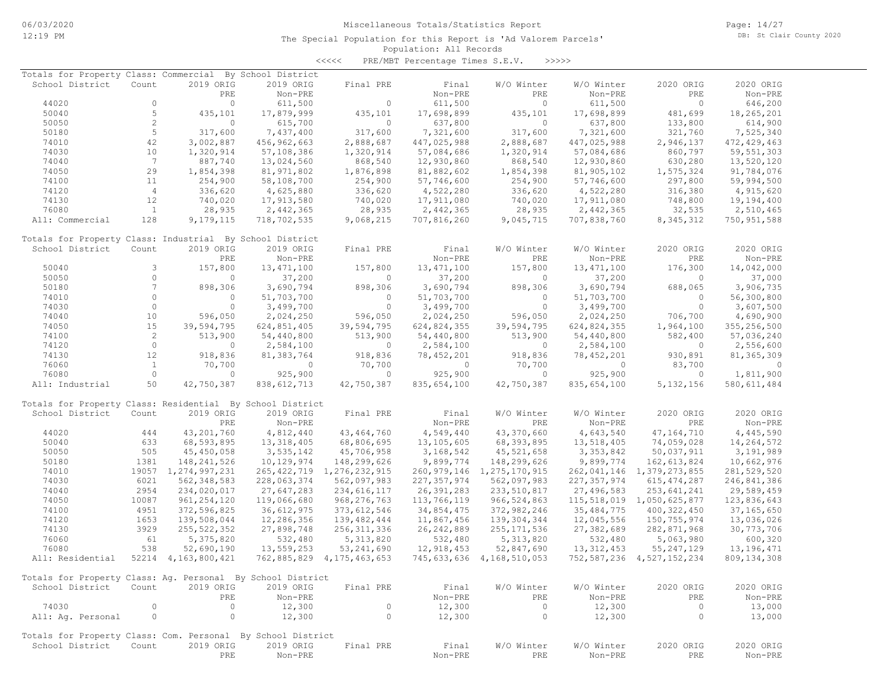Page: 14/27 DB: St Clair County 2020

#### Population: All Records The Special Population for this Report is 'Ad Valorem Parcels'

<<<<< PRE/MBT Percentage Times S.E.V. >>>>>

| Totals for Property Class: Commercial                       |                |                        | By School District |                                |               |                                |               |                                |               |
|-------------------------------------------------------------|----------------|------------------------|--------------------|--------------------------------|---------------|--------------------------------|---------------|--------------------------------|---------------|
| School District                                             | Count          | 2019 ORIG              | 2019 ORIG          | Final PRE                      | Final         | W/O Winter                     | W/O Winter    | 2020 ORIG                      | 2020 ORIG     |
|                                                             |                | PRE                    | Non-PRE            |                                | Non-PRE       | PRE                            | Non-PRE       | PRE                            | Non-PRE       |
| 44020                                                       | 0              | $\circ$                | 611,500            | $\circ$                        |               | $\circ$                        |               | $\overline{0}$                 |               |
|                                                             |                |                        |                    |                                | 611,500       |                                | 611,500       |                                | 646,200       |
| 50040                                                       | 5              | 435,101                | 17,879,999         | 435,101                        | 17,698,899    | 435,101                        | 17,698,899    | 481,699                        | 18,265,201    |
| 50050                                                       | $\mathbf{2}$   | $\Omega$               | 615,700            | $\circ$                        | 637,800       | $\Omega$                       | 637,800       | 133,800                        | 614,900       |
| 50180                                                       | 5              | 317,600                | 7,437,400          | 317,600                        | 7,321,600     | 317,600                        | 7,321,600     | 321,760                        | 7,525,340     |
| 74010                                                       | 42             | 3,002,887              | 456,962,663        | 2,888,687                      | 447,025,988   | 2,888,687                      | 447,025,988   | 2,946,137                      | 472, 429, 463 |
| 74030                                                       | 10             | 1,320,914              | 57,108,386         | 1,320,914                      | 57,084,686    | 1,320,914                      | 57,084,686    | 860,797                        | 59, 551, 303  |
| 74040                                                       | 7              | 887,740                | 13,024,560         | 868,540                        | 12,930,860    | 868,540                        | 12,930,860    | 630,280                        | 13,520,120    |
| 74050                                                       | 29             | 1,854,398              | 81,971,802         | 1,876,898                      | 81,882,602    | 1,854,398                      | 81,905,102    | 1,575,324                      | 91,784,076    |
| 74100                                                       | 11             | 254,900                | 58,108,700         | 254,900                        | 57,746,600    | 254,900                        | 57,746,600    | 297,800                        | 59,994,500    |
| 74120                                                       | $\overline{4}$ | 336,620                | 4,625,880          | 336,620                        | 4,522,280     | 336,620                        | 4,522,280     | 316,380                        |               |
|                                                             |                |                        |                    |                                |               |                                |               |                                | 4,915,620     |
| 74130                                                       | 12             | 740,020                | 17,913,580         | 740,020                        | 17,911,080    | 740,020                        | 17,911,080    | 748,800                        | 19,194,400    |
| 76080                                                       | <sup>1</sup>   | 28,935                 | 2,442,365          | 28,935                         | 2,442,365     | 28,935                         | 2,442,365     | 32,535                         | 2,510,465     |
| All: Commercial                                             | 128            | 9,179,115              | 718,702,535        | 9,068,215                      | 707,816,260   | 9,045,715                      | 707,838,760   | 8, 345, 312                    | 750, 951, 588 |
| Totals for Property Class: Industrial By School District    |                |                        |                    |                                |               |                                |               |                                |               |
| School District                                             | Count          | 2019 ORIG              | 2019 ORIG          | Final PRE                      | Final         | W/O Winter                     | W/O Winter    | 2020 ORIG                      | 2020 ORIG     |
|                                                             |                | PRE                    | Non-PRE            |                                | Non-PRE       | PRE                            | Non-PRE       | PRE                            | Non-PRE       |
| 50040                                                       | 3              | 157,800                | 13, 471, 100       | 157,800                        | 13, 471, 100  | 157,800                        | 13, 471, 100  | 176,300                        | 14,042,000    |
| 50050                                                       | $\Omega$       | $\Omega$               | 37,200             | $\Omega$                       | 37,200        | $\Omega$                       | 37,200        | $\Omega$                       | 37,000        |
|                                                             | 7              |                        |                    |                                |               |                                |               |                                |               |
| 50180                                                       |                | 898,306                | 3,690,794          | 898,306                        | 3,690,794     | 898,306                        | 3,690,794     | 688,065                        | 3,906,735     |
| 74010                                                       | $\circ$        | $\circ$                | 51,703,700         | $\circ$                        | 51,703,700    | $\circ$                        | 51,703,700    | $\circ$                        | 56,300,800    |
| 74030                                                       | $\circ$        | $\circ$                | 3,499,700          | $\circ$                        | 3,499,700     | $\circ$                        | 3,499,700     | $\circ$                        | 3,607,500     |
| 74040                                                       | 10             | 596,050                | 2,024,250          | 596,050                        | 2,024,250     | 596,050                        | 2,024,250     | 706,700                        | 4,690,900     |
| 74050                                                       | 15             | 39,594,795             | 624,851,405        | 39,594,795                     | 624,824,355   | 39,594,795                     | 624,824,355   | 1,964,100                      | 355,256,500   |
| 74100                                                       | 2              | 513,900                | 54,440,800         | 513,900                        | 54,440,800    | 513,900                        | 54,440,800    | 582,400                        | 57,036,240    |
| 74120                                                       | $\circ$        | $\circ$                | 2,584,100          | $\circ$                        | 2,584,100     | $\circ$                        | 2,584,100     | $\overline{0}$                 | 2,556,600     |
| 74130                                                       | $12 \,$        | 918,836                | 81,383,764         | 918,836                        | 78, 452, 201  | 918,836                        | 78,452,201    | 930,891                        | 81, 365, 309  |
| 76060                                                       | $\mathbf{1}$   | 70,700                 | 0                  | 70,700                         | 0             | 70,700                         | $\circ$       | 83,700                         | $\Omega$      |
|                                                             | $\circ$        |                        |                    |                                |               |                                |               |                                |               |
| 76080                                                       |                | $\circ$                | 925,900            | $\circ$                        | 925,900       | $\circ$                        | 925,900       | $\circ$                        | 1,811,900     |
| All: Industrial                                             | 50             | 42,750,387             | 838, 612, 713      | 42,750,387                     | 835,654,100   | 42,750,387                     | 835,654,100   | 5, 132, 156                    | 580, 611, 484 |
| Totals for Property Class: Residential By School District   |                |                        |                    |                                |               |                                |               |                                |               |
| School District                                             | Count          | 2019 ORIG              | 2019 ORIG          | Final PRE                      | Final         | W/O Winter                     | W/O Winter    | 2020 ORIG                      | 2020 ORIG     |
|                                                             |                | PRE                    | Non-PRE            |                                | Non-PRE       | PRE                            | Non-PRE       | PRE                            | Non-PRE       |
| 44020                                                       | 444            | 43, 201, 760           | 4,812,440          | 43, 464, 760                   | 4,549,440     | 43,370,660                     | 4,643,540     | 47, 164, 710                   | 4,445,590     |
| 50040                                                       | 633            | 68,593,895             | 13, 318, 405       | 68,806,695                     | 13,105,605    | 68, 393, 895                   | 13,518,405    | 74,059,028                     | 14,264,572    |
|                                                             | 505            |                        |                    |                                |               |                                |               |                                |               |
| 50050                                                       |                | 45,450,058             | 3,535,142          | 45,706,958                     | 3, 168, 542   | 45,521,658                     | 3, 353, 842   | 50,037,911                     | 3,191,989     |
| 50180                                                       | 1381           | 148, 241, 526          | 10,129,974         | 148,299,626                    | 9,899,774     | 148,299,626                    | 9,899,774     | 162,613,824                    | 10,662,976    |
| 74010                                                       | 19057          | 1,274,997,231          |                    | 265, 422, 719 1, 276, 232, 915 |               | 260, 979, 146 1, 275, 170, 915 | 262,041,146   | 1,379,273,855                  | 281,529,520   |
| 74030                                                       | 6021           | 562, 348, 583          | 228,063,374        | 562,097,983                    | 227, 357, 974 | 562,097,983                    | 227, 357, 974 | 615, 474, 287                  | 246,841,386   |
| 74040                                                       | 2954           | 234,020,017            | 27,647,283         | 234, 616, 117                  | 26,391,283    | 233,510,817                    | 27,496,583    | 253,641,241                    | 29,589,459    |
| 74050                                                       | 10087          | 961, 254, 120          | 119,066,680        | 968, 276, 763                  | 113,766,119   | 966, 524, 863                  | 115,518,019   | 1,050,625,877                  | 123,836,643   |
| 74100                                                       | 4951           | 372,596,825            | 36,612,975         | 373, 612, 546                  | 34,854,475    | 372,982,246                    | 35, 484, 775  | 400, 322, 450                  | 37, 165, 650  |
| 74120                                                       | 1653           | 139,508,044            | 12,286,356         | 139,482,444                    | 11,867,456    | 139, 304, 344                  | 12,045,556    | 150,755,974                    | 13,036,026    |
| 74130                                                       | 3929           | 255, 522, 352          | 27,898,748         | 256, 311, 336                  | 26, 242, 889  | 255, 171, 536                  | 27,382,689    | 282,871,968                    | 30,773,706    |
|                                                             |                |                        |                    |                                |               |                                |               |                                |               |
| 76060                                                       | 61             | 5,375,820              | 532,480            | 5, 313, 820                    | 532,480       | 5, 313, 820                    | 532,480       | 5,063,980                      | 600,320       |
| 76080                                                       | 538            | 52,690,190             | 13,559,253         | 53, 241, 690                   | 12,918,453    | 52,847,690                     | 13, 312, 453  | 55, 247, 129                   | 13, 196, 471  |
| All: Residential                                            |                | 52214 4, 163, 800, 421 |                    | 762,885,829 4,175,463,653      | 745,633,636   | 4,168,510,053                  |               | 752, 587, 236 4, 527, 152, 234 | 809, 134, 308 |
| Totals for Property Class: Aq. Personal By School District  |                |                        |                    |                                |               |                                |               |                                |               |
| School District                                             | Count          | 2019 ORIG              | 2019 ORIG          | Final PRE                      | Final         | W/O Winter                     | W/O Winter    | 2020 ORIG                      | 2020 ORIG     |
|                                                             |                | PRE                    | Non-PRE            |                                | Non-PRE       | PRE                            | Non-PRE       | PRE                            | Non-PRE       |
|                                                             |                |                        |                    |                                |               |                                |               |                                |               |
| 74030                                                       | $\circ$        | $\circ$                | 12,300             | $\circ$                        | 12,300        | $\circ$                        | 12,300        | $\circ$                        | 13,000        |
| All: Ag. Personal                                           | $\circ$        | $\circ$                | 12,300             | $\circ$                        | 12,300        | $\circ$                        | 12,300        | $\circ$                        | 13,000        |
| Totals for Property Class: Com. Personal By School District |                |                        |                    |                                |               |                                |               |                                |               |
| School District                                             | Count          | 2019 ORIG              | 2019 ORIG          | Final PRE                      | Final         | W/O Winter                     | W/O Winter    | 2020 ORIG                      | 2020 ORIG     |
|                                                             |                | PRE                    | Non-PRE            |                                | Non-PRE       | PRE                            | Non-PRE       | PRE                            | Non-PRE       |
|                                                             |                |                        |                    |                                |               |                                |               |                                |               |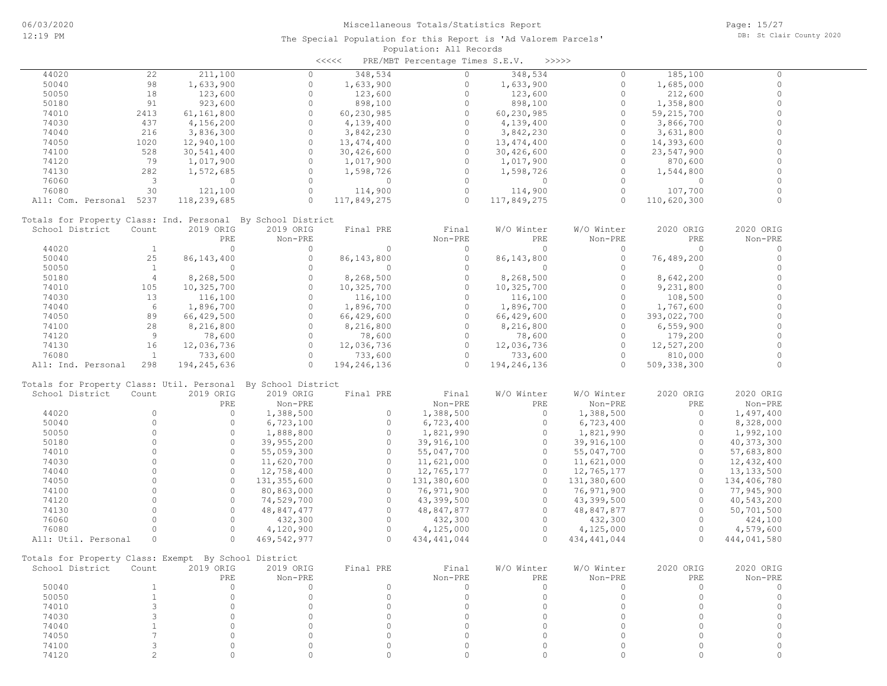|                                                      |                         |              |                                                              | $\prec$ <<<< | PRE/MBT Percentage Times S.E.V. |              | >>>>>         |             |              |
|------------------------------------------------------|-------------------------|--------------|--------------------------------------------------------------|--------------|---------------------------------|--------------|---------------|-------------|--------------|
| 44020                                                | 22                      | 211,100      | 0                                                            | 348,534      | $\Omega$                        | 348,534      | $\Omega$      | 185,100     | $\Omega$     |
| 50040                                                | 98                      | 1,633,900    | $\circ$                                                      | 1,633,900    | $\circ$                         | 1,633,900    | $\circ$       | 1,685,000   | $\Omega$     |
| 50050                                                | 18                      | 123,600      | $\circ$                                                      | 123,600      | $\circ$                         | 123,600      | $\Omega$      | 212,600     | $\circ$      |
| 50180                                                | 91                      | 923,600      | $\circ$                                                      | 898,100      | $\circ$                         | 898,100      | $\circ$       | 1,358,800   | $\circ$      |
| 74010                                                | 2413                    | 61,161,800   | $\circ$                                                      | 60,230,985   | $\circ$                         | 60,230,985   | $\Omega$      | 59,215,700  | $\Omega$     |
| 74030                                                | 437                     | 4,156,200    | $\circ$                                                      | 4,139,400    | $\circ$                         | 4,139,400    | $\Omega$      | 3,866,700   | $\circ$      |
| 74040                                                | 216                     | 3,836,300    | $\circ$                                                      |              | $\circ$                         | 3,842,230    | $\circ$       |             | $\circ$      |
|                                                      | 1020                    |              | $\circ$                                                      | 3,842,230    | $\circ$                         |              | $\Omega$      | 3,631,800   | $\circ$      |
| 74050                                                |                         | 12,940,100   |                                                              | 13, 474, 400 |                                 | 13,474,400   |               | 14,393,600  |              |
| 74100                                                | 528                     | 30,541,400   | $\circ$                                                      | 30,426,600   | $\Omega$                        | 30,426,600   | $\Omega$      | 23,547,900  | $\circ$      |
| 74120                                                | 79                      | 1,017,900    | $\Omega$                                                     | 1,017,900    | $\Omega$                        | 1,017,900    | $\Omega$      | 870,600     | $\Omega$     |
| 74130                                                | 282                     | 1,572,685    | $\circ$                                                      | 1,598,726    | $\circ$                         | 1,598,726    | $\circ$       | 1,544,800   | $\circ$      |
| 76060                                                | $\overline{\mathbf{3}}$ | $\circ$      | $\circ$                                                      | $\circ$      | $\circ$                         | $\circ$      | $\Omega$      | $\circ$     | $\Omega$     |
| 76080                                                | 30                      | 121,100      | $\circ$                                                      | 114,900      | $\circ$                         | 114,900      | $\circ$       | 107,700     |              |
| All: Com. Personal 5237                              |                         | 118,239,685  | $\circ$                                                      | 117,849,275  | $\Omega$                        | 117,849,275  | $\cap$        | 110,620,300 | $\Omega$     |
|                                                      |                         |              | Totals for Property Class: Ind. Personal By School District  |              |                                 |              |               |             |              |
| School District                                      | Count                   | 2019 ORIG    | 2019 ORIG                                                    | Final PRE    | Final                           | W/O Winter   | W/O Winter    | 2020 ORIG   | 2020 ORIG    |
|                                                      |                         | PRE          | Non-PRE                                                      |              | Non-PRE                         | PRE          | Non-PRE       | PRE         | Non-PRE      |
| 44020                                                | <sup>1</sup>            | $\Omega$     | $\Omega$                                                     | $\Omega$     | $\circ$                         | $\Omega$     | $\Omega$      | $\Omega$    | $\Omega$     |
| 50040                                                | 25                      | 86, 143, 400 | $\circ$                                                      | 86, 143, 800 | $\circ$                         | 86, 143, 800 | $\circ$       | 76,489,200  | $\circ$      |
|                                                      | <sup>1</sup>            | $\circ$      | $\circ$                                                      |              | $\circ$                         |              | $\Omega$      |             | $\circ$      |
| 50050                                                |                         |              |                                                              | $\circ$      |                                 | $\circ$      |               | $\circ$     |              |
| 50180                                                | $\overline{4}$          | 8,268,500    | $\circ$                                                      | 8,268,500    | $\circ$                         | 8,268,500    | $\circ$       | 8,642,200   | $\circ$      |
| 74010                                                | 105                     | 10,325,700   | $\circ$                                                      | 10,325,700   | $\circ$                         | 10,325,700   | $\circ$       | 9,231,800   | $\circ$      |
| 74030                                                | 13                      | 116,100      | $\circ$                                                      | 116,100      | $\circ$                         | 116,100      | $\Omega$      | 108,500     | $\circ$      |
| 74040                                                | 6                       | 1,896,700    | $\circ$                                                      | 1,896,700    | $\circ$                         | 1,896,700    | $\circ$       | 1,767,600   | $\circ$      |
| 74050                                                | 89                      | 66,429,500   | $\Omega$                                                     | 66,429,600   | $\Omega$                        | 66,429,600   | $\Omega$      | 393,022,700 | $\Omega$     |
| 74100                                                | 28                      | 8,216,800    | $\circ$                                                      | 8,216,800    | $\Omega$                        | 8,216,800    | $\Omega$      | 6,559,900   | $\Omega$     |
| 74120                                                | 9                       | 78,600       | $\circ$                                                      | 78,600       | $\Omega$                        | 78,600       | $\Omega$      | 179,200     | $\Omega$     |
| 74130                                                | 16                      | 12,036,736   | $\circ$                                                      | 12,036,736   | $\circ$                         | 12,036,736   | $\circ$       | 12,527,200  | $\mathbf 0$  |
| 76080                                                | $\mathbf{1}$            | 733,600      | $\circ$                                                      | 733,600      | $\bigcirc$                      | 733,600      | $\Omega$      | 810,000     |              |
| All: Ind. Personal                                   | 298                     | 194,245,636  | $\Omega$                                                     | 194,246,136  | $\bigcirc$                      | 194,246,136  | $\Omega$      | 509,338,300 | $\circ$      |
|                                                      |                         |              |                                                              |              |                                 |              |               |             |              |
|                                                      |                         |              | Totals for Property Class: Util. Personal By School District |              |                                 |              |               |             |              |
| School District                                      | Count                   | 2019 ORIG    | 2019 ORIG                                                    | Final PRE    | Final                           | W/O Winter   | W/O Winter    | 2020 ORIG   | 2020 ORIG    |
|                                                      |                         | PRE          | Non-PRE                                                      |              | Non-PRE                         | PRE          | Non-PRE       | PRE         | Non-PRE      |
| 44020                                                | $\Omega$                | $\circ$      | 1,388,500                                                    | $\circ$      | 1,388,500                       | $\circ$      | 1,388,500     | $\circ$     | 1,497,400    |
| 50040                                                | $\circ$                 | $\circ$      | 6,723,100                                                    | $\circ$      | 6,723,400                       | $\circ$      | 6,723,400     | $\circ$     | 8,328,000    |
| 50050                                                | $\circ$                 | $\circ$      | 1,888,800                                                    | $\circ$      | 1,821,990                       | $\circ$      | 1,821,990     | $\circ$     | 1,992,100    |
| 50180                                                | $\Omega$                | $\circ$      | 39,955,200                                                   | $\circ$      | 39,916,100                      | $\circ$      | 39,916,100    | $\Omega$    | 40, 373, 300 |
| 74010                                                | $\Omega$                | $\circ$      | 55,059,300                                                   | $\circ$      | 55,047,700                      | $\circ$      | 55,047,700    | $\circ$     | 57,683,800   |
| 74030                                                | $\Omega$                | $\circ$      | 11,620,700                                                   | $\circ$      | 11,621,000                      | $\circ$      | 11,621,000    | $\circ$     | 12,432,400   |
| 74040                                                | $\Omega$                | $\Omega$     | 12,758,400                                                   | $\Omega$     | 12,765,177                      | $\circ$      | 12,765,177    | $\Omega$    | 13, 133, 500 |
| 74050                                                | $\Omega$                | $\circ$      | 131,355,600                                                  | $\circ$      | 131,380,600                     | $\circ$      | 131,380,600   | $\Omega$    | 134,406,780  |
|                                                      | $\Omega$                | $\Omega$     |                                                              | $\Omega$     |                                 | $\Omega$     |               | $\Omega$    |              |
| 74100                                                |                         |              | 80,863,000                                                   |              | 76,971,900                      |              | 76,971,900    |             | 77,945,900   |
| 74120                                                | $\circ$                 | $\circ$      | 74,529,700                                                   | $\circ$      | 43,399,500                      | $\circ$      | 43,399,500    | $\circ$     | 40,543,200   |
| 74130                                                | $\Omega$                | $\Omega$     | 48,847,477                                                   | $\circ$      | 48,847,877                      | $\circ$      | 48,847,877    | $\Omega$    | 50,701,500   |
| 76060                                                | $\Omega$                | $\Omega$     | 432,300                                                      | $\circ$      | 432,300                         | $\circ$      | 432,300       | $\Omega$    | 424,100      |
| 76080                                                | $\Omega$                | $\circ$      | 4,120,900                                                    | $\circ$      | 4,125,000                       | $\circ$      | 4,125,000     | $\circ$     | 4,579,600    |
| All: Util. Personal                                  | $\circ$                 | $\Omega$     | 469, 542, 977                                                | $\Omega$     | 434, 441, 044                   | $\Omega$     | 434, 441, 044 | $\Omega$    | 444,041,580  |
| Totals for Property Class: Exempt By School District |                         |              |                                                              |              |                                 |              |               |             |              |
| School District Count                                |                         | 2019 ORIG    | 2019 ORIG                                                    | Final PRE    | Final                           | W/O Winter   | W/O Winter    | 2020 ORIG   | 2020 ORIG    |
|                                                      |                         | PRE          | Non-PRE                                                      |              | Non-PRE                         | PRE          | Non-PRE       | PRE         | Non-PRE      |
| 50040                                                | $\mathbf{1}$            | $\circ$      | $\circ$                                                      | $\circ$      | $\circ$                         | $\circ$      | $\circ$       | $\circ$     | $\circ$      |
|                                                      |                         | $\Omega$     |                                                              |              |                                 |              |               | $\Omega$    |              |
| 50050                                                | $\mathbf{1}$            |              | $\circ$                                                      | $\circ$      | $\circ$                         | $\circ$      | $\Omega$      |             | $\circ$      |
| 74010                                                | 3                       | $\Omega$     | $\Omega$                                                     | $\Omega$     | $\circ$                         | $\circ$      | $\Omega$      | $\Omega$    | $\circ$      |
| 74030                                                | 3                       | $\Omega$     | $\Omega$                                                     | $\Omega$     | $\Omega$                        | $\Omega$     | $\Omega$      | $\Omega$    | $\circ$      |
| 74040                                                |                         | $\Omega$     | $\Omega$                                                     | $\Omega$     | $\Omega$                        | $\Omega$     | $\cap$        | $\Omega$    | $\circ$      |
| 74050                                                | 7                       | $\Omega$     | $\Omega$                                                     | $\Omega$     | $\Omega$                        | $\Omega$     | $\Omega$      | $\Omega$    | $\circ$      |
| 74100                                                | 3                       | $\Omega$     | 0                                                            | $\Omega$     | $\circ$                         | $\Omega$     | $\Omega$      | $\Omega$    | 0            |
| 74120                                                | $\mathbf{2}^{\prime}$   | $\circ$      | $\circ$                                                      | 0            | $\circ$                         | $\Omega$     | $\Omega$      | $\circ$     | $\Omega$     |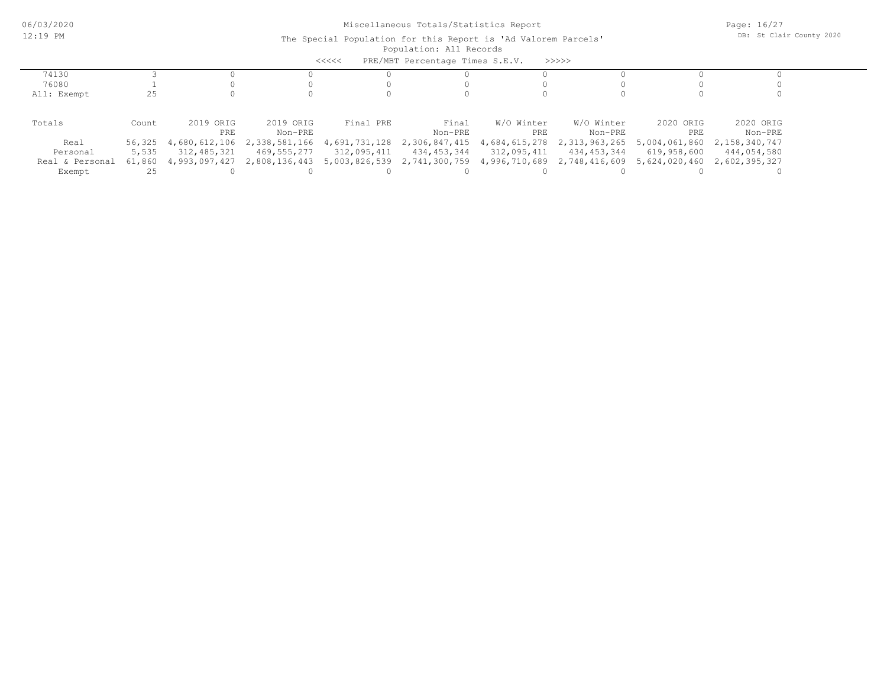| PRE/MBT Percentage Times S.E.V.<br>>>>>><br><<<< |        |                      |               |               |                                                         |               |               |             |                             |
|--------------------------------------------------|--------|----------------------|---------------|---------------|---------------------------------------------------------|---------------|---------------|-------------|-----------------------------|
| 74130                                            |        |                      |               |               |                                                         |               |               |             |                             |
| 76080                                            |        |                      |               |               |                                                         |               |               |             |                             |
| All: Exempt                                      | 25     |                      |               |               |                                                         |               |               |             |                             |
|                                                  |        |                      |               |               |                                                         |               |               |             |                             |
| Totals                                           | Count  | 2019 ORIG            | 2019 ORIG     | Final PRE     | Final                                                   | W/O Winter    | W/O Winter    | 2020 ORIG   | 2020 ORIG                   |
|                                                  |        | PRE                  | Non-PRE       |               | Non-PRE                                                 | PRE           | Non-PRE       | PRE         | Non-PRE                     |
| Real                                             |        | 56,325 4,680,612,106 | 2,338,581,166 | 4,691,731,128 | 2,306,847,415                                           | 4,684,615,278 | 2,313,963,265 |             | 5,004,061,860 2,158,340,747 |
| Personal                                         | 5,535  | 312,485,321          | 469,555,277   | 312,095,411   | 434,453,344                                             | 312,095,411   | 434,453,344   | 619,958,600 | 444,054,580                 |
| Real & Personal                                  | 61,860 | 4,993,097,427        | 2,808,136,443 |               | 5,003,826,539 2,741,300,759 4,996,710,689 2,748,416,609 |               |               |             | 5,624,020,460 2,602,395,327 |
| Exempt                                           |        |                      |               |               |                                                         |               |               |             |                             |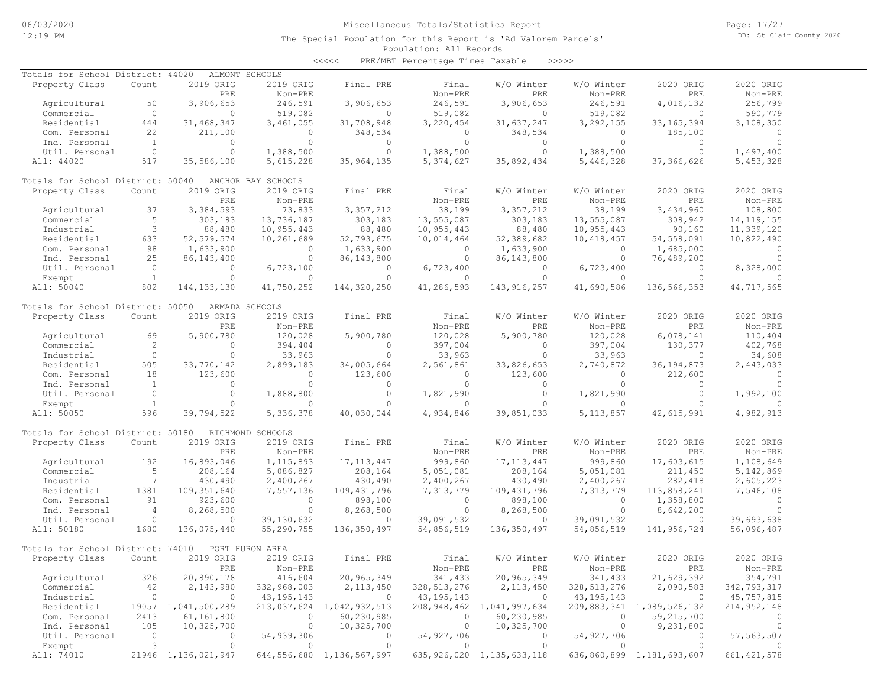Page: 17/27 DB: St Clair County 2020

#### Population: All Records The Special Population for this Report is 'Ad Valorem Parcels'

<<<<< PRE/MBT Percentage Times Taxable >>>>>

| Totals for School District: 44020 |                 |                     | ALMONT SCHOOLS     |                                |               |                                |               |                           |                |
|-----------------------------------|-----------------|---------------------|--------------------|--------------------------------|---------------|--------------------------------|---------------|---------------------------|----------------|
| Property Class                    | Count           | 2019 ORIG           | 2019 ORIG          | Final PRE                      | Final         | W/O Winter                     | W/O Winter    | 2020 ORIG                 | 2020 ORIG      |
|                                   |                 | PRE                 | Non-PRE            |                                | Non-PRE       | PRE                            | Non-PRE       | PRE                       | Non-PRE        |
|                                   | 50              |                     | 246,591            |                                |               |                                |               |                           |                |
| Agricultural                      |                 | 3,906,653           |                    | 3,906,653                      | 246,591       | 3,906,653                      | 246,591       | 4,016,132                 | 256,799        |
| Commercial                        | $\circ$         | $\circ$             | 519,082            | $\circ$                        | 519,082       | $\circ$                        | 519,082       | $\mathbf{0}$              | 590,779        |
| Residential                       | 444             | 31, 468, 347        | 3,461,055          | 31,708,948                     | 3,220,454     | 31,637,247                     | 3,292,155     | 33, 165, 394              | 3,108,350      |
| Com. Personal                     | 22              | 211,100             | $\Omega$           | 348,534                        | $\Omega$      | 348,534                        | $\circ$       | 185,100                   | $\Omega$       |
| Ind. Personal                     | $\mathbf{1}$    | $\circ$             | $\circ$            | $\circ$                        | $\circ$       | $\circ$                        | $\circ$       | $\Omega$                  | $\circ$        |
| Util. Personal                    | $\overline{0}$  | $\circ$             | 1,388,500          | $\circ$                        | 1,388,500     | $\circ$                        | 1,388,500     | $\circ$                   | 1,497,400      |
| All: 44020                        | 517             | 35,586,100          | 5,615,228          | 35,964,135                     | 5,374,627     | 35,892,434                     | 5,446,328     | 37, 366, 626              | 5,453,328      |
|                                   |                 |                     |                    |                                |               |                                |               |                           |                |
| Totals for School District: 50040 |                 |                     | ANCHOR BAY SCHOOLS |                                |               |                                |               |                           |                |
|                                   |                 |                     |                    |                                |               |                                |               |                           | 2020 ORIG      |
| Property Class                    | Count           | 2019 ORIG           | 2019 ORIG          | Final PRE                      | Final         | W/O Winter                     | W/O Winter    | 2020 ORIG                 |                |
|                                   |                 | PRE                 | Non-PRE            |                                | Non-PRE       | PRE                            | Non-PRE       | PRE                       | Non-PRE        |
| Agricultural                      | 37              | 3,384,593           | 73,833             | 3, 357, 212                    | 38,199        | 3, 357, 212                    | 38,199        | 3,434,960                 | 108,800        |
| Commercial                        | 5               | 303,183             | 13,736,187         | 303,183                        | 13,555,087    | 303,183                        | 13,555,087    | 308,942                   | 14, 119, 155   |
| Industrial                        | 3               | 88,480              | 10,955,443         | 88,480                         | 10,955,443    | 88,480                         | 10,955,443    | 90,160                    | 11,339,120     |
| Residential                       | 633             | 52, 579, 574        | 10,261,689         | 52,793,675                     | 10,014,464    | 52,389,682                     | 10,418,457    | 54, 558, 091              | 10,822,490     |
| Com. Personal                     | 98              | 1,633,900           | $\circ$            | 1,633,900                      | $\circ$       | 1,633,900                      | $\circ$       | 1,685,000                 | $\circ$        |
|                                   |                 |                     | $\circ$            |                                |               |                                | $\Omega$      |                           | $\Omega$       |
| Ind. Personal                     | 25              | 86, 143, 400        |                    | 86,143,800                     | $\circ$       | 86, 143, 800                   |               | 76,489,200                |                |
| Util. Personal                    | $\overline{0}$  | $\circ$             | 6,723,100          | $\circ$                        | 6,723,400     | $\circ$                        | 6,723,400     | $\Omega$                  | 8,328,000      |
| Exempt                            | $\overline{1}$  | $\circ$             | $\Omega$           | $\circ$                        | $\circ$       | $\circ$                        | $\circ$       | $\Omega$                  |                |
| All: 50040                        | 802             | 144, 133, 130       | 41,750,252         | 144,320,250                    | 41,286,593    | 143,916,257                    | 41,690,586    | 136, 566, 353             | 44,717,565     |
|                                   |                 |                     |                    |                                |               |                                |               |                           |                |
| Totals for School District: 50050 |                 |                     | ARMADA SCHOOLS     |                                |               |                                |               |                           |                |
| Property Class                    | Count           | 2019 ORIG           | 2019 ORIG          | Final PRE                      | Final         | W/O Winter                     | W/O Winter    | 2020 ORIG                 | 2020 ORIG      |
|                                   |                 | PRE                 | Non-PRE            |                                | Non-PRE       | PRE                            | Non-PRE       | PRE                       | Non-PRE        |
|                                   |                 |                     |                    |                                |               |                                |               |                           |                |
| Agricultural                      | 69              | 5,900,780           | 120,028            | 5,900,780                      | 120,028       | 5,900,780                      | 120,028       | 6,078,141                 | 110,404        |
| Commercial                        | 2               | $\Omega$            | 394,404            | $\circ$                        | 397,004       | $\Omega$                       | 397,004       | 130,377                   | 402,768        |
| Industrial                        | $\circ$         | $\circ$             | 33,963             | $\circ$                        | 33,963        | $\circ$                        | 33,963        | $\circ$                   | 34,608         |
| Residential                       | 505             | 33,770,142          | 2,899,183          | 34,005,664                     | 2,561,861     | 33,826,653                     | 2,740,872     | 36, 194, 873              | 2,443,033      |
| Com. Personal                     | 18              | 123,600             | $\circ$            | 123,600                        | $\circ$       | 123,600                        | $\circ$       | 212,600                   | $\overline{0}$ |
| Ind. Personal                     | $\mathbf{1}$    | $\circ$             | $\circ$            | $\circ$                        | $\circ$       | $\circ$                        | $\circ$       | $\circ$                   | $\circ$        |
| Util. Personal                    | $\circ$         | $\circ$             | 1,888,800          | $\circ$                        | 1,821,990     | $\circ$                        | 1,821,990     | $\circ$                   | 1,992,100      |
|                                   |                 |                     |                    |                                |               |                                |               |                           |                |
| Exempt                            | $\mathbf{1}$    | $\circ$             | $\circ$            | $\circ$                        | $\circ$       | $\circ$                        | $\circ$       | $\Omega$                  | $\circ$        |
| All: 50050                        | 596             | 39,794,522          | 5,336,378          | 40,030,044                     | 4,934,846     | 39,851,033                     | 5, 113, 857   | 42,615,991                | 4,982,913      |
|                                   |                 |                     |                    |                                |               |                                |               |                           |                |
| Totals for School District: 50180 |                 |                     | RICHMOND SCHOOLS   |                                |               |                                |               |                           |                |
| Property Class                    | Count           | 2019 ORIG           | 2019 ORIG          | Final PRE                      | Final         | W/O Winter                     | W/O Winter    | 2020 ORIG                 | 2020 ORIG      |
|                                   |                 | PRE                 | Non-PRE            |                                | Non-PRE       | PRE                            | Non-PRE       | PRE                       | Non-PRE        |
| Agricultural                      | 192             | 16,893,046          | 1, 115, 893        | 17, 113, 447                   | 999,860       | 17, 113, 447                   | 999,860       | 17,603,615                | 1,108,649      |
| Commercial                        | 5               |                     |                    |                                |               |                                |               |                           |                |
|                                   |                 | 208,164             | 5,086,827          | 208,164                        | 5,051,081     | 208,164                        | 5,051,081     | 211,450                   | 5, 142, 869    |
| Industrial                        | $7\phantom{.0}$ | 430,490             | 2,400,267          | 430,490                        | 2,400,267     | 430,490                        | 2,400,267     | 282,418                   | 2,605,223      |
| Residential                       | 1381            | 109, 351, 640       | 7,557,136          | 109, 431, 796                  | 7,313,779     | 109,431,796                    | 7,313,779     | 113,858,241               | 7,546,108      |
| Com. Personal                     | 91              | 923,600             | $\circ$            | 898,100                        | $\circ$       | 898,100                        | $\circ$       | 1,358,800                 | $\Omega$       |
| Ind. Personal                     | $\overline{4}$  | 8,268,500           | $\circ$            | 8,268,500                      | $\circ$       | 8,268,500                      | $\circ$       | 8,642,200                 | $\Omega$       |
| Util. Personal                    | $\circ$         | $\circ$             | 39, 130, 632       | $\circ$                        | 39,091,532    | $\circ$                        | 39,091,532    | $\circ$                   | 39,693,638     |
| All: 50180                        | 1680            | 136,075,440         | 55,290,755         | 136,350,497                    | 54,856,519    | 136,350,497                    | 54,856,519    | 141,956,724               | 56,096,487     |
|                                   |                 |                     |                    |                                |               |                                |               |                           |                |
| Totals for School District: 74010 |                 |                     | PORT HURON AREA    |                                |               |                                |               |                           |                |
|                                   |                 |                     |                    |                                |               |                                |               |                           |                |
| Property Class                    | Count           | 2019 ORIG           | 2019 ORIG          | Final PRE                      | Final         | W/O Winter                     | W/O Winter    | 2020 ORIG                 | 2020 ORIG      |
|                                   |                 | PRE                 | Non-PRE            |                                | Non-PRE       | PRE                            | Non-PRE       | PRE                       | Non-PRE        |
| Agricultural                      | 326             | 20,890,178          | 416,604            | 20,965,349                     | 341,433       | 20,965,349                     | 341,433       | 21,629,392                | 354,791        |
| Commercial                        | 42              | 2,143,980           | 332,968,003        | 2, 113, 450                    | 328, 513, 276 | 2, 113, 450                    | 328, 513, 276 | 2,090,583                 | 342,793,317    |
| Industrial                        | $\circ$         | $\circ$             | 43, 195, 143       | $\circ$                        | 43, 195, 143  | $\overline{0}$                 | 43, 195, 143  | $\overline{0}$            | 45,757,815     |
| Residential                       |                 | 19057 1,041,500,289 |                    | 213,037,624 1,042,932,513      |               | 208, 948, 462 1, 041, 997, 634 |               | 209,883,341 1,089,526,132 | 214, 952, 148  |
|                                   |                 |                     |                    |                                |               |                                |               |                           |                |
| Com. Personal                     | 2413            | 61,161,800          | 0                  | 60,230,985                     | $\circ$       | 60,230,985                     | $\circ$       | 59,215,700                | 0              |
| Ind. Personal                     | 105             | 10,325,700          | 0                  | 10,325,700                     | $\circ$       | 10,325,700                     | 0             | 9,231,800                 | $\circ$        |
| Util. Personal                    | $\circ$         | 0                   | 54,939,306         | 0                              | 54,927,706    | $\circ$                        | 54,927,706    | 0                         | 57, 563, 507   |
| Exempt                            | 3               | $\circ$             | $\circ$            | $\circ$                        | $\circ$       | $\circ$                        | $\circ$       | $\circ$                   | $\Omega$       |
| All: 74010                        |                 | 21946 1,136,021,947 |                    | 644, 556, 680 1, 136, 567, 997 |               | 635, 926, 020 1, 135, 633, 118 |               | 636,860,899 1,181,693,607 | 661, 421, 578  |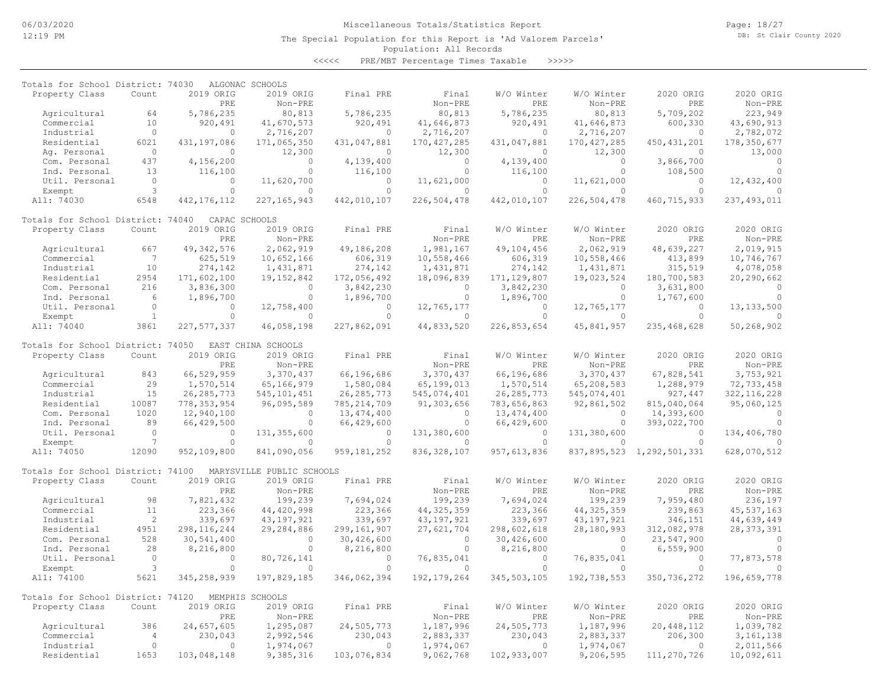The Special Population for this Report is 'Ad Valorem Parcels'

Page: 18/27 DB: St Clair County 2020

### Population: All Records

<<<<< PRE/MBT Percentage Times Taxable >>>>>

| Totals for School District: 74030 |                 |               | ALGONAC SCHOOLS           |               |               |               |               |                                |               |
|-----------------------------------|-----------------|---------------|---------------------------|---------------|---------------|---------------|---------------|--------------------------------|---------------|
| Property Class                    | Count           | 2019 ORIG     | 2019 ORIG                 | Final PRE     | Final         | W/O Winter    | W/O Winter    | 2020 ORIG                      | 2020 ORIG     |
|                                   |                 | PRE           | Non-PRE                   |               | Non-PRE       | PRE           | Non-PRE       | PRE                            | Non-PRE       |
| Agricultural                      | 64              | 5,786,235     | 80,813                    | 5,786,235     | 80,813        | 5,786,235     | 80,813        | 5,709,202                      | 223,949       |
| Commercial                        | 10              | 920,491       | 41,670,573                | 920,491       | 41,646,873    | 920,491       | 41,646,873    | 600,330                        | 43,690,913    |
| Industrial                        | $\circ$         | $\circ$       | 2,716,207                 | $\circ$       | 2,716,207     | $\circ$       | 2,716,207     | $\circ$                        | 2,782,072     |
| Residential                       | 6021            | 431,197,086   | 171,065,350               | 431,047,881   | 170, 427, 285 | 431,047,881   | 170, 427, 285 | 450, 431, 201                  | 178,350,677   |
| Aq. Personal                      | $\circ$         | $\Omega$      | 12,300                    | $\circ$       | 12,300        | $\circ$       | 12,300        | $\circ$                        | 13,000        |
| Com. Personal                     | 437             | 4,156,200     | $\circ$                   | 4,139,400     | $\circ$       | 4,139,400     | $\Omega$      | 3,866,700                      | $\circ$       |
| Ind. Personal                     | 13              | 116,100       | $\Omega$                  | 116,100       | $\Omega$      | 116,100       | $\Omega$      | 108,500                        | $\Omega$      |
| Util. Personal                    | $\circ$         | $\circ$       | 11,620,700                | $\circ$       | 11,621,000    | $\Omega$      | 11,621,000    | $\circ$                        | 12,432,400    |
| Exempt                            | 3               | $\circ$       | $\circ$                   | $\circ$       | $\Omega$      | $\circ$       | $\Omega$      | $\circ$                        |               |
| All: 74030                        | 6548            | 442, 176, 112 | 227, 165, 943             | 442,010,107   | 226,504,478   | 442,010,107   | 226,504,478   | 460,715,933                    | 237, 493, 011 |
| Totals for School District: 74040 |                 |               | CAPAC SCHOOLS             |               |               |               |               |                                |               |
| Property Class                    | Count           | 2019 ORIG     | 2019 ORIG                 | Final PRE     | Final         | W/O Winter    | W/O Winter    | 2020 ORIG                      | 2020 ORIG     |
|                                   |                 | PRE           | Non-PRE                   |               | Non-PRE       | PRE           | Non-PRE       | PRE                            | $Non-PRE$     |
| Agricultural                      | 667             | 49, 342, 576  | 2,062,919                 | 49,186,208    | 1,981,167     | 49,104,456    | 2,062,919     | 48,639,227                     | 2,019,915     |
| Commercial                        | $7\phantom{.0}$ | 625,519       | 10,652,166                | 606,319       | 10,558,466    | 606,319       | 10,558,466    | 413,899                        | 10,746,767    |
| Industrial                        | 10              | 274,142       | 1,431,871                 | 274,142       | 1,431,871     | 274,142       | 1,431,871     | 315,519                        | 4,078,058     |
| Residential                       | 2954            | 171,602,100   | 19, 152, 842              | 172,056,492   | 18,096,839    | 171, 129, 807 | 19,023,524    | 180,700,583                    | 20,290,662    |
| Com. Personal                     | 216             | 3,836,300     | $\circ$                   | 3,842,230     | $\circ$       | 3,842,230     | $\circ$       | 3,631,800                      | $\circ$       |
| Ind. Personal                     | 6               | 1,896,700     | $\circ$                   | 1,896,700     | $\circ$       | 1,896,700     | $\circ$       | 1,767,600                      | $\circ$       |
| Util. Personal                    | $\circ$         | $\Omega$      | 12,758,400                | $\circ$       | 12,765,177    | $\Omega$      | 12,765,177    | $\circ$                        | 13, 133, 500  |
| Exempt                            | $\mathbf{1}$    | $\circ$       | $\Omega$                  | $\circ$       | $\Omega$      | $\circ$       | $\circ$       | $\circ$                        | $\Omega$      |
| All: 74040                        | 3861            | 227, 577, 337 | 46,058,198                | 227,862,091   | 44,833,520    | 226,853,654   | 45,841,957    | 235, 468, 628                  | 50,268,902    |
| Totals for School District: 74050 |                 |               | EAST CHINA SCHOOLS        |               |               |               |               |                                |               |
| Property Class                    | Count           | 2019 ORIG     | 2019 ORIG                 | Final PRE     | Final         | W/O Winter    | $W/O$ Winter  | 2020 ORIG                      | 2020 ORIG     |
|                                   |                 | PRE           | Non-PRE                   |               | Non-PRE       | PRE           | Non-PRE       | PRE                            | Non-PRE       |
| Agricultural                      | 843             | 66,529,959    | 3,370,437                 | 66,196,686    | 3,370,437     | 66,196,686    | 3,370,437     | 67,828,541                     | 3,753,921     |
| Commercial                        | 29              | 1,570,514     | 65,166,979                | 1,580,084     | 65,199,013    | 1,570,514     | 65,208,583    | 1,288,979                      | 72,733,458    |
| Industrial                        | 15              | 26, 285, 773  | 545, 101, 451             | 26, 285, 773  | 545,074,401   | 26, 285, 773  | 545,074,401   | 927,447                        | 322, 116, 228 |
| Residential                       | 10087           | 778, 353, 954 | 96,095,589                | 785, 214, 709 | 91,303,656    | 783,656,863   | 92,861,502    | 815,040,064                    | 95,060,125    |
| Com. Personal                     | 1020            | 12,940,100    | $\circ$                   | 13,474,400    | $\circ$       | 13,474,400    | $\circ$       | 14,393,600                     | $\Omega$      |
| Ind. Personal                     | 89              | 66,429,500    | $\circ$                   | 66,429,600    | $\circ$       | 66,429,600    | $\circ$       | 393,022,700                    | $\Omega$      |
| Util. Personal                    | $\circ$         | $\circ$       | 131, 355, 600             | $\circ$       | 131,380,600   | $\circ$       | 131,380,600   | $\circ$                        | 134,406,780   |
| Exempt                            | 7               | $\Omega$      | $\Omega$                  | $\Omega$      | $\Omega$      | $\Omega$      | $\Omega$      | $\Omega$                       | $\Omega$      |
| All: 74050                        | 12090           | 952,109,800   | 841,090,056               | 959, 181, 252 | 836, 328, 107 | 957, 613, 836 |               | 837, 895, 523 1, 292, 501, 331 | 628,070,512   |
| Totals for School District: 74100 |                 |               | MARYSVILLE PUBLIC SCHOOLS |               |               |               |               |                                |               |
| Property Class                    | Count           | 2019 ORIG     | 2019 ORIG                 | Final PRE     | Final         | W/O Winter    | W/O Winter    | 2020 ORIG                      | 2020 ORIG     |
|                                   |                 | PRE           | Non-PRE                   |               | Non-PRE       | PRE           | Non-PRE       | PRE                            | Non-PRE       |
| Agricultural                      | 98              | 7,821,432     | 199,239                   | 7,694,024     | 199,239       | 7,694,024     | 199,239       | 7,959,480                      | 236,197       |
| Commercial                        | 11              | 223,366       | 44,420,998                | 223,366       | 44, 325, 359  | 223,366       | 44, 325, 359  | 239,863                        | 45, 537, 163  |
| Industrial                        | 2               | 339,697       | 43, 197, 921              | 339,697       | 43, 197, 921  | 339,697       | 43, 197, 921  | 346,151                        | 44,639,449    |
| Residential                       | 4951            | 298, 116, 244 | 29,284,886                | 299, 161, 907 | 27,621,704    | 298,602,618   | 28,180,993    | 312,082,978                    | 28, 373, 391  |
| Com. Personal                     | 528             | 30,541,400    | $\Omega$                  | 30,426,600    | $\Omega$      | 30,426,600    | $\Omega$      | 23,547,900                     | $\bigcirc$    |
| Ind. Personal                     | 28              | 8,216,800     | $\circ$                   | 8,216,800     | $\circ$       | 8,216,800     | $\circ$       | 6,559,900                      |               |
| Util. Personal                    | $\circ$         | $\circ$       | 80,726,141                | $\circ$       | 76,835,041    | $\circ$       | 76,835,041    | $\circ$                        | 77,873,578    |
| Exempt                            | 3               | $\Omega$      | $\circ$                   | $\Omega$      | $\Omega$      | $\circ$       | $\Omega$      | $\Omega$                       |               |
| All: 74100                        | 5621            | 345, 258, 939 | 197,829,185               | 346,062,394   | 192, 179, 264 | 345,503,105   | 192,738,553   | 350, 736, 272                  | 196,659,778   |
| Totals for School District: 74120 |                 |               | MEMPHIS SCHOOLS           |               |               |               |               |                                |               |
| Property Class                    | Count           | 2019 ORIG     | 2019 ORIG                 | Final PRE     | Final         | W/O Winter    | W/O Winter    | 2020 ORIG                      | 2020 ORIG     |
|                                   |                 | PRE           | Non-PRE                   |               | Non-PRE       | PRE           | Non-PRE       | PRE                            | Non-PRE       |
| Agricultural                      | 386             | 24,657,605    | 1,295,087                 | 24,505,773    | 1,187,996     | 24,505,773    | 1,187,996     | 20,448,112                     | 1,039,782     |
| Commercial                        | 4               | 230,043       | 2,992,546                 | 230,043       | 2,883,337     | 230,043       | 2,883,337     | 206,300                        | 3, 161, 138   |
| Industrial                        | $\circ$         | $\circ$       | 1,974,067                 | $\circ$       | 1,974,067     | $\circ$       | 1,974,067     | $\circ$                        | 2,011,566     |
| Residential                       | 1653            | 103,048,148   | 9,385,316                 | 103,076,834   | 9,062,768     | 102,933,007   | 9,206,595     | 111,270,726                    | 10,092,611    |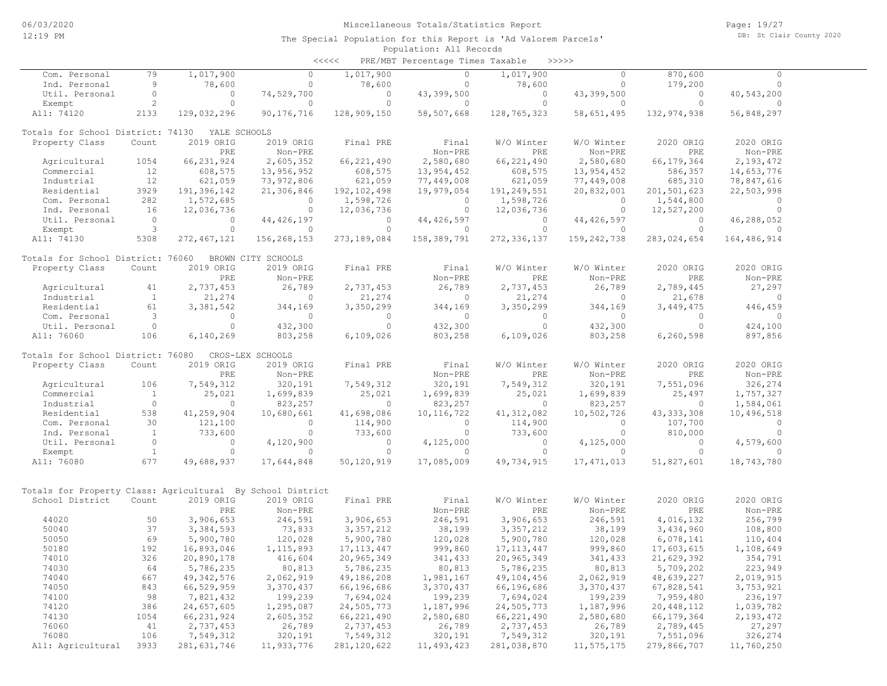| くくくくく | PRE/MBT Percentage Times Taxable |  | >>>>> |
|-------|----------------------------------|--|-------|
|       |                                  |  |       |

| Com. Personal                                              | 79           | 1,017,900     | $\circ$            | 1,017,900     | $\circ$             | 1,017,900     | $\circ$             | 870,600      | $\circ$             |  |
|------------------------------------------------------------|--------------|---------------|--------------------|---------------|---------------------|---------------|---------------------|--------------|---------------------|--|
| Ind. Personal                                              | 9            | 78,600        | $\circ$            | 78,600        | $\Omega$            | 78,600        | $\Omega$            | 179,200      | $\Omega$            |  |
| Util. Personal                                             | $\circ$      | $\Omega$      | 74,529,700         | $\Omega$      | 43,399,500          | $\circ$       | 43,399,500          | $\circ$      | 40,543,200          |  |
| Exempt                                                     | $\sqrt{2}$   | $\Omega$      | $\Omega$           | $\Omega$      | $\Omega$            | $\Omega$      | $\Omega$            | $\Omega$     | $\Omega$            |  |
| All: 74120                                                 | 2133         | 129,032,296   | 90, 176, 716       | 128,909,150   | 58,507,668          | 128,765,323   | 58,651,495          | 132,974,938  | 56,848,297          |  |
|                                                            |              |               |                    |               |                     |               |                     |              |                     |  |
| Totals for School District: 74130                          |              | YALE SCHOOLS  |                    |               |                     |               |                     |              |                     |  |
| Property Class                                             | Count        | 2019 ORIG     | 2019 ORIG          | Final PRE     | Final               | W/O Winter    | W/O Winter          | 2020 ORIG    | 2020 ORIG           |  |
|                                                            |              | PRE           | Non-PRE            |               | Non-PRE             | PRE           | Non-PRE             | PRE          | Non-PRE             |  |
| Agricultural                                               | 1054         | 66, 231, 924  | 2,605,352          | 66, 221, 490  | 2,580,680           | 66, 221, 490  | 2,580,680           | 66, 179, 364 | 2,193,472           |  |
|                                                            |              | 608,575       |                    |               |                     |               |                     |              |                     |  |
| Commercial                                                 | 12           |               | 13,956,952         | 608,575       | 13,954,452          | 608,575       | 13,954,452          | 586,357      | 14,653,776          |  |
| Industrial                                                 | 12           | 621,059       | 73,972,806         | 621,059       | 77,449,008          | 621,059       | 77,449,008          | 685,310      | 78,847,616          |  |
| Residential                                                | 3929         | 191,396,142   | 21,306,846         | 192, 102, 498 | 19,979,054          | 191,249,551   | 20,832,001          | 201,501,623  | 22,503,998          |  |
| Com. Personal                                              | 282          | 1,572,685     | $\circ$            | 1,598,726     | $\circ$             | 1,598,726     | $\circ$             | 1,544,800    | $\circ$             |  |
| Ind. Personal                                              | 16           | 12,036,736    | $\circ$            | 12,036,736    | $\circ$             | 12,036,736    | $\circ$             | 12,527,200   | $\Omega$            |  |
| Util. Personal                                             | $\circ$      | $\circ$       | 44, 426, 197       | $\circ$       | 44, 426, 597        | $\circ$       | 44, 426, 597        | $\circ$      | 46,288,052          |  |
| Exempt                                                     | $\mathsf 3$  | $\circ$       | $\circ$            | $\circ$       | $\Omega$            | $\circ$       | $\Omega$            | $\circ$      | $\Omega$            |  |
| All: 74130                                                 | 5308         | 272, 467, 121 | 156,268,153        | 273, 189, 084 | 158,389,791         | 272, 336, 137 | 159, 242, 738       | 283,024,654  | 164,486,914         |  |
|                                                            |              |               |                    |               |                     |               |                     |              |                     |  |
| Totals for School District: 76060                          |              |               | BROWN CITY SCHOOLS |               |                     |               |                     |              |                     |  |
| Property Class                                             | Count        | 2019 ORIG     | 2019 ORIG          | Final PRE     | Final               | W/O Winter    | W/O Winter          | 2020 ORIG    | 2020 ORIG           |  |
|                                                            |              | PRE           | Non-PRE            |               | Non-PRE             | PRE           | Non-PRE             | PRE          | Non-PRE             |  |
| Agricultural                                               | 41           | 2,737,453     | 26,789             | 2,737,453     | 26,789              | 2,737,453     | 26,789              | 2,789,445    | 27,297              |  |
| Industrial                                                 | <sup>1</sup> | 21,274        | $\circ$            | 21,274        | $\circ$             | 21,274        | $\Omega$            | 21,678       | $\circ$             |  |
| Residential                                                | 61           | 3,381,542     | 344,169            | 3,350,299     |                     | 3,350,299     |                     | 3,449,475    |                     |  |
|                                                            | 3            | $\Omega$      | $\Omega$           | $\Omega$      | 344,169<br>$\Omega$ | $\Omega$      | 344,169<br>$\Omega$ | $\Omega$     | 446,459<br>$\Omega$ |  |
| Com. Personal                                              | $\circ$      |               |                    |               |                     |               |                     |              |                     |  |
| Util. Personal                                             |              | $\circ$       | 432,300            | $\circ$       | 432,300             | $\circ$       | 432,300             | $\circ$      | 424,100             |  |
| All: 76060                                                 | 106          | 6,140,269     | 803,258            | 6,109,026     | 803,258             | 6,109,026     | 803,258             | 6,260,598    | 897,856             |  |
|                                                            |              |               |                    |               |                     |               |                     |              |                     |  |
| Totals for School District: 76080                          |              |               | CROS-LEX SCHOOLS   |               |                     |               |                     |              |                     |  |
| Property Class                                             | Count        | 2019 ORIG     | 2019 ORIG          | Final PRE     | Final               | W/O Winter    | W/O Winter          | 2020 ORIG    | 2020 ORIG           |  |
|                                                            |              | PRE           | Non-PRE            |               | Non-PRE             | PRE           | Non-PRE             | PRE          | Non-PRE             |  |
| Agricultural                                               | 106          | 7,549,312     | 320,191            | 7,549,312     | 320,191             | 7,549,312     | 320,191             | 7,551,096    | 326,274             |  |
| Commercial                                                 | <sup>1</sup> | 25,021        | 1,699,839          | 25,021        | 1,699,839           | 25,021        | 1,699,839           | 25,497       | 1,757,327           |  |
| Industrial                                                 | $\circ$      | $\circ$       | 823,257            | $\circ$       | 823,257             | $\circ$       | 823,257             | $\circ$      | 1,584,061           |  |
| Residential                                                | 538          | 41,259,904    | 10,680,661         | 41,698,086    | 10, 116, 722        | 41, 312, 082  | 10,502,726          | 43, 333, 308 | 10,496,518          |  |
| Com. Personal                                              | 30           | 121,100       | $\circ$            | 114,900       | $\circ$             | 114,900       | $\circ$             | 107,700      | $\circ$             |  |
| Ind. Personal                                              | <sup>1</sup> | 733,600       | $\circ$            | 733,600       | $\circ$             | 733,600       | $\circ$             | 810,000      | $\circ$             |  |
| Util. Personal                                             | $\circ$      | $\circ$       | 4,120,900          | $\circ$       | 4,125,000           | $\circ$       | 4,125,000           | $\circ$      | 4,579,600           |  |
| Exempt                                                     | $\mathbf{1}$ | $\circ$       | $\circ$            | $\circ$       | $\circ$             | $\circ$       | $\circ$             | $\circ$      | $\Omega$            |  |
| All: 76080                                                 | 677          | 49,688,937    | 17,644,848         | 50,120,919    | 17,085,009          | 49,734,915    | 17, 471, 013        | 51,827,601   | 18,743,780          |  |
|                                                            |              |               |                    |               |                     |               |                     |              |                     |  |
|                                                            |              |               |                    |               |                     |               |                     |              |                     |  |
| Totals for Property Class: Agricultural By School District |              |               |                    |               |                     |               |                     |              |                     |  |
| School District                                            | Count        | 2019 ORIG     | 2019 ORIG          | Final PRE     | Final               | W/O Winter    | W/O Winter          | 2020 ORIG    | 2020 ORIG           |  |
|                                                            |              | PRE           | Non-PRE            |               | Non-PRE             | PRE           | Non-PRE             | PRE          | Non-PRE             |  |
| 44020                                                      | 50           | 3,906,653     | 246,591            | 3,906,653     | 246,591             | 3,906,653     | 246,591             | 4,016,132    | 256,799             |  |
|                                                            | 37           |               |                    |               |                     |               |                     |              |                     |  |
| 50040                                                      | 69           | 3,384,593     | 73,833             | 3, 357, 212   | 38,199              | 3, 357, 212   | 38,199              | 3,434,960    | 108,800             |  |
| 50050                                                      |              | 5,900,780     | 120,028            | 5,900,780     | 120,028             | 5,900,780     | 120,028             | 6,078,141    | 110,404             |  |
| 50180                                                      | 192          | 16,893,046    | 1, 115, 893        | 17, 113, 447  | 999,860             | 17, 113, 447  | 999,860             | 17,603,615   | 1,108,649           |  |
| 74010                                                      | 326          | 20,890,178    | 416,604            | 20,965,349    | 341,433             | 20,965,349    | 341,433             | 21,629,392   | 354,791             |  |
| 74030                                                      | 64           | 5,786,235     | 80,813             | 5,786,235     | 80,813              | 5,786,235     | 80,813              | 5,709,202    | 223,949             |  |
| 74040                                                      | 667          | 49, 342, 576  | 2,062,919          | 49,186,208    | 1,981,167           | 49,104,456    | 2,062,919           | 48,639,227   | 2,019,915           |  |
| 74050                                                      | 843          | 66,529,959    | 3,370,437          | 66,196,686    | 3,370,437           | 66,196,686    | 3,370,437           | 67,828,541   | 3,753,921           |  |
| 74100                                                      | 98           | 7,821,432     | 199,239            | 7,694,024     | 199,239             | 7,694,024     | 199,239             | 7,959,480    | 236,197             |  |
| 74120                                                      | 386          | 24,657,605    | 1,295,087          | 24,505,773    | 1,187,996           | 24,505,773    | 1,187,996           | 20,448,112   | 1,039,782           |  |
| 74130                                                      | 1054         | 66, 231, 924  | 2,605,352          | 66, 221, 490  | 2,580,680           | 66, 221, 490  | 2,580,680           | 66, 179, 364 | 2,193,472           |  |
| 76060                                                      | 41           | 2,737,453     | 26,789             | 2,737,453     | 26,789              | 2,737,453     | 26,789              | 2,789,445    | 27,297              |  |
| 76080                                                      | 106          | 7,549,312     | 320,191            | 7,549,312     | 320,191             | 7,549,312     | 320,191             | 7,551,096    | 326,274             |  |
| All: Agricultural                                          | 3933         | 281, 631, 746 | 11,933,776         | 281, 120, 622 | 11,493,423          | 281,038,870   | 11,575,175          | 279,866,707  | 11,760,250          |  |
|                                                            |              |               |                    |               |                     |               |                     |              |                     |  |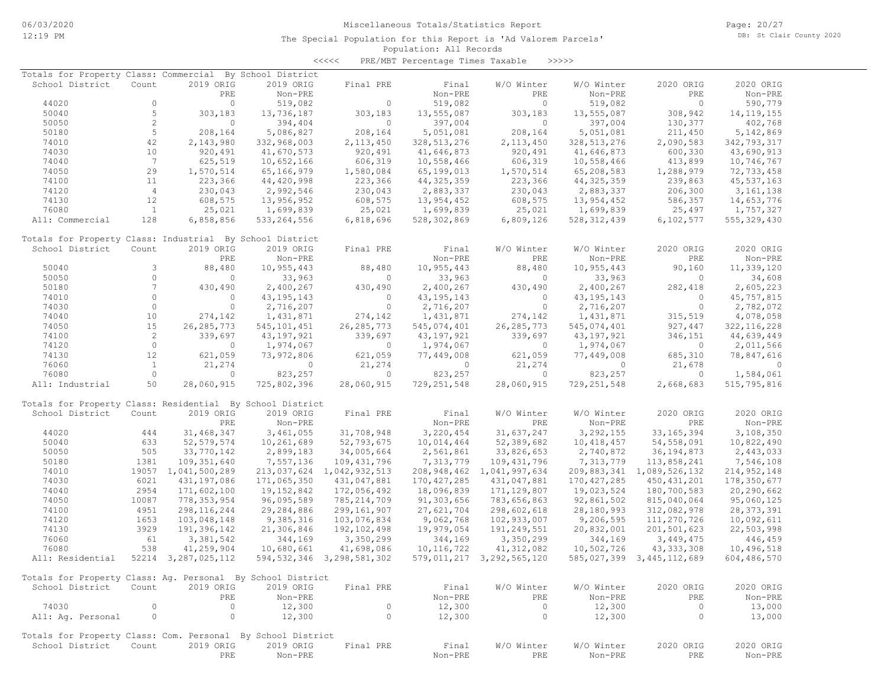Page: 20/27 DB: St Clair County 2020

| <<<< | PRE/MBT Percentage Times Taxable |  |  | >>>>> |
|------|----------------------------------|--|--|-------|
|------|----------------------------------|--|--|-------|

| Totals for Property Class: Commercial By School District    |                 |                     |               |                                |               |                           |               |                           |               |
|-------------------------------------------------------------|-----------------|---------------------|---------------|--------------------------------|---------------|---------------------------|---------------|---------------------------|---------------|
| School District                                             | Count           | 2019 ORIG           | 2019 ORIG     | Final PRE                      | Final         | W/O Winter                | W/O Winter    | 2020 ORIG                 | 2020 ORIG     |
|                                                             |                 | PRE                 | $Non-PRE$     |                                | Non-PRE       | PRE                       | Non-PRE       | PRE                       | Non-PRE       |
| 44020                                                       | $\circ$         | $\circ$             | 519,082       | $\circ$                        | 519,082       | $\circ$                   | 519,082       | $\circ$                   | 590,779       |
| 50040                                                       | 5               | 303,183             | 13,736,187    | 303,183                        | 13,555,087    | 303,183                   | 13,555,087    | 308,942                   | 14, 119, 155  |
| 50050                                                       | 2               | $\circ$             | 394,404       | $\circ$                        | 397,004       | $\Omega$                  | 397,004       | 130,377                   | 402,768       |
| 50180                                                       | 5               | 208,164             | 5,086,827     | 208,164                        | 5,051,081     | 208,164                   | 5,051,081     | 211,450                   | 5,142,869     |
| 74010                                                       | 42              | 2,143,980           | 332,968,003   | 2, 113, 450                    | 328, 513, 276 | 2, 113, 450               | 328, 513, 276 | 2,090,583                 | 342,793,317   |
| 74030                                                       | 10              | 920,491             | 41,670,573    | 920,491                        | 41,646,873    | 920,491                   | 41,646,873    | 600,330                   | 43,690,913    |
| 74040                                                       | $7\phantom{.0}$ | 625,519             | 10,652,166    | 606,319                        | 10,558,466    | 606,319                   | 10,558,466    | 413,899                   | 10,746,767    |
| 74050                                                       | 29              | 1,570,514           | 65,166,979    | 1,580,084                      | 65,199,013    | 1,570,514                 | 65,208,583    | 1,288,979                 | 72,733,458    |
| 74100                                                       | 11              | 223,366             | 44,420,998    | 223,366                        | 44, 325, 359  | 223,366                   | 44, 325, 359  | 239,863                   | 45, 537, 163  |
| 74120                                                       | $\overline{4}$  | 230,043             | 2,992,546     | 230,043                        | 2,883,337     | 230,043                   | 2,883,337     | 206,300                   | 3, 161, 138   |
| 74130                                                       | 12              | 608,575             | 13,956,952    | 608,575                        | 13,954,452    | 608,575                   | 13,954,452    | 586,357                   | 14,653,776    |
| 76080                                                       | $\mathbf{1}$    |                     |               |                                | 1,699,839     |                           |               | 25,497                    |               |
|                                                             |                 | 25,021              | 1,699,839     | 25,021                         |               | 25,021                    | 1,699,839     |                           | 1,757,327     |
| All: Commercial                                             | 128             | 6,858,856           | 533, 264, 556 | 6,818,696                      | 528,302,869   | 6,809,126                 | 528, 312, 439 | 6,102,577                 | 555, 329, 430 |
| Totals for Property Class: Industrial By School District    |                 |                     |               |                                |               |                           |               |                           |               |
| School District                                             | Count           | 2019 ORIG           | 2019 ORIG     | Final PRE                      | Final         | W/O Winter                | W/O Winter    | 2020 ORIG                 | 2020 ORIG     |
|                                                             |                 | PRE                 | Non-PRE       |                                | Non-PRE       | PRE                       | Non-PRE       | PRE                       | Non-PRE       |
| 50040                                                       | 3               | 88,480              | 10,955,443    | 88,480                         | 10,955,443    | 88,480                    | 10,955,443    | 90,160                    | 11,339,120    |
| 50050                                                       | $\circ$         | $\circ$             | 33,963        | $\circ$                        | 33,963        | $\circ$                   | 33,963        | $\circ$                   | 34,608        |
| 50180                                                       | $7\phantom{.0}$ | 430,490             | 2,400,267     | 430,490                        | 2,400,267     | 430,490                   | 2,400,267     | 282,418                   | 2,605,223     |
|                                                             | $\circ$         | $\circ$             | 43, 195, 143  | $\circ$                        |               | $\circ$                   | 43, 195, 143  | $\circ$                   | 45, 757, 815  |
| 74010<br>74030                                              | $\circ$         | $\circ$             |               | $\circ$                        | 43, 195, 143  | $\circ$                   |               | $\circ$                   |               |
|                                                             |                 |                     | 2,716,207     |                                | 2,716,207     |                           | 2,716,207     |                           | 2,782,072     |
| 74040                                                       | 10              | 274,142             | 1,431,871     | 274,142                        | 1,431,871     | 274,142                   | 1,431,871     | 315,519                   | 4,078,058     |
| 74050                                                       | 15              | 26, 285, 773        | 545, 101, 451 | 26, 285, 773                   | 545,074,401   | 26, 285, 773              | 545,074,401   | 927, 447                  | 322, 116, 228 |
| 74100                                                       | $\overline{c}$  | 339,697             | 43,197,921    | 339,697                        | 43, 197, 921  | 339,697                   | 43, 197, 921  | 346,151                   | 44,639,449    |
| 74120                                                       | $\circ$         | $\mathbf{0}$        | 1,974,067     | $\circ$                        | 1,974,067     | $\overline{0}$            | 1,974,067     | $\circ$                   | 2,011,566     |
| 74130                                                       | 12              | 621,059             | 73,972,806    | 621,059                        | 77,449,008    | 621,059                   | 77,449,008    | 685,310                   | 78,847,616    |
| 76060                                                       | $\mathbf{1}$    | 21,274              | 0             | 21,274                         | $\circ$       | 21,274                    | 0             | 21,678                    | 0             |
| 76080                                                       | $\circ$         | $\circ$             | 823,257       | $\circ$                        | 823,257       | $\circ$                   | 823,257       | $\circ$                   | 1,584,061     |
| All: Industrial                                             | 50              | 28,060,915          | 725,802,396   | 28,060,915                     | 729, 251, 548 | 28,060,915                | 729, 251, 548 | 2,668,683                 | 515,795,816   |
| Totals for Property Class: Residential By School District   |                 |                     |               |                                |               |                           |               |                           |               |
| School District                                             | Count           | 2019 ORIG           | 2019 ORIG     | Final PRE                      | Final         | W/O Winter                | W/O Winter    | 2020 ORIG                 | 2020 ORIG     |
|                                                             |                 |                     |               |                                |               | PRE                       | Non-PRE       | PRE                       |               |
|                                                             |                 | PRE                 | Non-PRE       |                                | Non-PRE       |                           |               |                           | Non-PRE       |
| 44020                                                       | 444             | 31,468,347          | 3,461,055     | 31,708,948                     | 3,220,454     | 31,637,247                | 3,292,155     | 33, 165, 394              | 3,108,350     |
| 50040                                                       | 633             | 52, 579, 574        | 10,261,689    | 52,793,675                     | 10,014,464    | 52,389,682                | 10,418,457    | 54, 558, 091              | 10,822,490    |
| 50050                                                       | 505             | 33,770,142          | 2,899,183     | 34,005,664                     | 2,561,861     | 33,826,653                | 2,740,872     | 36, 194, 873              | 2,443,033     |
| 50180                                                       | 1381            | 109, 351, 640       | 7,557,136     | 109,431,796                    | 7,313,779     | 109,431,796               | 7,313,779     | 113,858,241               | 7,546,108     |
| 74010                                                       |                 | 19057 1,041,500,289 | 213,037,624   | 1,042,932,513                  | 208,948,462   | 1,041,997,634             | 209,883,341   | 1,089,526,132             | 214, 952, 148 |
| 74030                                                       | 6021            | 431,197,086         | 171,065,350   | 431,047,881                    | 170, 427, 285 | 431,047,881               | 170, 427, 285 | 450, 431, 201             | 178,350,677   |
| 74040                                                       | 2954            | 171,602,100         | 19,152,842    | 172,056,492                    | 18,096,839    | 171, 129, 807             | 19,023,524    | 180,700,583               | 20,290,662    |
| 74050                                                       | 10087           | 778, 353, 954       | 96,095,589    | 785, 214, 709                  | 91,303,656    | 783,656,863               | 92,861,502    | 815,040,064               | 95,060,125    |
| 74100                                                       | 4951            | 298, 116, 244       | 29,284,886    | 299, 161, 907                  | 27,621,704    | 298,602,618               | 28,180,993    | 312,082,978               | 28, 373, 391  |
| 74120                                                       | 1653            | 103,048,148         | 9,385,316     | 103,076,834                    | 9,062,768     | 102,933,007               | 9,206,595     | 111,270,726               | 10,092,611    |
| 74130                                                       | 3929            | 191,396,142         | 21,306,846    | 192,102,498                    | 19,979,054    | 191,249,551               | 20,832,001    | 201,501,623               | 22,503,998    |
| 76060                                                       | 61              | 3,381,542           | 344,169       | 3,350,299                      | 344,169       | 3,350,299                 | 344,169       | 3,449,475                 | 446,459       |
| 76080                                                       | 538             | 41,259,904          | 10,680,661    | 41,698,086                     | 10, 116, 722  | 41, 312, 082              | 10,502,726    | 43, 333, 308              | 10,496,518    |
| All: Residential                                            |                 | 52214 3,287,025,112 |               | 594, 532, 346 3, 298, 581, 302 |               | 579,011,217 3,292,565,120 |               | 585,027,399 3,445,112,689 | 604,486,570   |
|                                                             |                 |                     |               |                                |               |                           |               |                           |               |
| Totals for Property Class: Ag. Personal By School District  |                 |                     |               |                                |               |                           |               |                           |               |
| School District                                             | Count           | 2019 ORIG           | 2019 ORIG     | Final PRE                      | Final         | W/O Winter                | W/O Winter    | 2020 ORIG                 | 2020 ORIG     |
|                                                             |                 | PRE                 | Non-PRE       |                                | Non-PRE       | PRE                       | Non-PRE       | PRE                       | Non-PRE       |
| 74030                                                       | $\circ$         | $\circ$             | 12,300        | $\circ$                        | 12,300        | $\overline{0}$            | 12,300        | $\circ$                   | 13,000        |
| All: Ag. Personal                                           | $\circ$         | $\circ$             | 12,300        | $\circ$                        | 12,300        | $\circ$                   | 12,300        | $\circ$                   | 13,000        |
|                                                             |                 |                     |               |                                |               |                           |               |                           |               |
| Totals for Property Class: Com. Personal By School District |                 |                     |               |                                |               |                           |               |                           |               |
| School District                                             | Count           | 2019 ORIG           | 2019 ORIG     | Final PRE                      | Final         | W/O Winter                | W/O Winter    | 2020 ORIG                 | 2020 ORIG     |
|                                                             |                 | PRE                 | Non-PRE       |                                | Non-PRE       | PRE                       | Non-PRE       | PRE                       | Non-PRE       |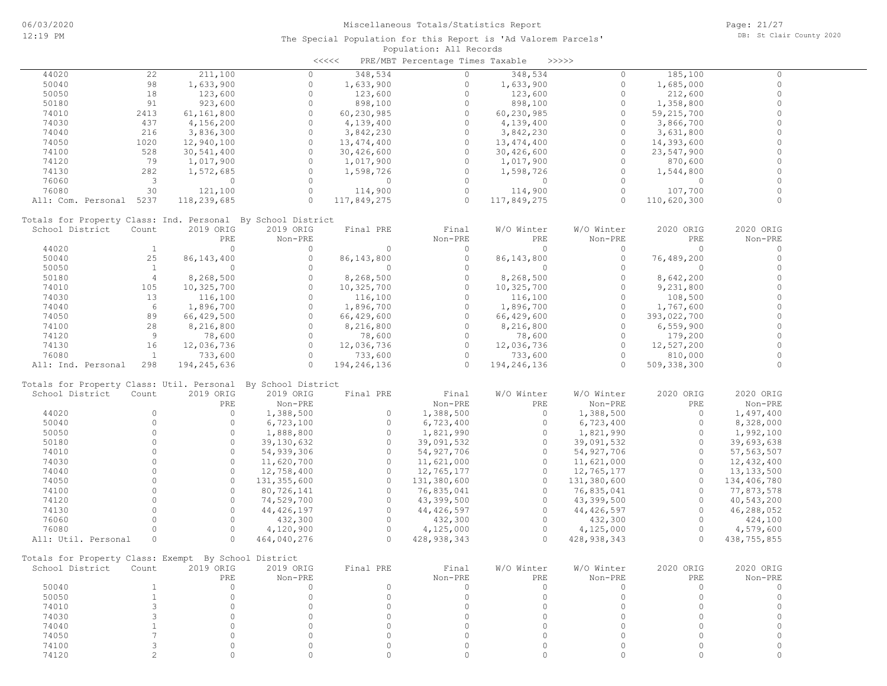|                                                              |                |              |              | <<<<         | PRE/MBT Percentage Times Taxable |              | >>>>>         |              |              |
|--------------------------------------------------------------|----------------|--------------|--------------|--------------|----------------------------------|--------------|---------------|--------------|--------------|
| 44020                                                        | 22             | 211,100      | $\Omega$     | 348,534      | $\Omega$                         | 348,534      | 0             | 185,100      | $\Omega$     |
| 50040                                                        | 98             | 1,633,900    | $\circ$      | 1,633,900    | $\circ$                          | 1,633,900    | $\circ$       | 1,685,000    | $\circ$      |
| 50050                                                        | 18             | 123,600      | $\circ$      | 123,600      | $\circ$                          | 123,600      | $\circ$       | 212,600      | $\mathbf 0$  |
| 50180                                                        | 91             | 923,600      | $\circ$      | 898,100      | $\circ$                          | 898,100      | $\circ$       | 1,358,800    | $\Omega$     |
| 74010                                                        | 2413           | 61,161,800   | $\circ$      | 60,230,985   | $\circ$                          | 60,230,985   | $\circ$       | 59, 215, 700 | $\Omega$     |
| 74030                                                        | 437            | 4,156,200    | $\Omega$     | 4,139,400    | $\circ$                          | 4,139,400    | $\circ$       | 3,866,700    | $\Omega$     |
| 74040                                                        | 216            | 3,836,300    | $\circ$      | 3,842,230    | $\circ$                          | 3,842,230    | 0             | 3,631,800    | $\mathbf 0$  |
|                                                              | 1020           |              | $\Omega$     |              | $\circ$                          |              | $\circ$       |              | $\Omega$     |
| 74050                                                        |                | 12,940,100   | $\circ$      | 13, 474, 400 | $\circ$                          | 13, 474, 400 | $\circ$       | 14,393,600   | $\Omega$     |
| 74100                                                        | 528            | 30,541,400   | $\Omega$     | 30,426,600   | $\Omega$                         | 30,426,600   |               | 23,547,900   | $\Omega$     |
| 74120                                                        | 79             | 1,017,900    |              | 1,017,900    |                                  | 1,017,900    | $\Omega$      | 870,600      |              |
| 74130                                                        | 282            | 1,572,685    | $\circ$      | 1,598,726    | $\circ$                          | 1,598,726    | $\circ$       | 1,544,800    | $\Omega$     |
| 76060                                                        | 3              | $\circ$      | $\circ$      | $\circ$      | $\circ$                          | $\circ$      | $\circ$       | $\circ$      | $\Omega$     |
| 76080                                                        | 30             | 121,100      | $\circ$      | 114,900      | $\circ$                          | 114,900      | $\circ$       | 107,700      | $\Omega$     |
| All: Com. Personal 5237                                      |                | 118,239,685  | $\Omega$     | 117,849,275  | $\Omega$                         | 117,849,275  | $\Omega$      | 110,620,300  | $\Omega$     |
| Totals for Property Class: Ind. Personal By School District  |                |              |              |              |                                  |              |               |              |              |
| School District                                              | Count          | 2019 ORIG    | 2019 ORIG    | Final PRE    | Final                            | W/O Winter   | W/O Winter    | 2020 ORIG    | 2020 ORIG    |
|                                                              |                | PRE          | Non-PRE      |              | Non-PRE                          | PRE          | Non-PRE       | PRE          | Non-PRE      |
| 44020                                                        | $\mathbf{1}$   | $\circ$      | $\circ$      | $\circ$      | $\circ$                          | $\circ$      | $\circ$       | $\Omega$     | $\circ$      |
| 50040                                                        | 25             | 86, 143, 400 | $\circ$      | 86, 143, 800 | $\circ$                          | 86,143,800   | $\circ$       | 76,489,200   | $\mathbf 0$  |
|                                                              | <sup>1</sup>   | $\circ$      | $\circ$      | $\circ$      | $\circ$                          | $\circ$      | $\circ$       | $\Omega$     | $\circ$      |
| 50050                                                        |                |              |              |              |                                  |              |               |              | $\Omega$     |
| 50180                                                        | $\overline{4}$ | 8,268,500    | $\Omega$     | 8,268,500    | $\circ$                          | 8,268,500    | $\circ$       | 8,642,200    |              |
| 74010                                                        | 105            | 10,325,700   | $\circ$      | 10,325,700   | $\circ$                          | 10,325,700   | $\circ$       | 9,231,800    | $\mathbf 0$  |
| 74030                                                        | 13             | 116,100      | $\Omega$     | 116,100      | $\circ$                          | 116,100      | $\circ$       | 108,500      | $\Omega$     |
| 74040                                                        | 6              | 1,896,700    | $\circ$      | 1,896,700    | $\circ$                          | 1,896,700    | $\circ$       | 1,767,600    | $\mathbf 0$  |
| 74050                                                        | 89             | 66,429,500   | $\Omega$     | 66,429,600   | $\circ$                          | 66,429,600   | $\Omega$      | 393,022,700  | $\Omega$     |
| 74100                                                        | 28             | 8,216,800    | $\circ$      | 8,216,800    | $\Omega$                         | 8,216,800    | $\circ$       | 6,559,900    | $\Omega$     |
| 74120                                                        | 9              | 78,600       | $\circ$      | 78,600       | $\circ$                          | 78,600       | $\circ$       | 179,200      | $\mathbf 0$  |
| 74130                                                        | 16             | 12,036,736   | $\circ$      | 12,036,736   | $\circ$                          | 12,036,736   | $\circ$       | 12,527,200   | $\Omega$     |
| 76080                                                        | $\mathbf{1}$   | 733,600      | $\circ$      | 733,600      | $\circ$                          | 733,600      | $\circ$       | 810,000      | $\Omega$     |
| All: Ind. Personal                                           | 298            | 194,245,636  | $\Omega$     | 194,246,136  | $\Omega$                         | 194,246,136  | $\Omega$      | 509,338,300  | $\Omega$     |
|                                                              |                |              |              |              |                                  |              |               |              |              |
| Totals for Property Class: Util. Personal By School District |                |              |              |              |                                  |              |               |              |              |
| School District                                              | Count          | 2019 ORIG    | 2019 ORIG    | Final PRE    | Final                            | W/O Winter   | W/O Winter    | 2020 ORIG    | 2020 ORIG    |
|                                                              |                | PRE          | Non-PRE      |              | Non-PRE                          | PRE          | Non-PRE       | PRE          | Non-PRE      |
| 44020                                                        | $\Omega$       | $\circ$      | 1,388,500    | $\circ$      | 1,388,500                        | $\circ$      | 1,388,500     | $\circ$      | 1,497,400    |
| 50040                                                        | $\circ$        | $\circ$      | 6,723,100    | $\circ$      | 6,723,400                        | $\circ$      | 6,723,400     | $\circ$      | 8,328,000    |
| 50050                                                        | $\Omega$       | $\circ$      | 1,888,800    | $\circ$      | 1,821,990                        | $\circ$      | 1,821,990     | $\circ$      | 1,992,100    |
| 50180                                                        | $\Omega$       | $\circ$      | 39,130,632   | $\circ$      | 39,091,532                       | $\circ$      | 39,091,532    | $\Omega$     | 39,693,638   |
| 74010                                                        | $\Omega$       | $\circ$      | 54,939,306   | $\circ$      | 54,927,706                       | $\circ$      | 54, 927, 706  | $\Omega$     | 57, 563, 507 |
| 74030                                                        | $\Omega$       | $\circ$      | 11,620,700   | $\circ$      | 11,621,000                       | $\circ$      | 11,621,000    | $\circ$      | 12,432,400   |
| 74040                                                        | $\Omega$       | $\circ$      | 12,758,400   | $\circ$      | 12,765,177                       | $\circ$      | 12,765,177    | $\Omega$     | 13, 133, 500 |
| 74050                                                        | $\Omega$       | $\circ$      | 131,355,600  | $\circ$      | 131,380,600                      | $\circ$      | 131,380,600   | $\circ$      | 134,406,780  |
| 74100                                                        | $\Omega$       | $\Omega$     | 80,726,141   | $\circ$      | 76,835,041                       | $\Omega$     | 76,835,041    | $\Omega$     | 77,873,578   |
| 74120                                                        | $\Omega$       | $\circ$      | 74,529,700   | $\circ$      | 43,399,500                       | $\circ$      | 43,399,500    | $\circ$      | 40,543,200   |
| 74130                                                        | $\Omega$       | $\circ$      | 44, 426, 197 | $\circ$      | 44, 426, 597                     | $\circ$      | 44, 426, 597  | $\Omega$     |              |
|                                                              | $\Omega$       | $\circ$      |              | $\circ$      |                                  | $\circ$      |               | $\circ$      | 46,288,052   |
| 76060                                                        |                |              | 432,300      |              | 432,300                          |              | 432,300       |              | 424,100      |
| 76080                                                        | $\Omega$       | $\circ$      | 4,120,900    | $\circ$      | 4,125,000                        | $\circ$      | 4,125,000     | $\circ$      | 4,579,600    |
| All: Util. Personal                                          | $\circ$        | $\Omega$     | 464,040,276  | $\Omega$     | 428, 938, 343                    | $\Omega$     | 428, 938, 343 | $\Omega$     | 438,755,855  |
| Totals for Property Class: Exempt By School District         |                |              |              |              |                                  |              |               |              |              |
| School District Count                                        |                | 2019 ORIG    | 2019 ORIG    | Final PRE    | Final                            | W/O Winter   | W/O Winter    | 2020 ORIG    | 2020 ORIG    |
|                                                              |                | PRE          | Non-PRE      |              | Non-PRE                          | PRE          | Non-PRE       | PRE          | Non-PRE      |
| 50040                                                        | $\overline{1}$ | $\circ$      | $\circ$      | $\circ$      | $\circ$                          | $\circ$      | $\circ$       | $\circ$      | $\Omega$     |
| 50050                                                        | $\overline{1}$ | $\circ$      | $\circ$      | $\circ$      | $\circ$                          | $\circ$      | $\circ$       | $\circ$      | $\circ$      |
| 74010                                                        | 3              | $\circ$      | $\Omega$     | $\circ$      | $\circ$                          | $\circ$      | 0             | $\circ$      | $\Omega$     |
| 74030                                                        | 3              | $\circ$      | $\Omega$     | $\circ$      | $\circ$                          | $\Omega$     | 0             | $\Omega$     | $\Omega$     |
|                                                              |                | $\Omega$     |              |              |                                  |              |               | $\cap$       |              |
| 74040                                                        | $\mathbf{1}$   |              | $\Omega$     | $\circ$      | $\circ$                          | $\cap$       | $\Omega$      |              | $\Omega$     |
| 74050                                                        |                | $\Omega$     | $\Omega$     | $\circ$      | $\circ$                          | $\Omega$     | 0             | $\Omega$     | $\Omega$     |
| 74100                                                        | 3              | $\Omega$     | $\Omega$     | $\circ$      | $\Omega$                         | $\Omega$     | $\Omega$      | $\Omega$     | $\Omega$     |
| 74120                                                        | $\overline{c}$ | $\Omega$     | $\Omega$     | $\circ$      | 0                                | $\Omega$     | $\Omega$      | $\Omega$     | $\Omega$     |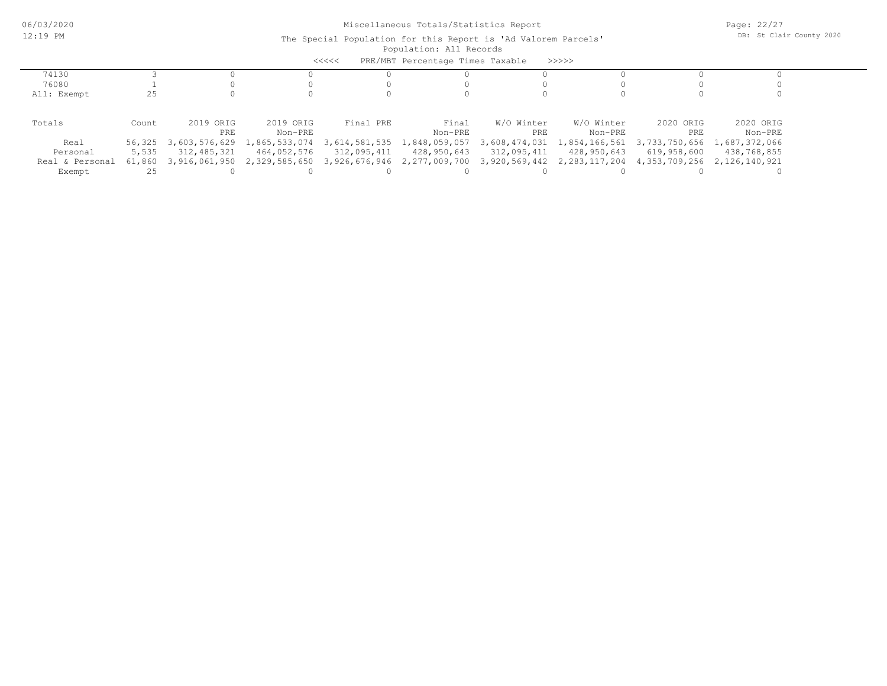|                 |        |                      |                                           | $<<<<<$       | PRE/MBT Percentage Times Taxable |               | >>>>>            |                                           |             |
|-----------------|--------|----------------------|-------------------------------------------|---------------|----------------------------------|---------------|------------------|-------------------------------------------|-------------|
| 74130           |        |                      |                                           |               |                                  |               |                  |                                           |             |
| 76080           |        |                      |                                           |               |                                  |               |                  |                                           |             |
| All: Exempt     | 25     |                      |                                           |               |                                  |               |                  |                                           |             |
|                 |        |                      |                                           |               |                                  |               |                  |                                           |             |
| Totals          | Count  | 2019 ORIG            | 2019 ORIG                                 | Final PRE     | Final                            | W/O Winter    | W/O Winter       | 2020 ORIG                                 | 2020 ORIG   |
|                 |        | PRE                  | Non-PRE                                   |               | Non-PRE                          | PRE           | Non-PRE          | PRE                                       | Non-PRE     |
| Real            |        | 56,325 3,603,576,629 | 1,865,533,074                             | 3,614,581,535 | 1,848,059,057                    | 3,608,474,031 |                  | 1,854,166,561 3,733,750,656 1,687,372,066 |             |
| Personal        | 5,535  | 312,485,321          | 464,052,576                               | 312,095,411   | 428,950,643                      | 312,095,411   | 428,950,643      | 619,958,600                               | 438,768,855 |
| Real & Personal | 61,860 |                      | 3,916,061,950 2,329,585,650 3,926,676,946 |               | 2,277,009,700 3,920,569,442      |               | 2, 283, 117, 204 | 4,353,709,256 2,126,140,921               |             |
| Exempt          |        |                      |                                           |               |                                  |               |                  |                                           |             |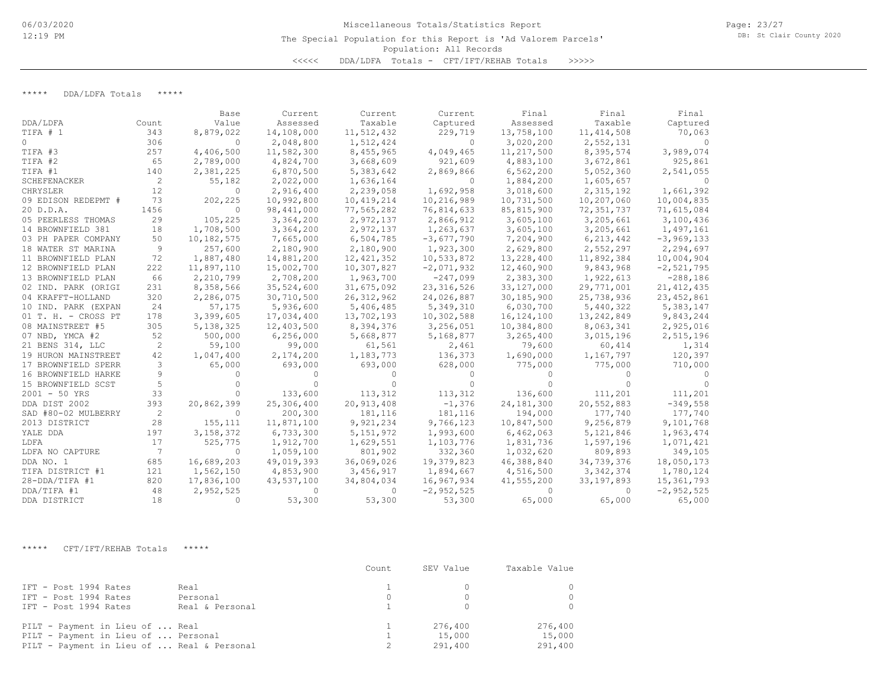# Population: All Records Miscellaneous Totals/Statistics Report The Special Population for this Report is 'Ad Valorem Parcels' <<<<< DDA/LDFA Totals - CFT/IFT/REHAB Totals >>>>>

Page: 23/27 DB: St Clair County 2020

\*\*\*\*\* DDA/LDFA Totals \*\*\*\*\*

|                     |       | Base        | Current     | Current      | Current      | Final        | Final        | Final        |
|---------------------|-------|-------------|-------------|--------------|--------------|--------------|--------------|--------------|
| DDA/LDFA            | Count | Value       | Assessed    | Taxable      | Captured     | Assessed     | Taxable      | Captured     |
| TIFA # 1            | 343   | 8,879,022   | 14,108,000  | 11,512,432   | 229,719      | 13,758,100   | 11, 414, 508 | 70,063       |
| $\circ$             | 306   | $\Omega$    | 2,048,800   | 1,512,424    | $\Omega$     | 3,020,200    | 2,552,131    |              |
| TIFA #3             | 257   | 4,406,500   | 11,582,300  | 8,455,965    | 4,049,465    | 11,217,500   | 8,395,574    | 3,989,074    |
| TIFA #2             | 65    | 2,789,000   | 4,824,700   | 3,668,609    | 921,609      | 4,883,100    | 3,672,861    | 925,861      |
| TIFA #1             | 140   | 2,381,225   | 6,870,500   | 5,383,642    | 2,869,866    | 6,562,200    | 5,052,360    | 2,541,055    |
| SCHEFENACKER        | 2     | 55,182      | 2,022,000   | 1,636,164    | $\Omega$     | 1,884,200    | 1,605,657    |              |
| CHRYSLER            | 12    | $\Omega$    | 2,916,400   | 2,239,058    | 1,692,958    | 3,018,600    | 2,315,192    | 1,661,392    |
| 09 EDISON REDEPMT # | 73    | 202,225     | 10,992,800  | 10, 419, 214 | 10,216,989   | 10,731,500   | 10,207,060   | 10,004,835   |
| 20 D.D.A.           | 1456  | $\Omega$    | 98,441,000  | 77,565,282   | 76,814,633   | 85, 815, 900 | 72, 351, 737 | 71,615,084   |
| 05 PEERLESS THOMAS  | 29    | 105,225     | 3,364,200   | 2,972,137    | 2,866,912    | 3,605,100    | 3,205,661    | 3,100,436    |
| 14 BROWNFIELD 381   | 18    | 1,708,500   | 3,364,200   | 2,972,137    | 1,263,637    | 3,605,100    | 3,205,661    | 1,497,161    |
| 03 PH PAPER COMPANY | 50    | 10,182,575  | 7,665,000   | 6,504,785    | $-3,677,790$ | 7,204,900    | 6, 213, 442  | $-3,969,133$ |
| 18 WATER ST MARINA  | 9     | 257,600     | 2,180,900   | 2,180,900    | 1,923,300    | 2,629,800    | 2,552,297    | 2,294,697    |
| 11 BROWNFIELD PLAN  | 72    | 1,887,480   | 14,881,200  | 12, 421, 352 | 10,533,872   | 13,228,400   | 11,892,384   | 10,004,904   |
| 12 BROWNFIELD PLAN  | 222   | 11,897,110  | 15,002,700  | 10,307,827   | $-2,071,932$ | 12,460,900   | 9,843,968    | $-2,521,795$ |
| 13 BROWNFIELD PLAN  | 66    | 2,210,799   | 2,708,200   | 1,963,700    | $-247,099$   | 2,383,300    | 1,922,613    | $-288,186$   |
| 02 IND. PARK (ORIGI | 231   | 8,358,566   | 35,524,600  | 31,675,092   | 23, 316, 526 | 33, 127, 000 | 29,771,001   | 21, 412, 435 |
| 04 KRAFFT-HOLLAND   | 320   | 2,286,075   | 30,710,500  | 26, 312, 962 | 24,026,887   | 30,185,900   | 25,738,936   | 23, 452, 861 |
| 10 IND. PARK (EXPAN | 24    | 57,175      | 5,936,600   | 5,406,485    | 5,349,310    | 6,030,700    | 5,440,322    | 5,383,147    |
| 01 T. H. - CROSS PT | 178   | 3,399,605   | 17,034,400  | 13,702,193   | 10,302,588   | 16, 124, 100 | 13,242,849   | 9,843,244    |
| 08 MAINSTREET #5    | 305   | 5, 138, 325 | 12,403,500  | 8,394,376    | 3,256,051    | 10,384,800   | 8,063,341    | 2,925,016    |
| 07 NBD, YMCA #2     | 52    | 500,000     | 6, 256, 000 | 5,668,877    | 5,168,877    | 3,265,400    | 3,015,196    | 2,515,196    |
| 21 BENS 314, LLC    | 2     | 59,100      | 99,000      | 61,561       | 2,461        | 79,600       | 60,414       | 1,314        |
| 19 HURON MAINSTREET | 42    | 1,047,400   | 2,174,200   | 1,183,773    | 136,373      | 1,690,000    | 1,167,797    | 120,397      |
| 17 BROWNFIELD SPERR | 3     | 65,000      | 693,000     | 693,000      | 628,000      | 775,000      | 775,000      | 710,000      |
| 16 BROWNFIELD HARKE |       | 0           |             |              | $\bigcap$    | $\Omega$     |              |              |
| 15 BROWNFIELD SCST  | 5     |             |             |              |              | $\Omega$     |              |              |
| $2001 - 50$ YRS     | 33    | $\bigcap$   | 133,600     | 113,312      | 113,312      | 136,600      | 111,201      | 111,201      |
| DDA DIST 2002       | 393   | 20,862,399  | 25,306,400  | 20,913,408   | $-1,376$     | 24, 181, 300 | 20,552,883   | $-349,558$   |
| SAD #80-02 MULBERRY | 2     | 0           | 200,300     | 181,116      | 181,116      | 194,000      | 177,740      | 177,740      |
| 2013 DISTRICT       | 28    | 155,111     | 11,871,100  | 9,921,234    | 9,766,123    | 10,847,500   | 9,256,879    | 9,101,768    |
| YALE DDA            | 197   | 3, 158, 372 | 6,733,300   | 5, 151, 972  | 1,993,600    | 6,462,063    | 5,121,846    | 1,963,474    |
| LDFA                | 17    | 525,775     | 1,912,700   | 1,629,551    | 1,103,776    | 1,831,736    | 1,597,196    | 1,071,421    |
| LDFA NO CAPTURE     | 7     | $\Omega$    | 1,059,100   | 801,902      | 332,360      | 1,032,620    | 809,893      | 349,105      |
| DDA NO. 1           | 685   | 16,689,203  | 49,019,393  | 36,069,026   | 19,379,823   | 46,388,840   | 34,739,376   | 18,050,173   |
| TIFA DISTRICT #1    | 121   | 1,562,150   | 4,853,900   | 3,456,917    | 1,894,667    | 4,516,500    | 3, 342, 374  | 1,780,124    |
| 28-DDA/TIFA #1      | 820   | 17,836,100  | 43,537,100  | 34,804,034   | 16,967,934   | 41,555,200   | 33, 197, 893 | 15,361,793   |
| DDA/TIFA #1         | 48    | 2,952,525   | $\Omega$    | $\Omega$     | $-2,952,525$ | $\Omega$     | $\Omega$     | $-2,952,525$ |
| DDA DISTRICT        | 18    | $\bigcap$   | 53,300      | 53,300       | 53,300       | 65,000       | 65,000       | 65,000       |

\*\*\*\*\* CFT/IFT/REHAB Totals \*\*\*\*\*

|                                                                                                                      |                                     | Count | SEV Value                    | Taxable Value                |
|----------------------------------------------------------------------------------------------------------------------|-------------------------------------|-------|------------------------------|------------------------------|
| IFT - Post 1994 Rates<br>IFT - Post 1994 Rates<br>IFT - Post 1994 Rates                                              | Real<br>Personal<br>Real & Personal |       | $\Omega$<br>$\bigcap$        |                              |
| PILT - Payment in Lieu of  Real<br>PILT - Payment in Lieu of  Personal<br>PILT - Payment in Lieu of  Real & Personal |                                     |       | 276,400<br>15,000<br>291,400 | 276,400<br>15,000<br>291,400 |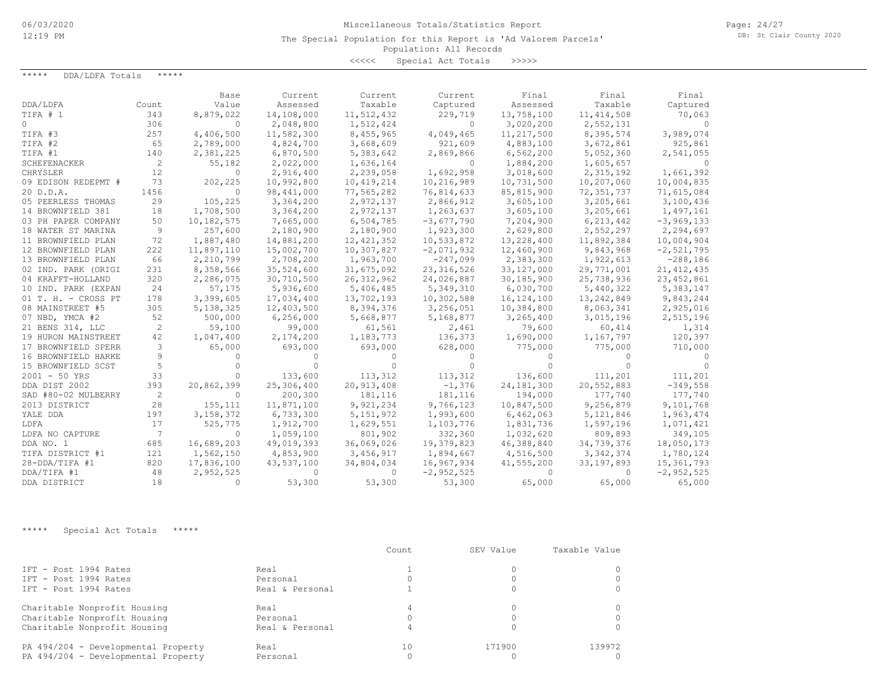The Special Population for this Report is 'Ad Valorem Parcels'

### Population: All Records

<<<<< Special Act Totals >>>>>

| *****<br>DDA/LDFA Totals | *****          |              |            |              |                |              |              |              |
|--------------------------|----------------|--------------|------------|--------------|----------------|--------------|--------------|--------------|
|                          |                | Base         | Current    | Current      | Current        | Final        | Final        | Final        |
| DDA/LDFA                 | Count          | Value        | Assessed   | Taxable      | Captured       | Assessed     | Taxable      | Captured     |
| TIFA # 1                 | 343            | 8,879,022    | 14,108,000 | 11,512,432   | 229,719        | 13,758,100   | 11, 414, 508 | 70,063       |
| $\cap$                   | 306            | $\Omega$     | 2,048,800  | 1,512,424    | $\Omega$       | 3,020,200    | 2,552,131    | $\Omega$     |
| TIFA #3                  | 257            | 4,406,500    | 11,582,300 | 8,455,965    | 4,049,465      | 11, 217, 500 | 8,395,574    | 3,989,074    |
| TIFA #2                  | 65             | 2,789,000    | 4,824,700  | 3,668,609    | 921,609        | 4,883,100    | 3,672,861    | 925,861      |
| TIFA #1                  | 140            | 2,381,225    | 6,870,500  | 5,383,642    | 2,869,866      | 6,562,200    | 5,052,360    | 2,541,055    |
| <b>SCHEFENACKER</b>      | 2              | 55,182       | 2,022,000  | 1,636,164    | $\Omega$       | 1,884,200    | 1,605,657    | $\bigcirc$   |
| CHRYSLER                 | 12             | $\mathbf{0}$ | 2,916,400  | 2,239,058    | 1,692,958      | 3,018,600    | 2,315,192    | 1,661,392    |
| 09 EDISON REDEPMT #      | 73             | 202,225      | 10,992,800 | 10,419,214   | 10,216,989     | 10,731,500   | 10,207,060   | 10,004,835   |
| 20 D.D.A.                | 1456           | 0            | 98,441,000 | 77,565,282   | 76,814,633     | 85, 815, 900 | 72, 351, 737 | 71,615,084   |
| 05 PEERLESS THOMAS       | 29             | 105,225      | 3,364,200  | 2,972,137    | 2,866,912      | 3,605,100    | 3,205,661    | 3,100,436    |
| 14 BROWNFIELD 381        | 18             | 1,708,500    | 3,364,200  | 2,972,137    | 1,263,637      | 3,605,100    | 3,205,661    | 1,497,161    |
| 03 PH PAPER COMPANY      | 50             | 10,182,575   | 7,665,000  | 6,504,785    | $-3,677,790$   | 7,204,900    | 6,213,442    | $-3,969,133$ |
| 18 WATER ST MARINA       | 9              | 257,600      | 2,180,900  | 2,180,900    | 1,923,300      | 2,629,800    | 2,552,297    | 2,294,697    |
| 11 BROWNFIELD PLAN       | 72             | 1,887,480    | 14,881,200 | 12, 421, 352 | 10,533,872     | 13,228,400   | 11,892,384   | 10,004,904   |
| 12 BROWNFIELD PLAN       | 222            | 11,897,110   | 15,002,700 | 10,307,827   | $-2,071,932$   | 12,460,900   | 9,843,968    | $-2,521,795$ |
| 13 BROWNFIELD PLAN       | 66             | 2,210,799    | 2,708,200  | 1,963,700    | $-247,099$     | 2,383,300    | 1,922,613    | $-288,186$   |
| 02 IND. PARK (ORIGI      | 231            | 8,358,566    | 35,524,600 | 31,675,092   | 23, 316, 526   | 33, 127, 000 | 29,771,001   | 21, 412, 435 |
| 04 KRAFFT-HOLLAND        | 320            | 2,286,075    | 30,710,500 | 26, 312, 962 | 24,026,887     | 30,185,900   | 25,738,936   | 23, 452, 861 |
| 10 IND. PARK (EXPAN      | 24             | 57,175       | 5,936,600  | 5,406,485    | 5,349,310      | 6,030,700    | 5,440,322    | 5,383,147    |
| 01 T. H. - CROSS PT      | 178            | 3,399,605    | 17,034,400 | 13,702,193   | 10,302,588     | 16, 124, 100 | 13, 242, 849 | 9,843,244    |
| 08 MAINSTREET #5         | 305            | 5, 138, 325  | 12,403,500 | 8,394,376    | 3,256,051      | 10,384,800   | 8,063,341    | 2,925,016    |
| 07 NBD, YMCA #2          | 52             | 500,000      | 6,256,000  | 5,668,877    | 5,168,877      | 3,265,400    | 3,015,196    | 2,515,196    |
| 21 BENS 314, LLC         | 2              | 59,100       | 99,000     | 61,561       | 2,461          | 79,600       | 60,414       | 1,314        |
| 19 HURON MAINSTREET      | 42             | 1,047,400    | 2,174,200  | 1,183,773    | 136,373        | 1,690,000    | 1,167,797    | 120,397      |
| 17 BROWNFIELD SPERR      | 3              | 65,000       | 693,000    | 693,000      | 628,000        | 775,000      | 775,000      | 710,000      |
| 16 BROWNFIELD HARKE      | 9              | $\Omega$     |            | 0            | $\bigcap$      | $\Omega$     | $\cap$       | $\Omega$     |
| 15 BROWNFIELD SCST       | 5              | $\Omega$     |            | $\Omega$     | $\Omega$       | $\Omega$     | $\Omega$     |              |
| $2001 - 50$ YRS          | 33             | $\Omega$     | 133,600    | 113,312      | 113,312        | 136,600      | 111,201      | 111,201      |
| DDA DIST 2002            | 393            | 20,862,399   | 25,306,400 | 20,913,408   | $-1,376$       | 24,181,300   | 20,552,883   | $-349,558$   |
| SAD #80-02 MULBERRY      | 2              | $\Omega$     | 200,300    | 181,116      | 181,116        | 194,000      | 177,740      | 177,740      |
| 2013 DISTRICT            | 28             | 155, 111     | 11,871,100 | 9,921,234    | 9,766,123      | 10,847,500   | 9,256,879    | 9,101,768    |
| YALE DDA                 | 197            | 3, 158, 372  | 6,733,300  | 5, 151, 972  | 1,993,600      | 6,462,063    | 5,121,846    | 1,963,474    |
| LDFA                     | 17             | 525,775      | 1,912,700  | 1,629,551    | 1,103,776      | 1,831,736    | 1,597,196    | 1,071,421    |
| LDFA NO CAPTURE          | $\overline{7}$ | $\Omega$     | 1,059,100  | 801,902      | 332,360        | 1,032,620    | 809,893      | 349,105      |
| DDA NO. 1                | 685            | 16,689,203   | 49,019,393 | 36,069,026   | 19,379,823     | 46,388,840   | 34,739,376   | 18,050,173   |
| TIFA DISTRICT #1         | 121            | 1,562,150    | 4,853,900  | 3,456,917    | 1,894,667      | 4,516,500    | 3, 342, 374  | 1,780,124    |
| 28-DDA/TIFA #1           | 820            | 17,836,100   | 43,537,100 | 34,804,034   | 16,967,934     | 41,555,200   | 33, 197, 893 | 15,361,793   |
| DDA/TIFA #1              | 48             | 2,952,525    | $\Omega$   | $\Omega$     | $-2, 952, 525$ | $\Omega$     | $\Omega$     | $-2,952,525$ |
| DDA DISTRICT             | 18             | $\Omega$     | 53,300     | 53,300       | 53,300         | 65,000       | 65,000       | 65,000       |

\*\*\*\*\* Special Act Totals \*\*\*\*\*

|                                     |                 | Count | SEV Value | Taxable Value |
|-------------------------------------|-----------------|-------|-----------|---------------|
| IFT - Post 1994 Rates               | Real            |       |           |               |
| IFT - Post 1994 Rates               | Personal        |       |           |               |
| IFT - Post 1994 Rates               | Real & Personal |       |           |               |
| Charitable Nonprofit Housing        | Real            |       |           |               |
| Charitable Nonprofit Housing        | Personal        |       |           |               |
| Charitable Nonprofit Housing        | Real & Personal |       |           |               |
| PA 494/204 - Developmental Property | Real            | 10    | 171900    | 139972        |
| PA 494/204 - Developmental Property | Personal        |       |           |               |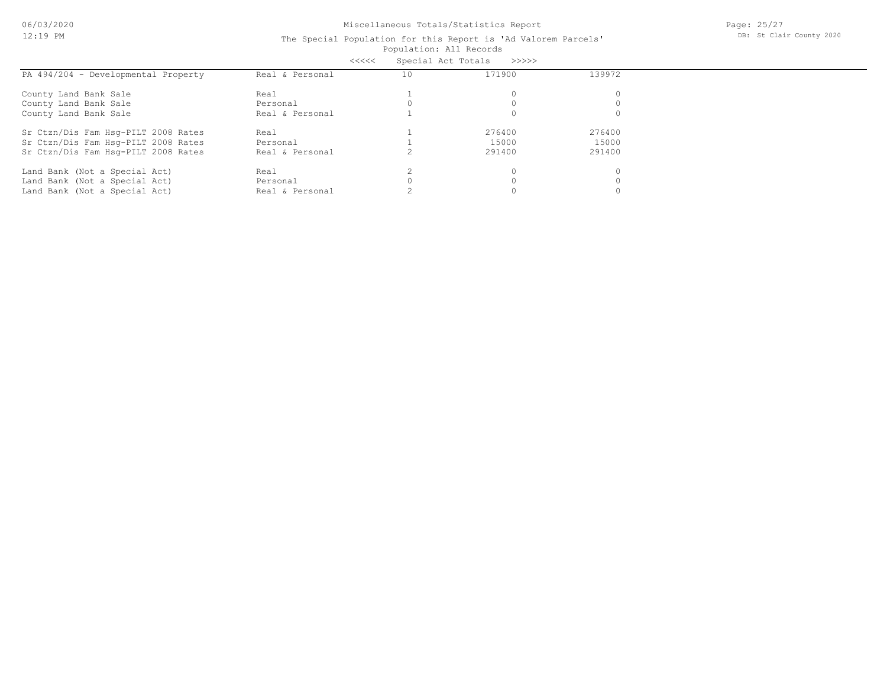| Special Act Totals<br><<<<<br>>>>>>> |                 |    |        |          |  |
|--------------------------------------|-----------------|----|--------|----------|--|
| PA 494/204 - Developmental Property  | Real & Personal | 10 | 171900 | 139972   |  |
| County Land Bank Sale                | Real            |    |        | $\Omega$ |  |
| County Land Bank Sale                | Personal        |    |        |          |  |
| County Land Bank Sale                | Real & Personal |    |        | $\Omega$ |  |
| Sr Ctzn/Dis Fam Hsg-PILT 2008 Rates  | Real            |    | 276400 | 276400   |  |
| Sr Ctzn/Dis Fam Hsg-PILT 2008 Rates  | Personal        |    | 15000  | 15000    |  |
| Sr Ctzn/Dis Fam Hsq-PILT 2008 Rates  | Real & Personal |    | 291400 | 291400   |  |
| Land Bank (Not a Special Act)        | Real            |    |        | $\Omega$ |  |
| Land Bank (Not a Special Act)        | Personal        |    |        | $\Omega$ |  |
| Land Bank (Not a Special Act)        | Real & Personal |    |        |          |  |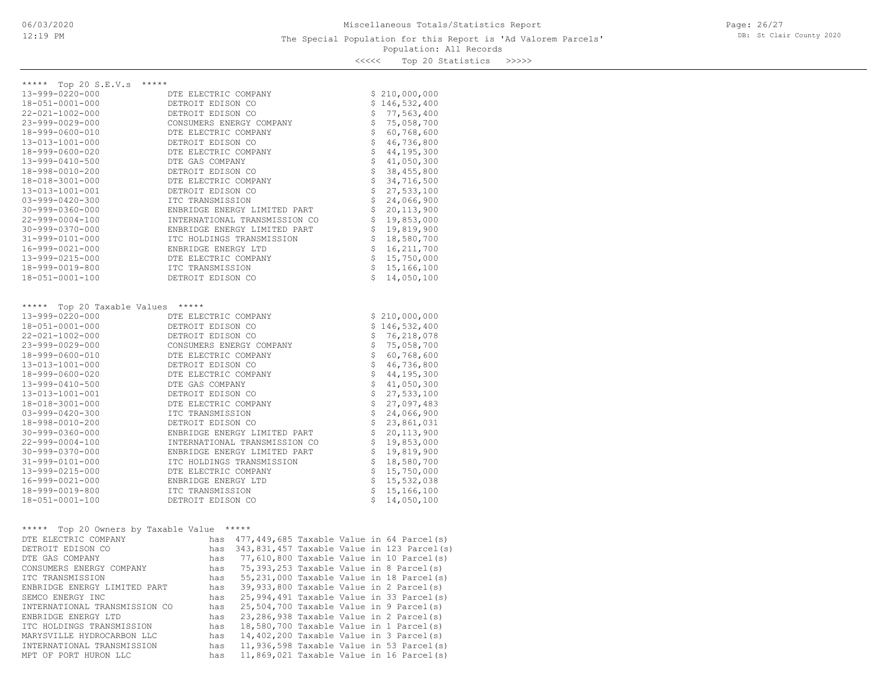<<<<< Top 20 Statistics >>>>>

| Top 20 S.E.V.s *****<br>*****                        |                               |                                |                                     |
|------------------------------------------------------|-------------------------------|--------------------------------|-------------------------------------|
| 13-999-0220-000                                      | DTE ELECTRIC COMPANY          |                                | \$210,000,000                       |
| 18-051-0001-000                                      | DETROIT EDISON CO             | \$                             | 146,532,400                         |
| $22 - 021 - 1002 - 000$                              | DETROIT EDISON CO             | \$                             | 77,563,400                          |
| $23 - 999 - 0029 - 000$                              | CONSUMERS ENERGY COMPANY      | \$                             | 75,058,700                          |
| 18-999-0600-010                                      | DTE ELECTRIC COMPANY          | \$                             | 60,768,600                          |
| 13-013-1001-000                                      | DETROIT EDISON CO             |                                | \$<br>46,736,800                    |
| 18-999-0600-020                                      | DTE ELECTRIC COMPANY          |                                | $\ddot{\mathsf{S}}$<br>44, 195, 300 |
| 13-999-0410-500                                      | DTE GAS COMPANY               |                                | $\mathsf{S}$<br>41,050,300          |
| 18-998-0010-200                                      | DETROIT EDISON CO             | \$                             | 38,455,800                          |
| 18-018-3001-000                                      | DTE ELECTRIC COMPANY          | \$                             | 34,716,500                          |
| 13-013-1001-001                                      | DETROIT EDISON CO             | \$                             | 27,533,100                          |
| $03 - 999 - 0420 - 300$                              | ITC TRANSMISSION              | $\ddot{s}$                     | 24,066,900                          |
| $30 - 999 - 0360 - 000$                              | ENBRIDGE ENERGY LIMITED PART  | \$                             | 20, 113, 900                        |
| $22 - 999 - 0004 - 100$                              | INTERNATIONAL TRANSMISSION CO | \$                             | 19,853,000                          |
| $30 - 999 - 0370 - 000$                              | ENBRIDGE ENERGY LIMITED PART  | $\updownarrow$                 | 19,819,900                          |
| $31 - 999 - 0101 - 000$                              | ITC HOLDINGS TRANSMISSION     | \$                             | 18,580,700                          |
| 16-999-0021-000                                      | ENBRIDGE ENERGY LTD           | \$                             | 16, 211, 700                        |
| 13-999-0215-000                                      | DTE ELECTRIC COMPANY          | \$                             | 15,750,000                          |
| 18-999-0019-800                                      | ITC TRANSMISSION              | \$                             | 15,166,100                          |
| 18-051-0001-100                                      | DETROIT EDISON CO             | Š.                             | 14,050,100                          |
|                                                      |                               |                                |                                     |
| ***** Top 20 Taxable Values *****<br>13-999-0220-000 | DTE ELECTRIC COMPANY          | \$                             | 210,000,000                         |
| $18 - 051 - 0001 - 000$                              | DETROIT EDISON CO             |                                | \$146,532,400                       |
| $22 - 021 - 1002 - 000$                              | DETROIT EDISON CO             |                                | \$76, 218, 078                      |
| $23 - 999 - 0029 - 000$                              | CONSUMERS ENERGY COMPANY      | $\frac{1}{2}$                  | 75,058,700                          |
| 18-999-0600-010                                      | DTE ELECTRIC COMPANY          | \$                             | 60,768,600                          |
| 13-013-1001-000                                      | DETROIT EDISON CO             | \$                             | 46,736,800                          |
| 18-999-0600-020                                      | DTE ELECTRIC COMPANY          | \$                             | 44, 195, 300                        |
| 13-999-0410-500                                      | DTE GAS COMPANY               | \$                             | 41,050,300                          |
| 13-013-1001-001                                      | DETROIT EDISON CO             | \$                             | 27,533,100                          |
| 18-018-3001-000                                      | DTE ELECTRIC COMPANY          | \$                             | 27,097,483                          |
| $03 - 999 - 0420 - 300$                              | ITC TRANSMISSION              | $\boldsymbol{\dot{\varsigma}}$ | 24,066,900                          |
| 18-998-0010-200                                      | DETROIT EDISON CO             | \$                             | 23,861,031                          |

| $16 - 999 - 0021 - 000$                 | ENBRIDGE ENERGY LTD |       |  |  |  |                                            |
|-----------------------------------------|---------------------|-------|--|--|--|--------------------------------------------|
| 18-999-0019-800                         | ITC TRANSMISSION    |       |  |  |  | 15,166,100                                 |
| 18-051-0001-100                         | DETROIT EDISON CO   |       |  |  |  | 14,050,100                                 |
|                                         |                     |       |  |  |  |                                            |
|                                         |                     |       |  |  |  |                                            |
| *****<br>Top 20 Owners by Taxable Value |                     | ***** |  |  |  |                                            |
| DTE ELECTRIC COMPANY                    | has                 |       |  |  |  | 477,449,685 Taxable Value in 64 Parcel(s)  |
| DETROIT EDISON CO                       | has                 |       |  |  |  | 343,831,457 Taxable Value in 123 Parcel(s) |
| DTE GAS COMPANY                         | has                 |       |  |  |  | 77,610,800 Taxable Value in 10 Parcel(s)   |
| CONSUMERS ENERGY COMPANY                | has                 |       |  |  |  | 75,393,253 Taxable Value in 8 Parcel(s)    |
| TTC TRANSMISSION                        | has                 |       |  |  |  | 55,231,000 Taxable Value in 18 Parcel(s)   |
| ENBRIDGE ENERGY LIMITED PART            | has                 |       |  |  |  | 39,933,800 Taxable Value in 2 Parcel(s)    |
| SEMCO ENERGY INC                        | has                 |       |  |  |  | 25,994,491 Taxable Value in 33 Parcel(s)   |
| INTERNATIONAL TRANSMISSION CO           | has                 |       |  |  |  | 25,504,700 Taxable Value in 9 Parcel(s)    |
| ENBRIDGE ENERGY LTD                     | has                 |       |  |  |  | 23,286,938 Taxable Value in 2 Parcel(s)    |
| ITC HOLDINGS TRANSMISSION               | has                 |       |  |  |  | 18,580,700 Taxable Value in 1 Parcel(s)    |
| MARYSVILLE HYDROCARBON LLC              | has                 |       |  |  |  | 14,402,200 Taxable Value in 3 Parcel(s)    |
| INTERNATIONAL TRANSMISSION              | has                 |       |  |  |  | 11,936,598 Taxable Value in 53 Parcel(s)   |

13-999-0215-000 DTE ELECTRIC COMPANY \$ 15,750,000 31-999-0101-000 ITC HOLDINGS TRANSMISSION \$ 18,580,700 30-999-0370-000 ENBRIDGE ENERGY LIMITED PART \$ 19,819,900 22-999-0004-100 INTERNATIONAL TRANSMISSION CO \$ 19,853,000 30-999-0360-000 ENBRIDGE ENERGY LIMITED PART \$ 20,113,900

MPT OF PORT HURON LLC has 11,869,021 Taxable Value in 16 Parcel(s)